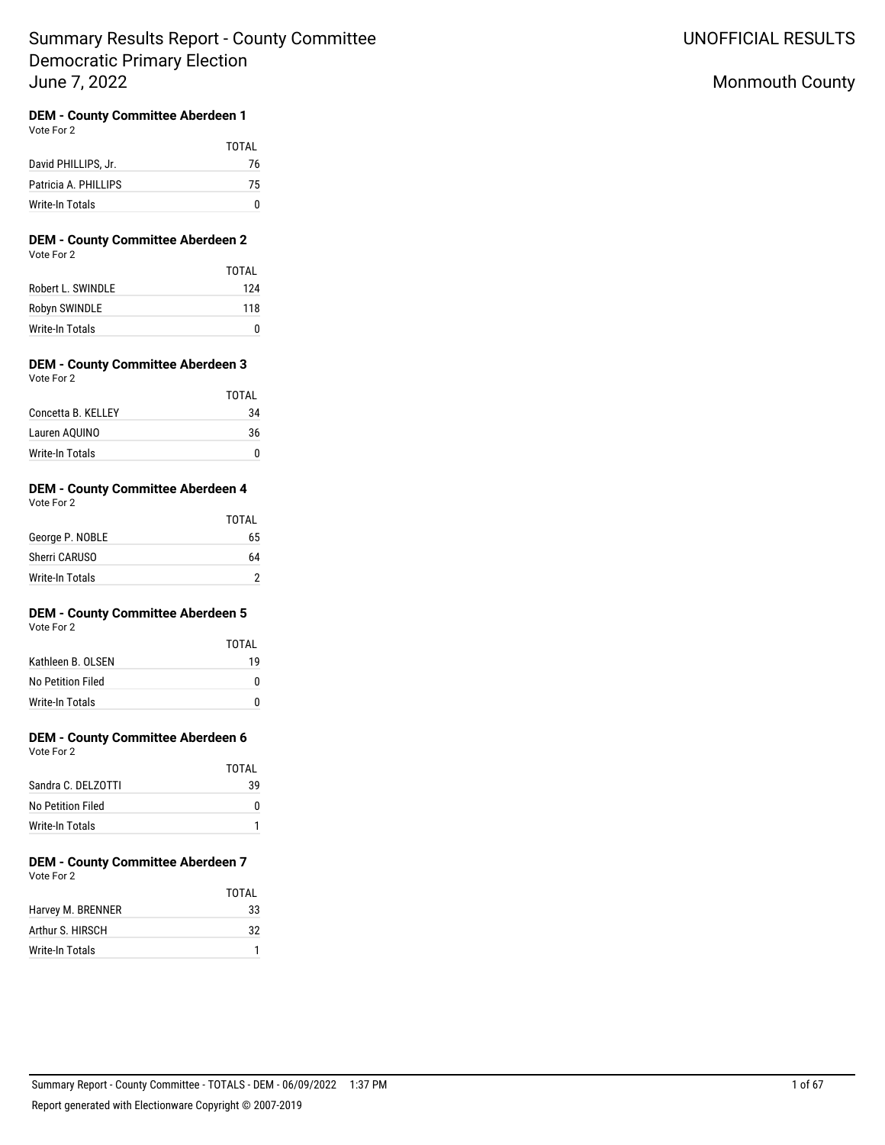# Monmouth County

## **DEM - County Committee Aberdeen 1**

Vote For 2

|                      | <b>TOTAL</b> |
|----------------------|--------------|
| David PHILLIPS, Jr.  | 76           |
| Patricia A. PHILLIPS | 75           |
| Write-In Totals      |              |

### **DEM - County Committee Aberdeen 2** Vote For 2

|                   | TOTAI |
|-------------------|-------|
| Robert L. SWINDLE | 124   |
| Robyn SWINDLE     | 118   |
| Write-In Totals   | n     |

#### **DEM - County Committee Aberdeen 3** Vote For 2

|                    | <b>TOTAL</b> |
|--------------------|--------------|
| Concetta B. KELLEY | 34           |
| Lauren AQUINO      | 36           |
| Write-In Totals    |              |

#### **DEM - County Committee Aberdeen 4** Vote For 2

| <b>VULE FUL Z</b> |  |
|-------------------|--|
|                   |  |
|                   |  |
|                   |  |

| George P. NOBLE | 65 |
|-----------------|----|
| Sherri CARUSO   | 64 |
| Write-In Totals |    |

**TOTAL** 

## **DEM - County Committee Aberdeen 5**

Vote For 2

|                    | TOTAI |
|--------------------|-------|
| Kathleen B. OI SEN | 19    |
| No Petition Filed  | n     |
| Write-In Totals    |       |

# **DEM - County Committee Aberdeen 6**

Vote For 2

|                     | TOTAI |
|---------------------|-------|
| Sandra C. DEI ZOTTI | 39    |
| No Petition Filed   |       |
| Write-In Totals     |       |

#### **DEM - County Committee Aberdeen 7** Vote For 2

|                   | TOTAI |
|-------------------|-------|
| Harvey M. BRENNER | 33    |
| Arthur S. HIRSCH  | 32    |
| Write-In Totals   |       |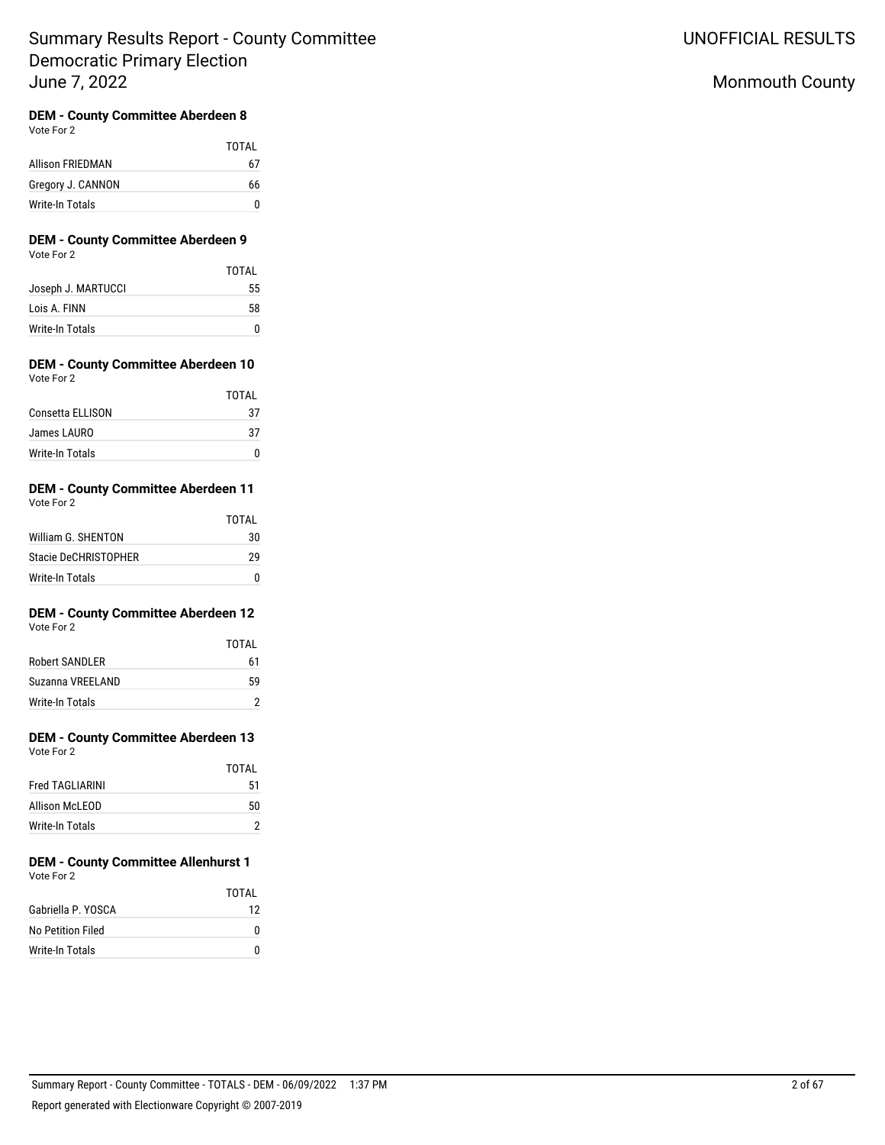UNOFFICIAL RESULTS

# Monmouth County

# **DEM - County Committee Aberdeen 8**

Vote For 2

|                   | TOTAI |
|-------------------|-------|
| Allison FRIEDMAN  | 67    |
| Gregory J. CANNON | 66    |
| Write-In Totals   | n     |

### **DEM - County Committee Aberdeen 9** Vote For 2

|                    | TOTAI |
|--------------------|-------|
| Joseph J. MARTUCCI | 55    |
| Lois A. FINN       | 58    |
| Write-In Totals    | n     |

### **DEM - County Committee Aberdeen 10** Vote For 2

|                  | <b>TOTAL</b> |
|------------------|--------------|
| Consetta ELLISON | 37           |
| James LAURO      | 37           |
| Write-In Totals  |              |

#### **DEM - County Committee Aberdeen 11** Vote For 2

|                      | TOTAI |
|----------------------|-------|
| William G. SHENTON   | 30    |
| Stacie DeCHRISTOPHER | 29    |
| Write-In Totals      | n     |

# **DEM - County Committee Aberdeen 12**

|                  | TOTAI |
|------------------|-------|
| Robert SANDI FR  | 61    |
| Suzanna VREELAND | 59    |
| Write-In Totals  |       |

# **DEM - County Committee Aberdeen 13**

|                        | TOTAI |
|------------------------|-------|
| <b>Fred TAGLIARINI</b> | 51    |
| Allison McLEOD         | 50    |
| Write-In Totals        |       |

#### **DEM - County Committee Allenhurst 1** Vote For 2

|                    | TOTAI |
|--------------------|-------|
| Gabriella P. YOSCA | 12    |
| No Petition Filed  |       |
| Write-In Totals    |       |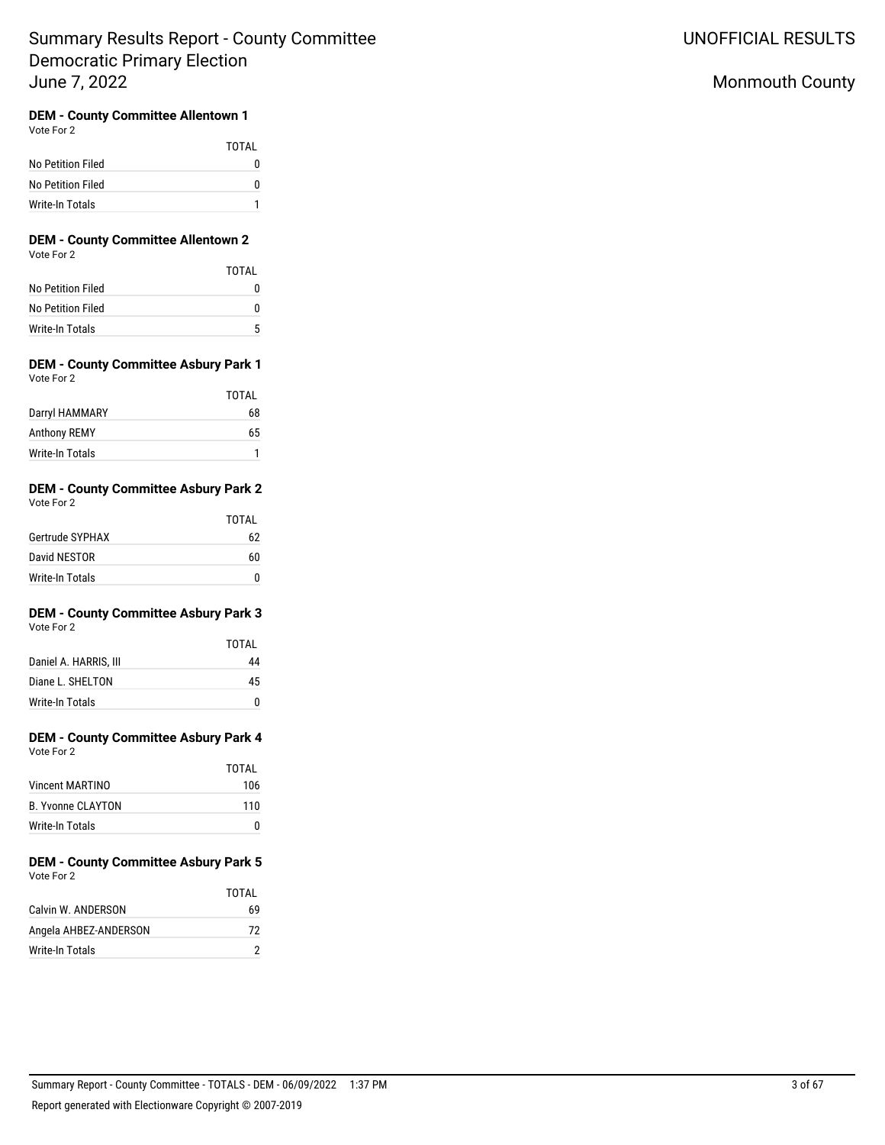# Monmouth County

# **DEM - County Committee Allentown 1**

Vote For 2

|                   | TOTAI |
|-------------------|-------|
| No Petition Filed |       |
| No Petition Filed |       |
| Write-In Totals   |       |

### **DEM - County Committee Allentown 2** Vote For 2

|                   | TOTAI |
|-------------------|-------|
| No Petition Filed |       |
| No Petition Filed |       |
| Write-In Totals   | 5     |

## **DEM - County Committee Asbury Park 1** Vote For 2

|                     | TOTAI |
|---------------------|-------|
| Darryl HAMMARY      | 68    |
| <b>Anthony REMY</b> | 65    |
| Write-In Totals     |       |

#### **DEM - County Committee Asbury Park 2** Vote For 2

| $\cdots$        |       |
|-----------------|-------|
|                 | TOTAI |
| Gertrude SYPHAX | 62    |
| David NESTOR    | 60    |
| Write-In Totals | n     |

#### **DEM - County Committee Asbury Park 3** Vote For 2

|                       | TOTAI |
|-----------------------|-------|
| Daniel A. HARRIS, III | 44    |
| Diane L. SHELTON      | 45    |
| Write-In Totals       |       |

#### **DEM - County Committee Asbury Park 4** Vote For 2

| VULCIUI <i>L</i>         |       |
|--------------------------|-------|
|                          | TOTAL |
| <b>Vincent MARTINO</b>   | 106   |
| <b>B. Yvonne CLAYTON</b> | 110   |
| Write-In Totals          | n     |

### **DEM - County Committee Asbury Park 5** Vote For 2

|                       | TOTAI |
|-----------------------|-------|
| Calvin W. ANDERSON    | 69    |
| Angela AHBEZ-ANDERSON | 72    |
| Write-In Totals       |       |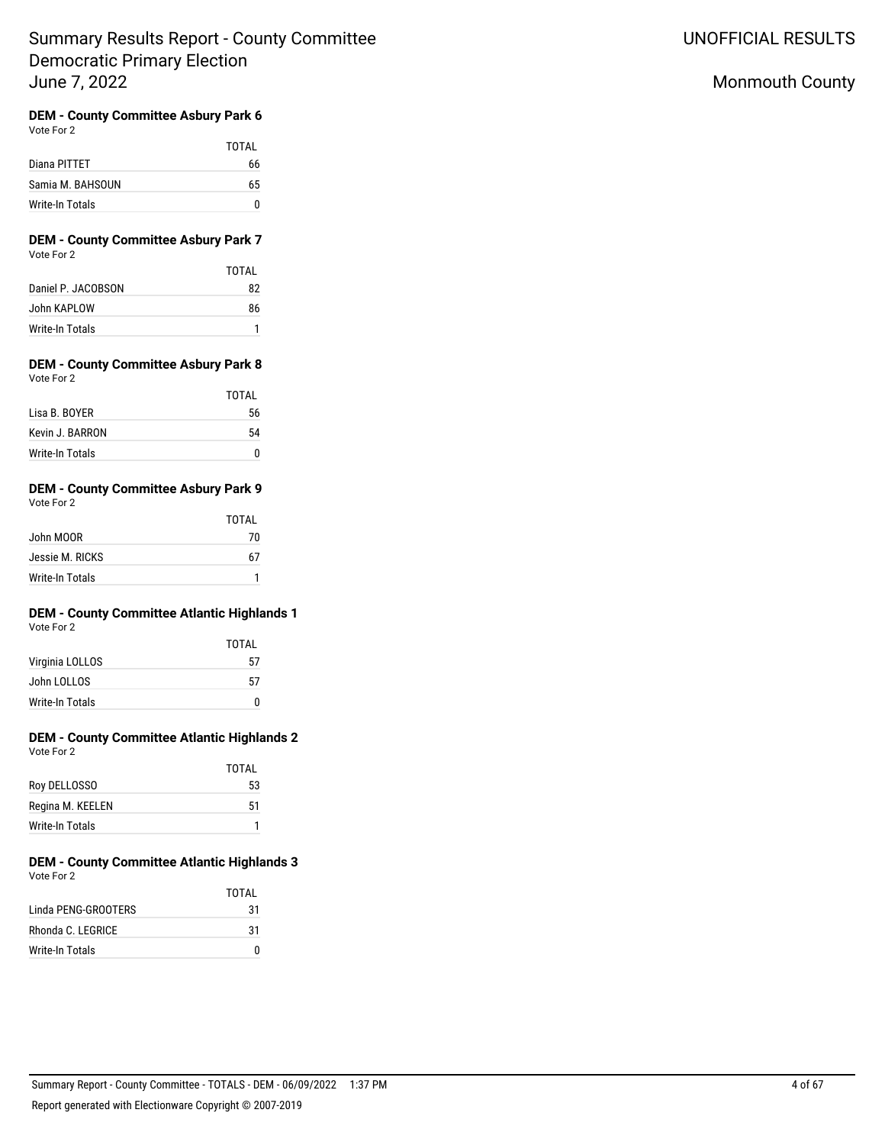UNOFFICIAL RESULTS

# Monmouth County

#### **DEM - County Committee Asbury Park 6** Vote For 2

|                  | TOTAL |
|------------------|-------|
| Diana PITTET     | 66    |
| Samia M. BAHSOUN | 65    |
| Write-In Totals  |       |

### **DEM - County Committee Asbury Park 7** Vote For 2

|                    | TOTAI |
|--------------------|-------|
| Daniel P. JACOBSON | 82    |
| John KAPLOW        | 86    |
| Write-In Totals    |       |

### **DEM - County Committee Asbury Park 8** Vote For 2

|                 | TOTAI |
|-----------------|-------|
| Lisa B. BOYER   | 56    |
| Kevin J. BARRON | 54    |
| Write-In Totals |       |

#### **DEM - County Committee Asbury Park 9** Vote For 2

| VUEUUL                 | TOTAL |
|------------------------|-------|
| John MOOR              | 70    |
| Jessie M. RICKS        | 67    |
| <b>Write-In Totals</b> |       |

# **DEM - County Committee Atlantic Highlands 1**

| TOTAI |
|-------|
| 57    |
| 57    |
|       |
|       |

#### **DEM - County Committee Atlantic Highlands 2** Vote For 2

|                  | <b>TOTAL</b> |
|------------------|--------------|
| Roy DELLOSSO     | 53           |
| Regina M. KEELEN | 51           |
| Write-In Totals  |              |

#### **DEM - County Committee Atlantic Highlands 3** Vote For 2

|                     | TOTAI |
|---------------------|-------|
| Linda PFNG-GROOTFRS | 31    |
| Rhonda C. LEGRICE   | 31    |
| Write-In Totals     | n     |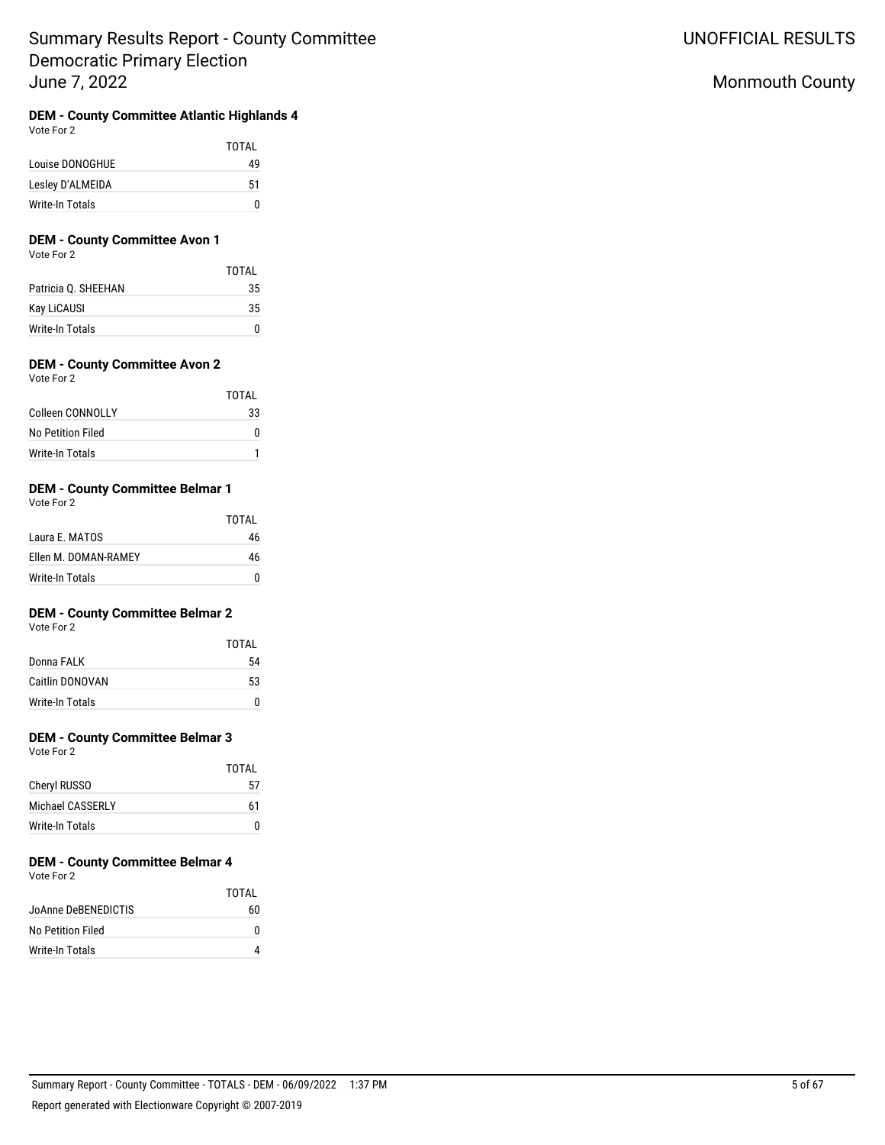**DEM - County Committee Atlantic Highlands 4**

Vote For 2

|                  | TOTAI |
|------------------|-------|
| Louise DONOGHUE  | 49    |
| Lesley D'ALMEIDA | 51    |
| Write-In Totals  | n     |

## **DEM - County Committee Avon 1**

Vote For 2

|                     | TOTAI |
|---------------------|-------|
| Patricia Q. SHEEHAN | 35    |
| Kay LiCAUSI         | 35    |
| Write-In Totals     | n     |

## **DEM - County Committee Avon 2**

| Vote For 2             |       |
|------------------------|-------|
|                        | TOTAL |
| Colleen CONNOLLY       | 33    |
| No Petition Filed      | N     |
| <b>Write-In Totals</b> |       |

## **DEM - County Committee Belmar 1**

Vote For 2

|                      | TOTAI |
|----------------------|-------|
| Laura E. MATOS       | 46    |
| Ellen M. DOMAN-RAMEY | 46    |
| Write-In Totals      | n     |

## **DEM - County Committee Belmar 2**

Vote For 2

|                 | TOTAI |
|-----------------|-------|
| Donna FALK      | 54    |
| Caitlin DONOVAN | 53    |
| Write-In Totals | n     |

## **DEM - County Committee Belmar 3**

Vote For 2

|                     | TOTAI |
|---------------------|-------|
| <b>Cheryl RUSSO</b> | 57    |
| Michael CASSERI Y   | 61    |
| Write-In Totals     |       |

#### **DEM - County Committee Belmar 4** Vote For 2

|                     | TOTAI |
|---------------------|-------|
| JoAnne DeBENEDICTIS | 60    |
| No Petition Filed   | o     |
| Write-In Totals     |       |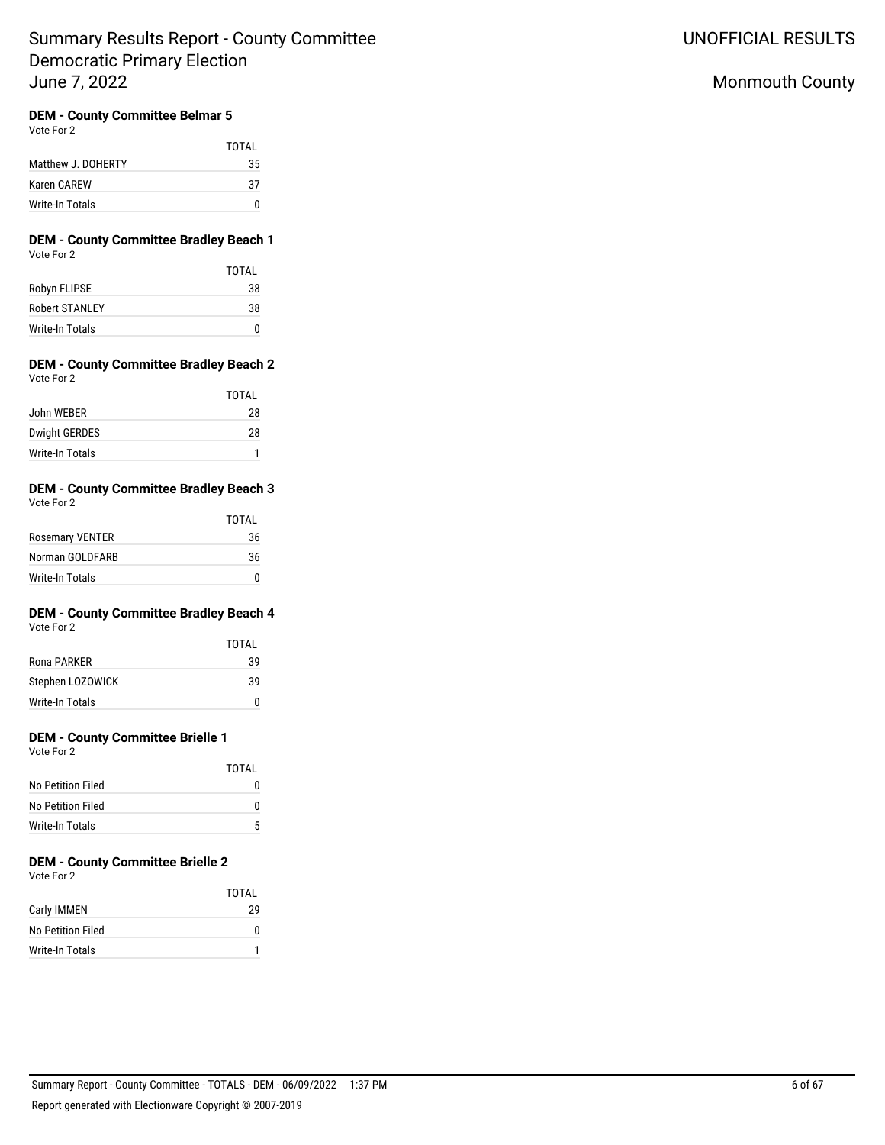## **DEM - County Committee Belmar 5**

Vote For 2

|                    | TOTAI |
|--------------------|-------|
| Matthew J. DOHERTY | 35    |
| Karen CAREW        | 37    |
| Write-In Totals    | n     |

### **DEM - County Committee Bradley Beach 1** Vote For 2

|                       | TOTAI |
|-----------------------|-------|
| Robyn FLIPSE          | 38    |
| <b>Robert STANLEY</b> | 38    |
| Write-In Totals       | n     |

### **DEM - County Committee Bradley Beach 2** Vote For 2

|                      | TOTAI |
|----------------------|-------|
| John WEBER           | 28    |
| <b>Dwight GERDES</b> | 28    |
| Write-In Totals      |       |

#### **DEM - County Committee Bradley Beach 3** Vote For 2

| VULCIUI A              |       |
|------------------------|-------|
|                        | TOTAL |
| <b>Rosemary VENTER</b> | 36    |
| Norman GOLDFARB        | 36    |
| Write-In Totals        |       |

# **DEM - County Committee Bradley Beach 4**

Vote For 2

|                  | TOTAI |
|------------------|-------|
| Rona PARKER      | 39    |
| Stephen LOZOWICK | 39    |
| Write-In Totals  | n     |

## **DEM - County Committee Brielle 1**

Vote For 2

|                   | TOTAL |
|-------------------|-------|
| No Petition Filed |       |
| No Petition Filed | n     |
| Write-In Totals   | 5     |

# **DEM - County Committee Brielle 2**

Vote For 2

|                   | TOTAL |
|-------------------|-------|
| Carly IMMEN       | 29    |
| No Petition Filed | n     |
| Write-In Totals   |       |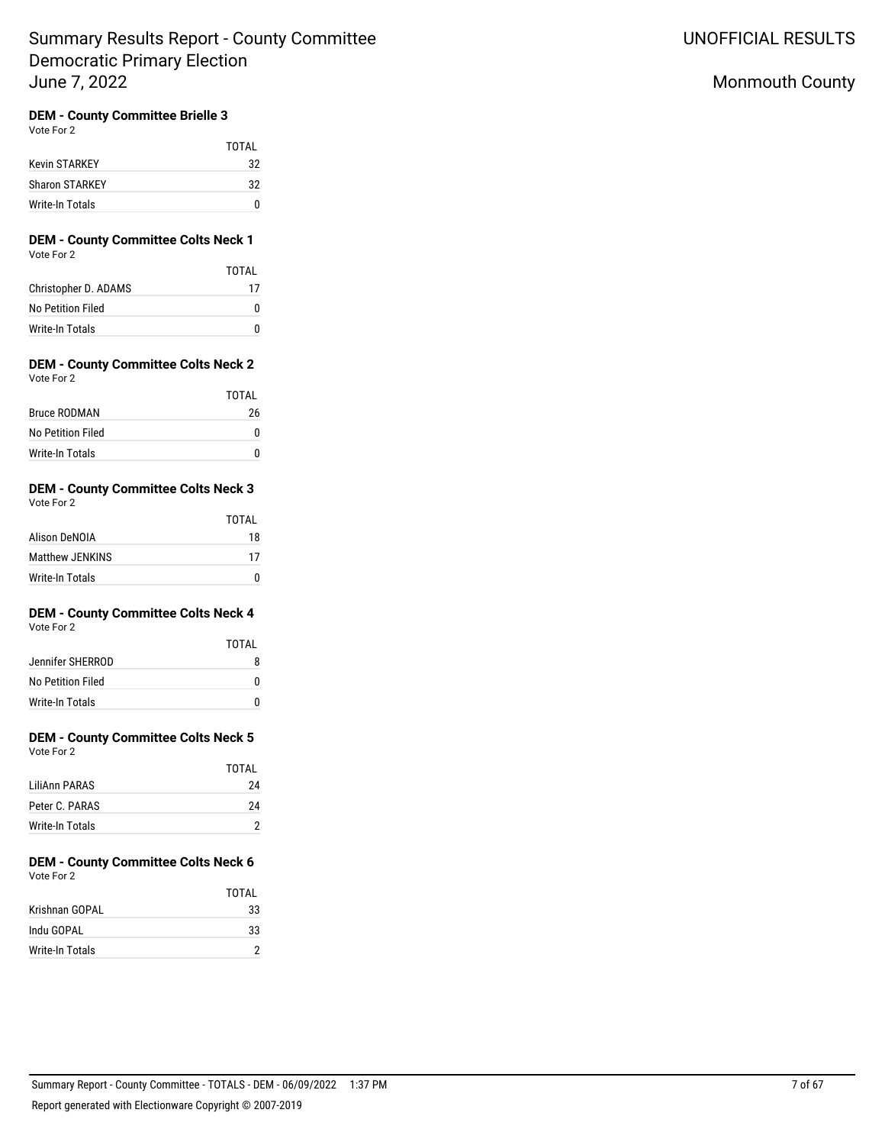## **DEM - County Committee Brielle 3**

Vote For 2

|                       | TOTAL |
|-----------------------|-------|
| Kevin STARKEY         | 32    |
| <b>Sharon STARKEY</b> | 32    |
| Write-In Totals       | n     |

### **DEM - County Committee Colts Neck 1** Vote For 2

|                      | TOTAL |
|----------------------|-------|
| Christopher D. ADAMS | 17    |
| No Petition Filed    |       |
| Write-In Totals      |       |

#### **DEM - County Committee Colts Neck 2** Vote For 2

|                     | TOTAL        |
|---------------------|--------------|
| <b>Bruce RODMAN</b> | 26           |
| No Petition Filed   | $\mathbf{I}$ |
| Write-In Totals     | n            |

#### **DEM - County Committee Colts Neck 3** Vote For 2

| $\cdots$               |              |
|------------------------|--------------|
|                        | <b>TOTAL</b> |
| Alison DeNOIA          | 18           |
| <b>Matthew JENKINS</b> | 17           |
| Write-In Totals        |              |

# **DEM - County Committee Colts Neck 4**

Vote For 2

|                   | TOTAI |
|-------------------|-------|
| Jennifer SHERROD  |       |
| No Petition Filed |       |
| Write-In Totals   |       |

# **DEM - County Committee Colts Neck 5**

Vote For 2

|                 | TOTAI |
|-----------------|-------|
| I iliAnn PARAS  | 24    |
| Peter C. PARAS  | 24    |
| Write-In Totals |       |

#### **DEM - County Committee Colts Neck 6** Vote For 2

|                 | TOTAI |
|-----------------|-------|
| Krishnan GOPAI  | 33    |
| Indu GOPAL      | 33    |
| Write-In Totals |       |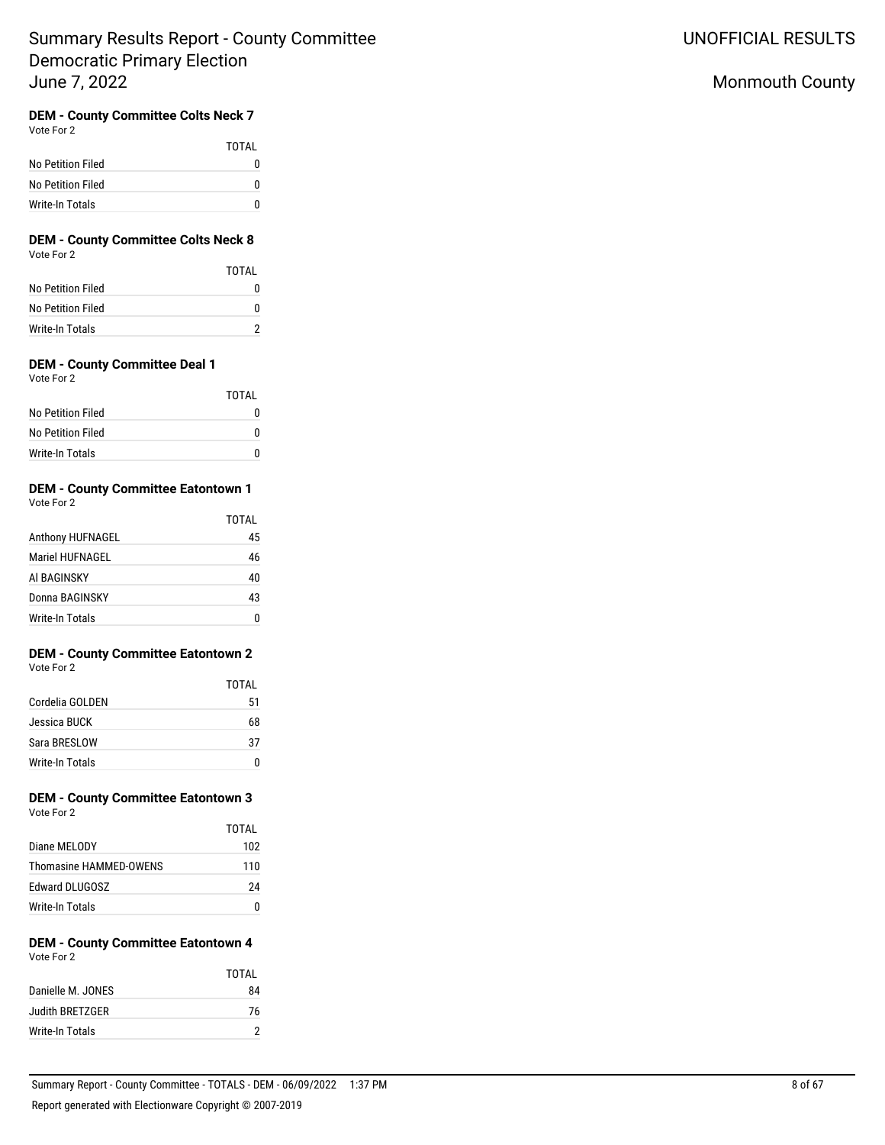# Monmouth County

# **DEM - County Committee Colts Neck 7**

| Vote For 2 |  |
|------------|--|
|            |  |

|                   | TOTAI |
|-------------------|-------|
| No Petition Filed | o     |
| No Petition Filed | o     |
| Write-In Totals   | n     |

### **DEM - County Committee Colts Neck 8** Vote For 2

|                   | TOTAL |
|-------------------|-------|
| No Petition Filed |       |
| No Petition Filed |       |
| Write-In Totals   |       |

## **DEM - County Committee Deal 1**

|                   | TOTAI |
|-------------------|-------|
| No Petition Filed |       |
| No Petition Filed |       |
| Write-In Totals   |       |

## **DEM - County Committee Eatontown 1**

| Vote For 2       |       |
|------------------|-------|
|                  | TOTAL |
| Anthony HUFNAGEL | 45    |
| Mariel HUFNAGEL  | 46    |
| AI BAGINSKY      | 40    |
| Donna BAGINSKY   | 43    |
| Write-In Totals  |       |

## **DEM - County Committee Eatontown 2** Vote For 2

|                 | TOTAI |
|-----------------|-------|
| Cordelia GOLDEN | 51    |
| Jessica BUCK    | 68    |
| Sara BRESLOW    | 37    |
| Write-In Totals |       |

# **DEM - County Committee Eatontown 3**

| Vote For 2             |       |
|------------------------|-------|
|                        | TOTAI |
| Diane MEI ODY          | 102   |
| Thomasine HAMMFD-OWFNS | 110   |
| <b>Edward DLUGOSZ</b>  | 24    |

## **DEM - County Committee Eatontown 4** Vote For 2

Write-In Totals 0

|                   | TOTAI |
|-------------------|-------|
| Danielle M. JONES | 84    |
| Judith BRETZGER   | 76    |
| Write-In Totals   |       |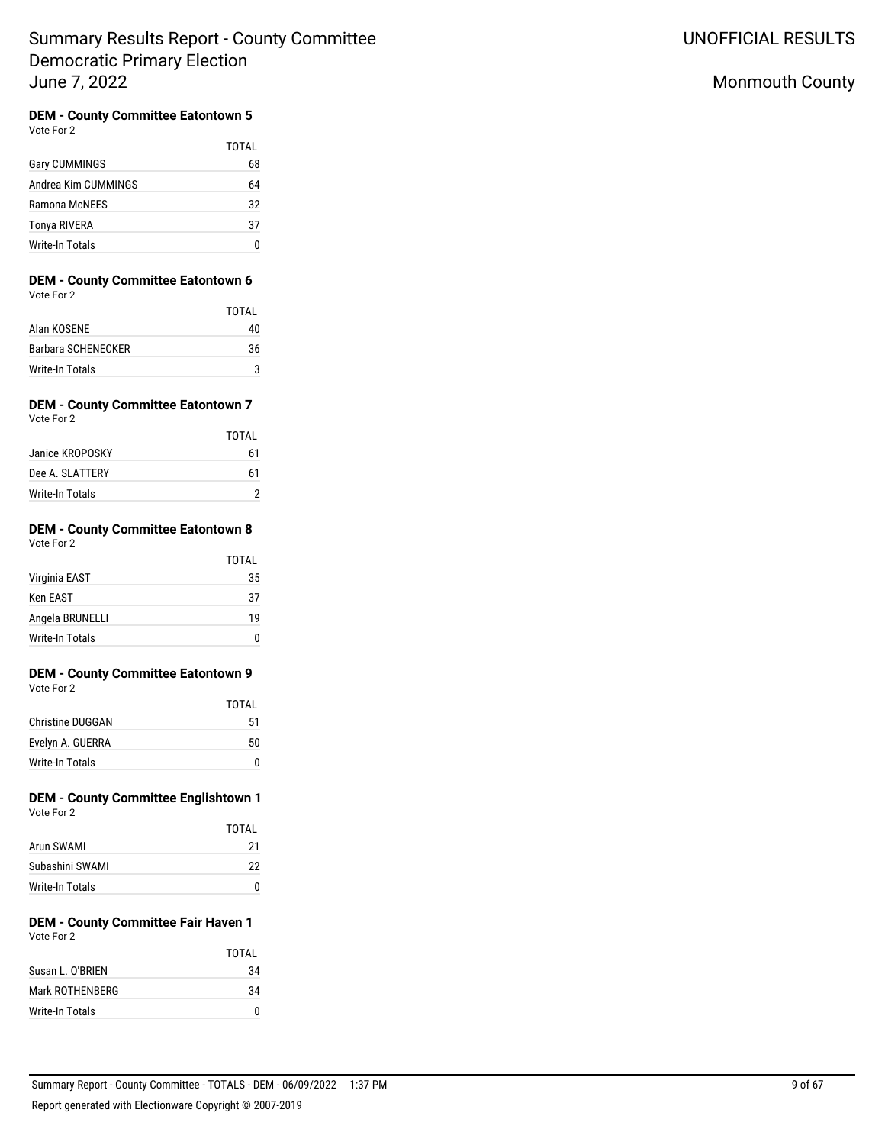# Monmouth County

#### **DEM - County Committee Eatontown 5**  $\overline{2}$

| Vote For | ÷. |
|----------|----|
|          |    |

|                      | TOTAI |
|----------------------|-------|
| <b>Gary CUMMINGS</b> | 68    |
| Andrea Kim CUMMINGS  | 64    |
| Ramona McNFFS        | 32    |
| Tonya RIVERA         | 37    |
| Write-In Totals      |       |

# **DEM - County Committee Eatontown 6**

| Vote For 2         |       |
|--------------------|-------|
|                    | TOTAL |
| Alan KOSENE        | 40    |
| Barbara SCHENECKER | 36    |
| Write-In Totals    |       |

#### **DEM - County Committee Eatontown 7** Vote For 2

|                 | TOTAL |
|-----------------|-------|
| Janice KROPOSKY | 61    |
| Dee A. SLATTERY | 61    |
| Write-In Totals | 2     |

#### **DEM - County Committee Eatontown 8** Vote For 2

|                 | <b>TOTAL</b> |
|-----------------|--------------|
| Virginia EAST   | 35           |
| <b>Ken EAST</b> | 37           |
| Angela BRUNELLI | 19           |
| Write-In Totals |              |

#### **DEM - County Committee Eatontown 9** Vote For 2

|                         | <b>TOTAL</b> |
|-------------------------|--------------|
| <b>Christine DUGGAN</b> | 51           |
| Evelyn A. GUERRA        | 50           |
| Write-In Totals         | n            |

## **DEM - County Committee Englishtown 1** Vote For 2

|                 | TOTAI |
|-----------------|-------|
| Arun SWAMI      | 21    |
| Subashini SWAMI | 22    |
| Write-In Totals |       |

#### **DEM - County Committee Fair Haven 1** Vote For 2

|                  | TOTAI |
|------------------|-------|
| Susan L. O'BRIEN | 34    |
| Mark ROTHENBERG  | 34    |
| Write-In Totals  | n     |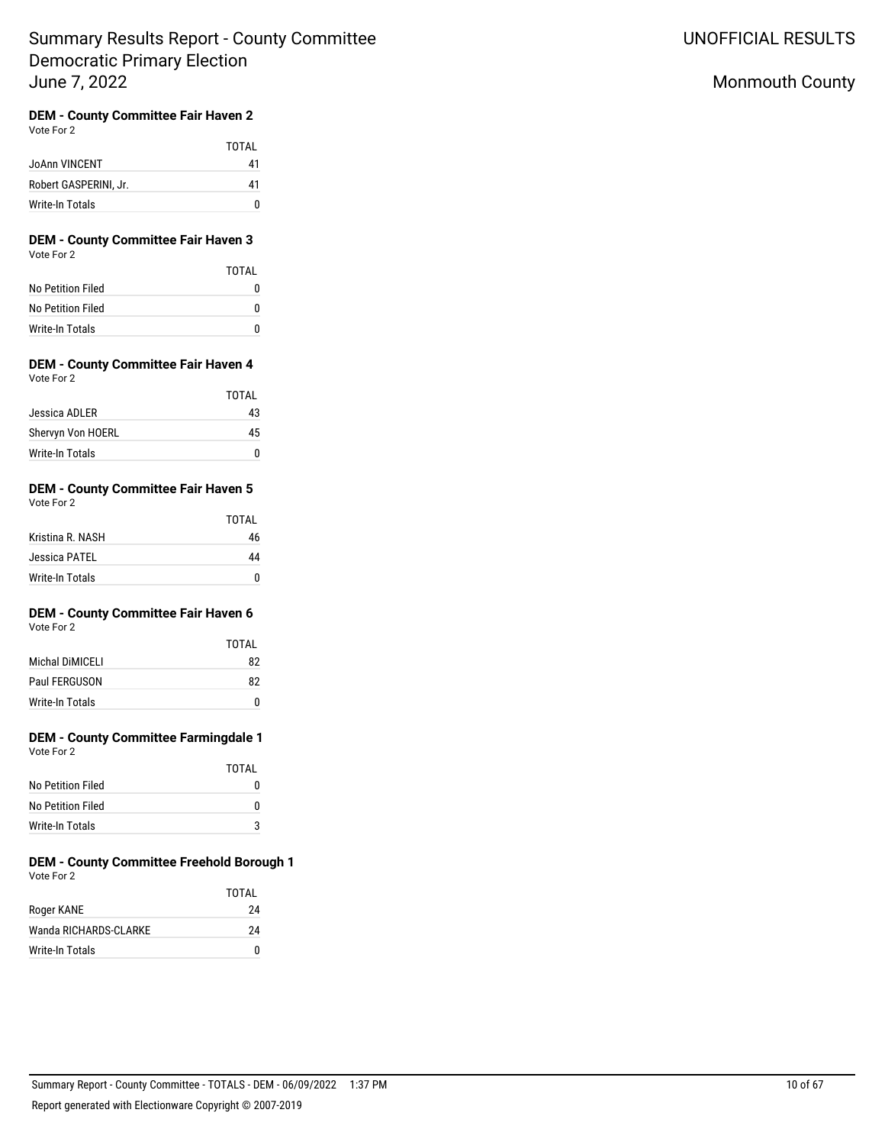# Monmouth County

# **DEM - County Committee Fair Haven 2**

| Vote For 2 |  |
|------------|--|
|            |  |

|                       | TOTAI |
|-----------------------|-------|
| <b>JoAnn VINCENT</b>  | 41    |
| Robert GASPERINI. Jr. | 41    |
| Write-In Totals       | O     |

### **DEM - County Committee Fair Haven 3** Vote For 2

|                   | TOTAI |
|-------------------|-------|
| No Petition Filed | 0     |
| No Petition Filed | O     |
| Write-In Totals   | O     |

### **DEM - County Committee Fair Haven 4** Vote For 2

|                   | TOTAI |
|-------------------|-------|
| Jessica ADLER     | 43    |
| Shervyn Von HOERL | 45    |
| Write-In Totals   |       |

#### **DEM - County Committee Fair Haven 5** Vote For 2

| $\mathbf{v}$ with $\mathbf{v}$ |       |
|--------------------------------|-------|
|                                | TOTAL |
| Kristina R. NASH               | 46    |
| Jessica PATEL                  | 44    |
| Write-In Totals                | n     |

# **DEM - County Committee Fair Haven 6**

Vote For 2

|                 | TOTAI |
|-----------------|-------|
| Michal DiMICFLI | 82    |
| Paul FERGUSON   | 82    |
| Write-In Totals |       |

# **DEM - County Committee Farmingdale 1**

| Vote For 2 |  |
|------------|--|
|            |  |

|                   | TOTAL |
|-------------------|-------|
| No Petition Filed |       |
| No Petition Filed | n     |
| Write-In Totals   |       |

## **DEM - County Committee Freehold Borough 1** Vote For 2

|                       | TOTAI |
|-----------------------|-------|
| Roger KANE            | 24    |
| Wanda RICHARDS-CLARKE | 24    |
| Write-In Totals       | U     |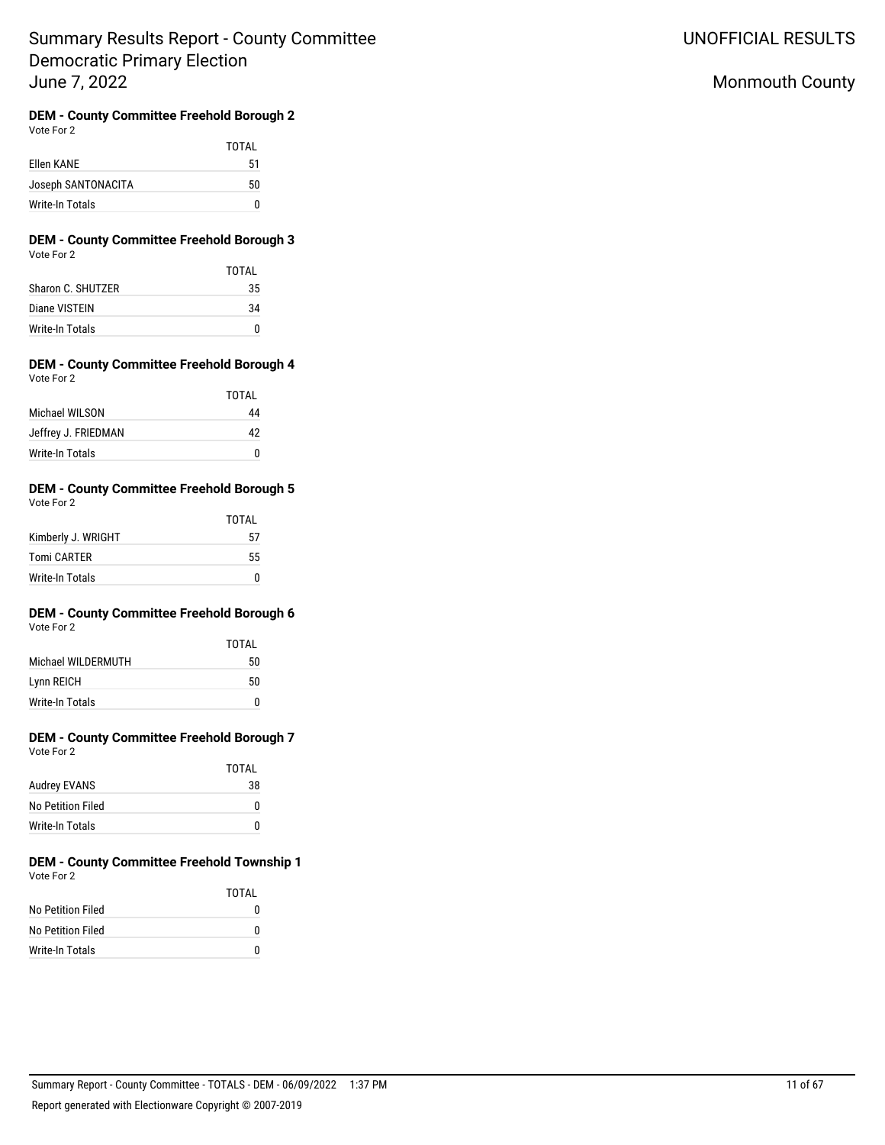UNOFFICIAL RESULTS

# Monmouth County

#### **DEM - County Committee Freehold Borough 2** Vote For 2

| $\cdots$           |       |
|--------------------|-------|
|                    | TOTAL |
| Ellen KANE         | 51    |
| Joseph SANTONACITA | 50    |
| Write-In Totals    | n     |

### **DEM - County Committee Freehold Borough 3** Vote For 2

|                        | TOTAI |
|------------------------|-------|
| Sharon C. SHUTZER      | 35    |
| Diane VISTEIN          | 34    |
| <b>Write-In Totals</b> | U     |

### **DEM - County Committee Freehold Borough 4** Vote For 2

|                     | TOTAI |
|---------------------|-------|
| Michael WII SON     | 44    |
| Jeffrey J. FRIEDMAN | 42    |
| Write-In Totals     |       |

#### **DEM - County Committee Freehold Borough 5** Vote For 2

| vuue Fuiz          |       |
|--------------------|-------|
|                    | TOTAL |
| Kimberly J. WRIGHT | 57    |
| <b>Tomi CARTER</b> | 55    |
| Write-In Totals    | n     |

# **DEM - County Committee Freehold Borough 6**

|                     | TOTAI |
|---------------------|-------|
| Michael WII DERMUTH | 50    |
| Lynn REICH          | 50    |
| Write-In Totals     | n     |

#### **DEM - County Committee Freehold Borough 7** Vote For 2

|                   | TOTAL |
|-------------------|-------|
| Audrey EVANS      | 38    |
| No Petition Filed | n     |
| Write-In Totals   | n     |

## **DEM - County Committee Freehold Township 1** Vote For 2

|                   | TOTAL |
|-------------------|-------|
| No Petition Filed | 0     |
| No Petition Filed | n     |
| Write-In Totals   | n     |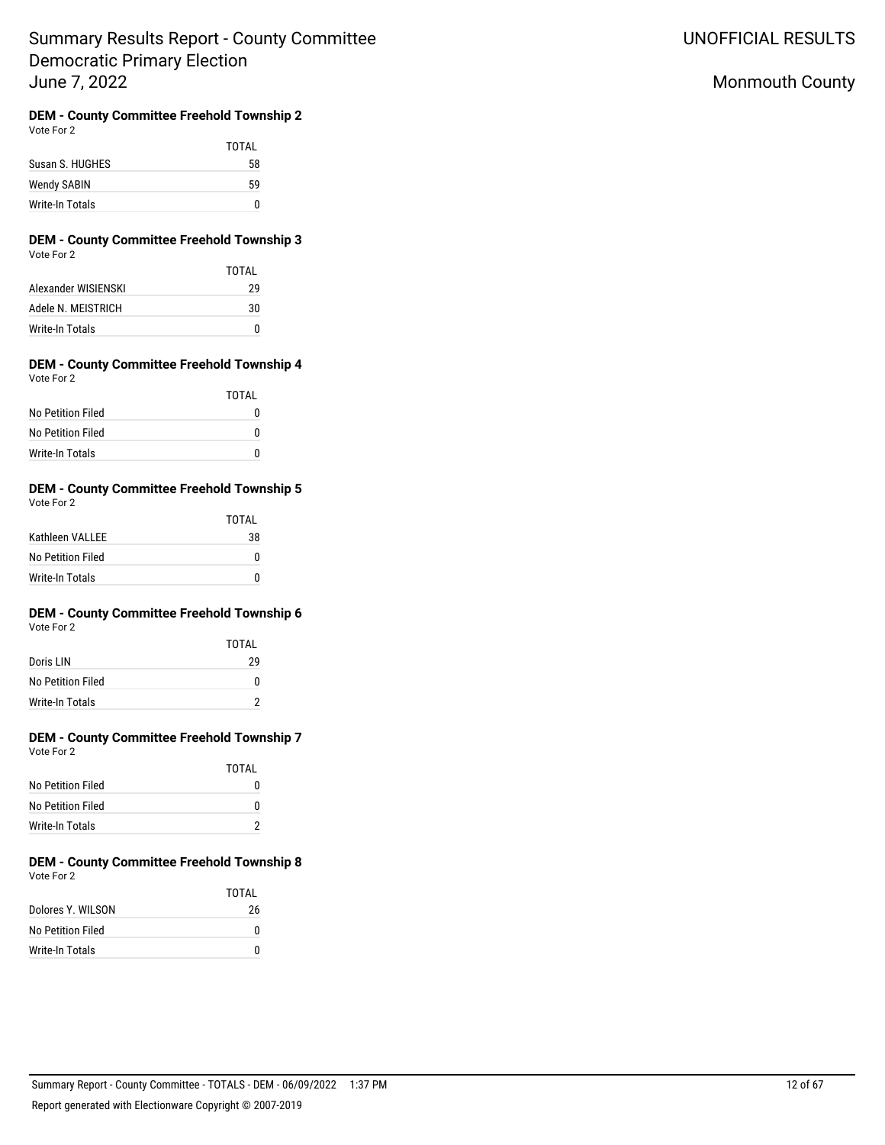UNOFFICIAL RESULTS

# Monmouth County

#### **DEM - County Committee Freehold Township 2** Vote For 2

|                    | TOTAL |
|--------------------|-------|
| Susan S. HUGHES    | 58    |
| <b>Wendy SABIN</b> | 59    |
| Write-In Totals    | N     |

### **DEM - County Committee Freehold Township 3** Vote For 2

|                        | TOTAI |
|------------------------|-------|
| Alexander WISIFNSKI    | 29    |
| Adele N. MEISTRICH     | 30    |
| <b>Write-In Totals</b> |       |

#### **DEM - County Committee Freehold Township 4** Vote For 2

|                   | TOTAI |
|-------------------|-------|
| No Petition Filed | 0     |
| No Petition Filed | U     |
| Write-In Totals   | O     |

## **DEM - County Committee Freehold Township 5**

| Vote For 2 |  |  |
|------------|--|--|
|            |  |  |

|                   | TOTAI |
|-------------------|-------|
| Kathleen VALLEE   | 38    |
| No Petition Filed | 0     |
| Write-In Totals   | n     |

# **DEM - County Committee Freehold Township 6**

| Vote For 2 |  |
|------------|--|
|------------|--|

|                        | TOTAI |
|------------------------|-------|
| Doris LIN              | 29    |
| No Petition Filed      | n     |
| <b>Write-In Totals</b> | າ     |

## **DEM - County Committee Freehold Township 7** Vote For 2

|                   | TOTAI |
|-------------------|-------|
| No Petition Filed | o     |
| No Petition Filed | n     |
| Write-In Totals   |       |

#### **DEM - County Committee Freehold Township 8** Vote For 2

|                   | TOTAL |
|-------------------|-------|
| Dolores Y. WILSON | 26    |
| No Petition Filed | n     |
| Write-In Totals   | n     |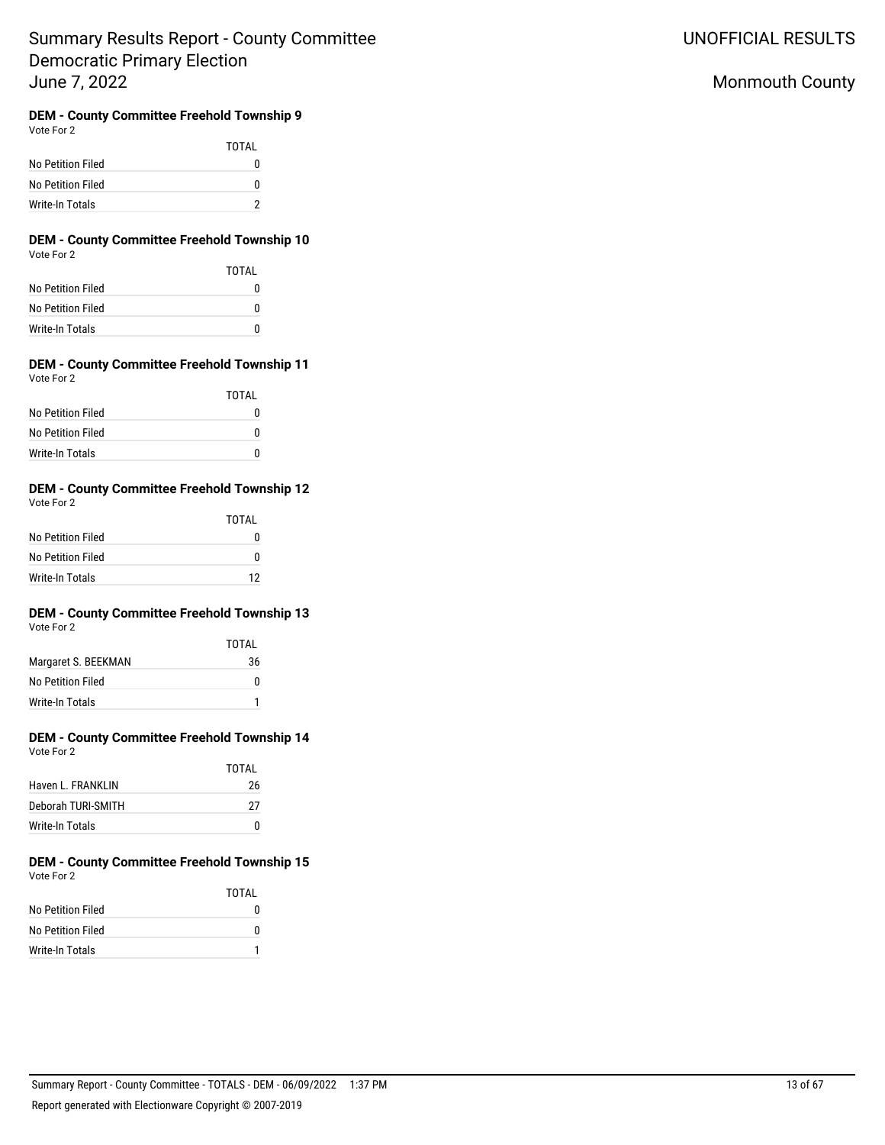UNOFFICIAL RESULTS

# Monmouth County

# **DEM - County Committee Freehold Township 9**

|  | Vote For 2 |  |
|--|------------|--|
|--|------------|--|

TOTAL No Petition Filed 0 No Petition Filed 0 Write-In Totals 2

## **DEM - County Committee Freehold Township 10** Vote For 2

|                   | TOTAI |
|-------------------|-------|
| No Petition Filed | 0     |
| No Petition Filed | 0     |
| Write-In Totals   | 0     |

#### **DEM - County Committee Freehold Township 11** Vote For 2

|                   | TOTAI |
|-------------------|-------|
| No Petition Filed | O     |
| No Petition Filed | U     |
| Write-In Totals   | n     |

## **DEM - County Committee Freehold Township 12**

| Vote For 2 |  |
|------------|--|
|------------|--|

|                   | TOTAI |
|-------------------|-------|
| No Petition Filed | O     |
| No Petition Filed | n     |
| Write-In Totals   | 12    |

# **DEM - County Committee Freehold Township 13**

Vote For 2

|                     | TOTAI |
|---------------------|-------|
| Margaret S. BEEKMAN | 36    |
| No Petition Filed   | n     |
| Write-In Totals     |       |

## **DEM - County Committee Freehold Township 14** Vote For 2

|                    | TOTAI |
|--------------------|-------|
| Haven L. FRANKLIN  | 26    |
| Deborah TURI-SMITH | 27    |
| Write-In Totals    | U     |

#### **DEM - County Committee Freehold Township 15** Vote For 2

|                   | TOTAI |
|-------------------|-------|
| No Petition Filed | 0     |
| No Petition Filed | 0     |
| Write-In Totals   |       |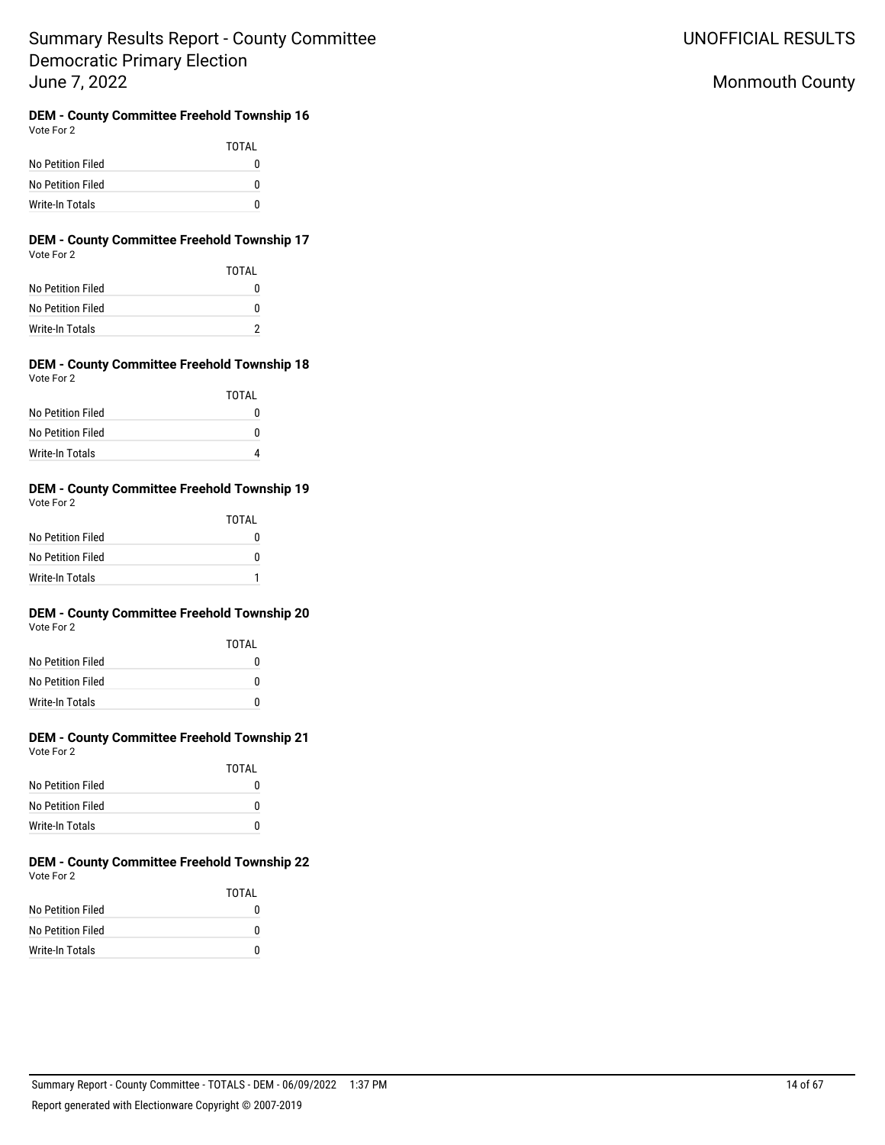UNOFFICIAL RESULTS

# Monmouth County

# **DEM - County Committee Freehold Township 16**

|                   | TOTAI |
|-------------------|-------|
| No Petition Filed | n     |
| No Petition Filed | 0     |
| Write-In Totals   | n     |

## **DEM - County Committee Freehold Township 17** Vote For 2

|                   | TOTAI |
|-------------------|-------|
| No Petition Filed | O     |
| No Petition Filed | o     |
| Write-In Totals   | っ     |

#### **DEM - County Committee Freehold Township 18** Vote For 2

|                   | TOTAI |
|-------------------|-------|
| No Petition Filed | O     |
| No Petition Filed | U     |
| Write-In Totals   |       |

## **DEM - County Committee Freehold Township 19**

| Vote For 2 |  |
|------------|--|
|            |  |

|                   | TOTAI |
|-------------------|-------|
| No Petition Filed | O     |
| No Petition Filed | n     |
| Write-In Totals   |       |

# **DEM - County Committee Freehold Township 20**

Vote For 2

|                   | TOTAI |
|-------------------|-------|
| No Petition Filed | O     |
| No Petition Filed | O     |
| Write-In Totals   | n     |

## **DEM - County Committee Freehold Township 21** Vote For 2

|                   | TOTAI |
|-------------------|-------|
| No Petition Filed | O     |
| No Petition Filed | O     |
| Write-In Totals   | O     |

#### **DEM - County Committee Freehold Township 22** Vote For 2

|                   | TOTAI |
|-------------------|-------|
| No Petition Filed | 0     |
| No Petition Filed | 0     |
| Write-In Totals   | n     |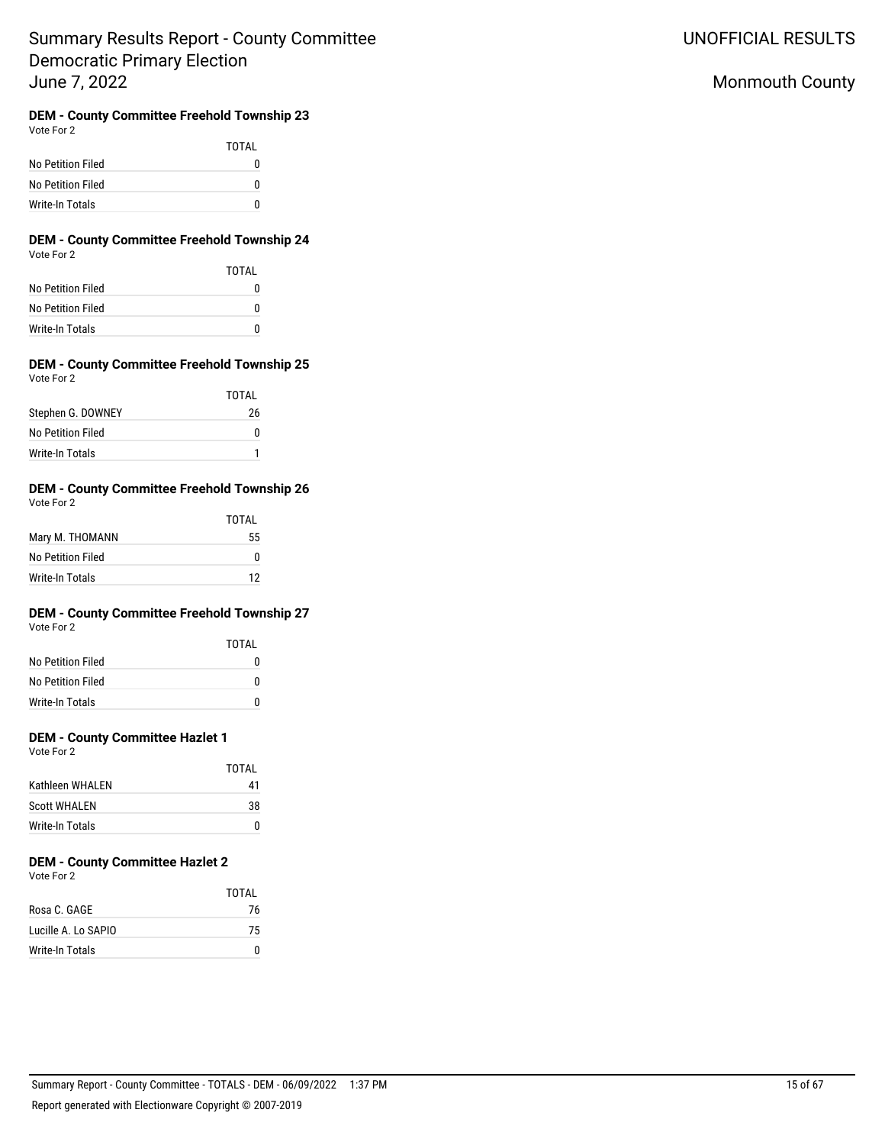UNOFFICIAL RESULTS

# Monmouth County

**DEM - County Committee Freehold Township 23** Vote For 2

|                   | TOTAI |
|-------------------|-------|
| No Petition Filed | 0     |
| No Petition Filed | 0     |
| Write-In Totals   |       |

### **DEM - County Committee Freehold Township 24** Vote For 2

|                   | TOTAI |
|-------------------|-------|
| No Petition Filed | 0     |
| No Petition Filed | 0     |
| Write-In Totals   | O     |

### **DEM - County Committee Freehold Township 25** Vote For 2

|                   | TOTAI |
|-------------------|-------|
| Stephen G. DOWNEY | 26    |
| No Petition Filed | U     |
| Write-In Totals   |       |

#### **DEM - County Committee Freehold Township 26** Vote For 2

|                   | <b>TOTAL</b> |
|-------------------|--------------|
| Mary M. THOMANN   | 55           |
| No Petition Filed | n            |
| Write-In Totals   | 12           |

# **DEM - County Committee Freehold Township 27**

Vote For 2

|                   | TOTAL    |
|-------------------|----------|
| No Petition Filed | $^{(1)}$ |
| No Petition Filed | n        |
| Write-In Totals   | n        |

## **DEM - County Committee Hazlet 1**

Vote For 2

|                     | TOTAI |
|---------------------|-------|
| Kathleen WHALEN     | 41    |
| <b>Scott WHALEN</b> | 38    |
| Write-In Totals     | n     |

# **DEM - County Committee Hazlet 2**

Vote For 2

|                     | TOTAI |
|---------------------|-------|
| Rosa C. GAGE        | 76    |
| Lucille A. Lo SAPIO | 75    |
| Write-In Totals     |       |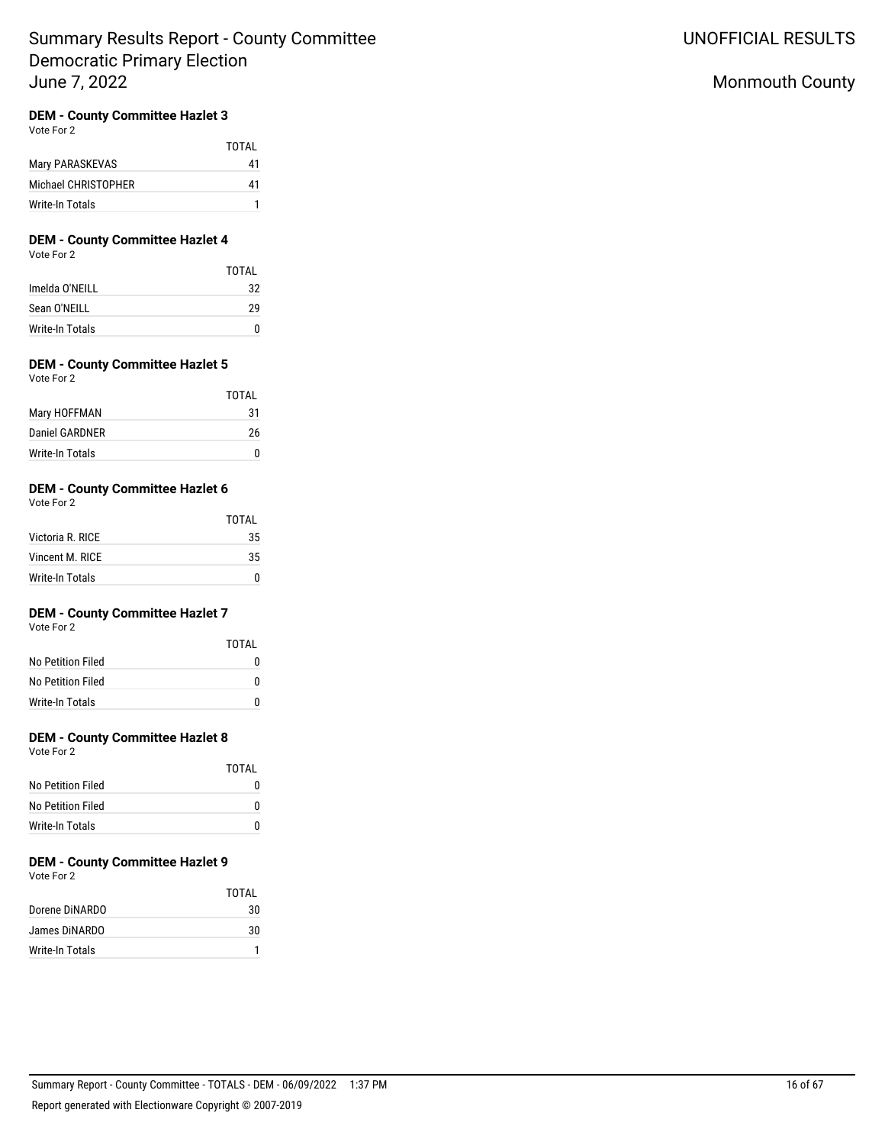## **DEM - County Committee Hazlet 3**

Vote For 2

|                     | TOTAI |
|---------------------|-------|
| Mary PARASKEVAS     | 41    |
| Michael CHRISTOPHER | 41    |
| Write-In Totals     |       |

## **DEM - County Committee Hazlet 4**

Vote For 2

|                 | TOTAL |
|-----------------|-------|
| Imelda O'NEILL  | 32    |
| Sean O'NEILL    | 29    |
| Write-In Totals | n     |

## **DEM - County Committee Hazlet 5**

Vote For 2

|                 | TOTAL |
|-----------------|-------|
| Mary HOFFMAN    | 31    |
| Daniel GARDNER  | 26    |
| Write-In Totals |       |

## **DEM - County Committee Hazlet 6**

Vote For 2

|                  | TOTAL |
|------------------|-------|
| Victoria R. RICE | 35    |
| Vincent M. RICF  | 35    |
| Write-In Totals  |       |

## **DEM - County Committee Hazlet 7**

Vote For 2

|                   | TOTAI |
|-------------------|-------|
| No Petition Filed | O     |
| No Petition Filed | U     |
| Write-In Totals   | n     |

## **DEM - County Committee Hazlet 8**

Vote For 2

|                   | TOTAL |
|-------------------|-------|
| No Petition Filed |       |
| No Petition Filed |       |
| Write-In Totals   |       |

# **DEM - County Committee Hazlet 9**

Vote For 2

|                 | TOTAI |
|-----------------|-------|
| Dorene DINARDO  | 30    |
| James DINARDO   | 30    |
| Write-In Totals |       |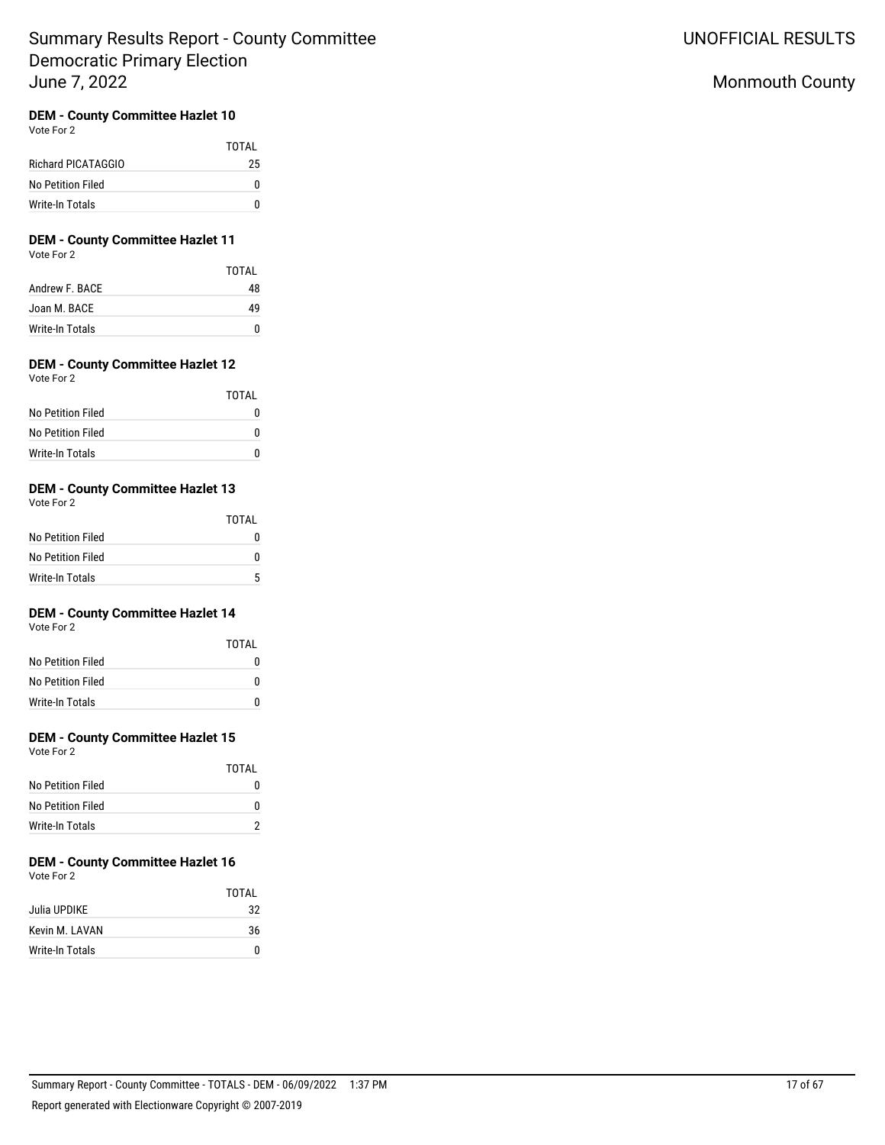# **DEM - County Committee Hazlet 10**

Vote For 2

|                    | TOTAL |
|--------------------|-------|
| Richard PICATAGGIO | 25    |
| No Petition Filed  | O     |
| Write-In Totals    | n     |

# **DEM - County Committee Hazlet 11**

Vote For 2

|                 | TOTAI |
|-----------------|-------|
| Andrew F. BACE  | 48    |
| Joan M. BACE    | 49    |
| Write-In Totals | n     |

## **DEM - County Committee Hazlet 12**

| Vote For 2 |  |  |
|------------|--|--|
|            |  |  |

|                   | TOTAI |
|-------------------|-------|
| No Petition Filed |       |
| No Petition Filed | n     |
| Write-In Totals   | n     |

## **DEM - County Committee Hazlet 13**

Vote For 2

|                   | TOTAI |
|-------------------|-------|
| No Petition Filed | 0     |
| No Petition Filed | o     |
| Write-In Totals   | 5     |

## **DEM - County Committee Hazlet 14**

Vote For 2

|                   | TOTAI |
|-------------------|-------|
| No Petition Filed | 0     |
| No Petition Filed | U     |
| Write-In Totals   | n     |

## **DEM - County Committee Hazlet 15**

Vote For 2

|                   | TOTAL |
|-------------------|-------|
| No Petition Filed | 0     |
| No Petition Filed | n     |
| Write-In Totals   |       |

# **DEM - County Committee Hazlet 16**

Vote For 2

|                 | TOTAI |
|-----------------|-------|
| Julia UPDIKE    | 32    |
| Kevin M. LAVAN  | 36    |
| Write-In Totals | n     |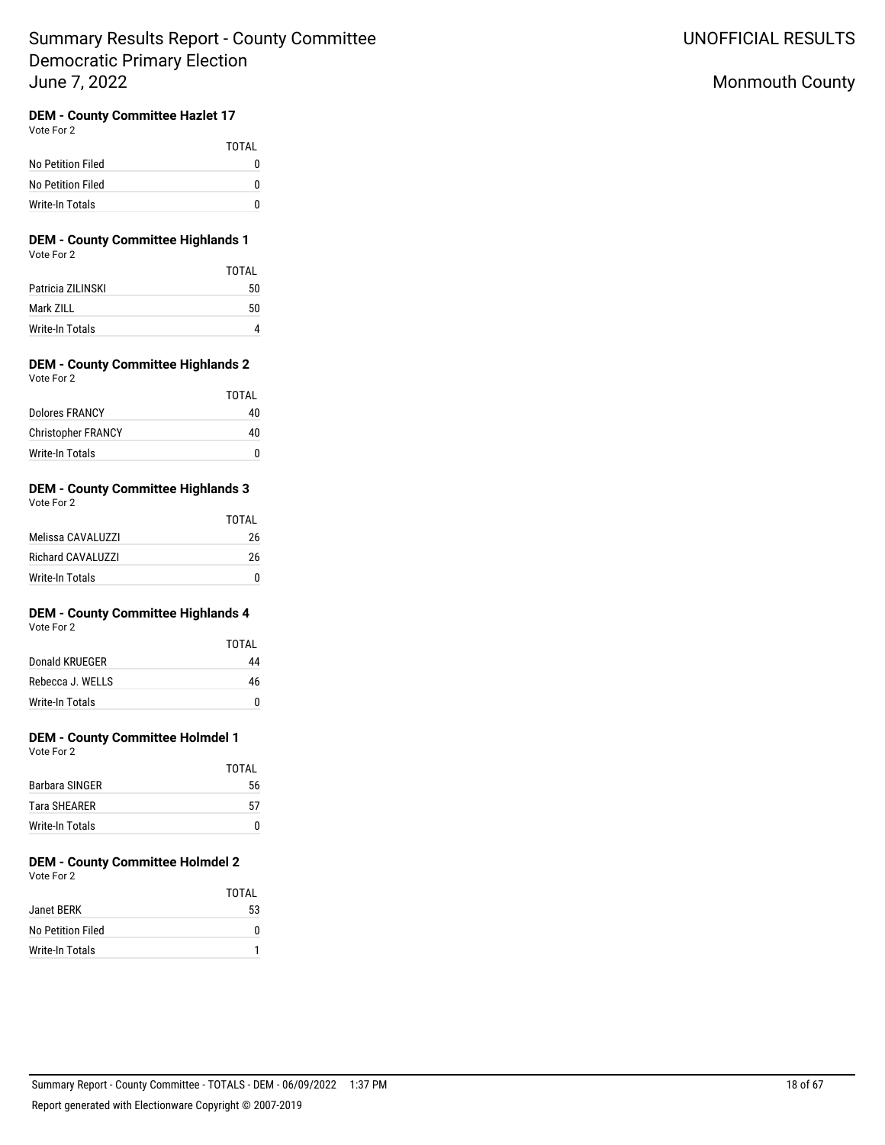# **DEM - County Committee Hazlet 17**

Vote For 2

|                   | TOTAI |
|-------------------|-------|
| No Petition Filed | n     |
| No Petition Filed | n     |
| Write-In Totals   |       |

### **DEM - County Committee Highlands 1** Vote For 2

|                   | <b>TOTAL</b> |
|-------------------|--------------|
| Patricia ZILINSKI | 50           |
| Mark ZILL         | 50           |
| Write-In Totals   |              |

#### **DEM - County Committee Highlands 2** Vote For 2

| $\cdots$                  |       |
|---------------------------|-------|
|                           | TOTAL |
| Dolores FRANCY            | 40    |
| <b>Christopher FRANCY</b> | 40    |
| Write-In Totals           | n     |

## **DEM - County Committee Highlands 3**

| Vote For 2               |       |
|--------------------------|-------|
|                          | TOTAL |
| Melissa CAVALUZZI        | 26    |
| <b>Richard CAVALUZZI</b> | 26    |
| Write-In Totals          |       |

# **DEM - County Committee Highlands 4**

Vote For 2

|                  | TOTAI |
|------------------|-------|
| Donald KRUFGER   | 44    |
| Rebecca J. WELLS | 46    |
| Write-In Totals  |       |

## **DEM - County Committee Holmdel 1**

Vote For 2

|                     | TOTAI |
|---------------------|-------|
| Barbara SINGER      | 56    |
| <b>Tara SHFARFR</b> | 57    |
| Write-In Totals     |       |

# **DEM - County Committee Holmdel 2**

Vote For 2

|                   | TOTAL |
|-------------------|-------|
| Janet BERK        | 53    |
| No Petition Filed | n     |
| Write-In Totals   |       |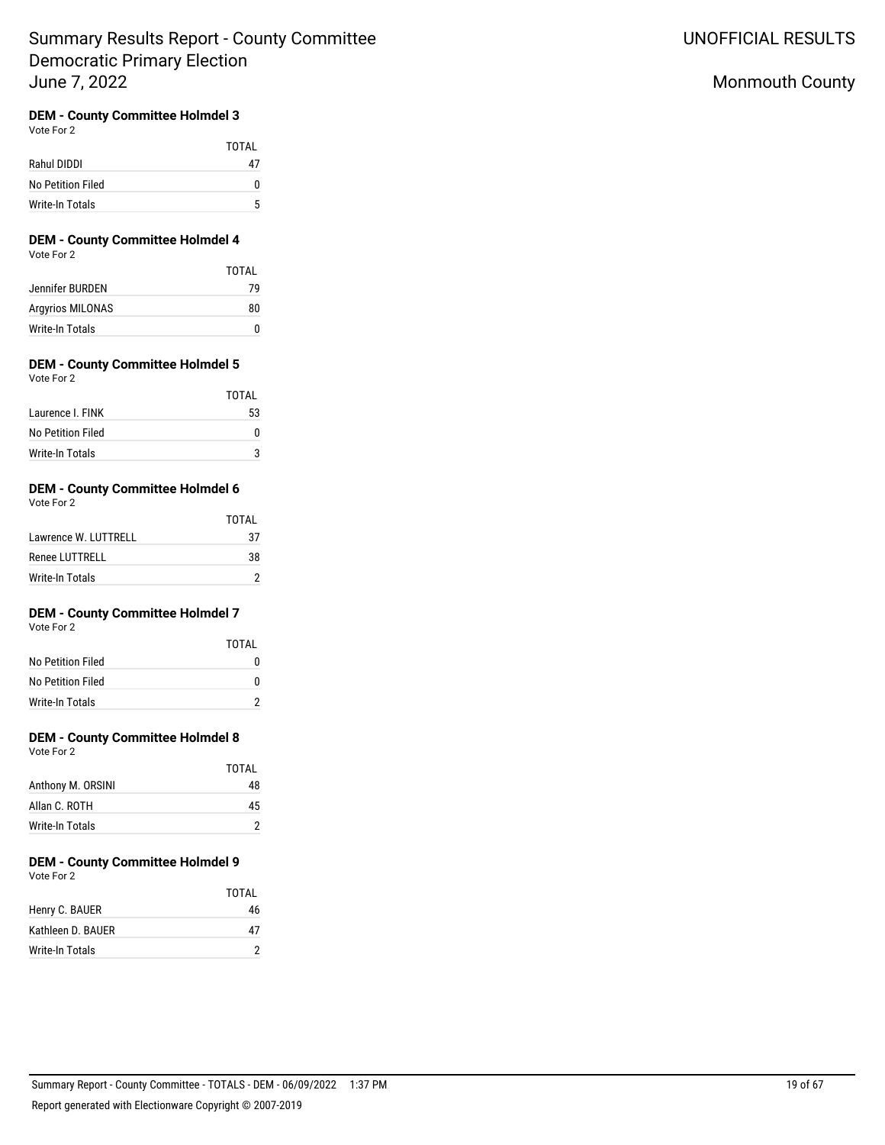# Monmouth County

## **DEM - County Committee Holmdel 3**

Vote For 2

|                   | TOTAL |
|-------------------|-------|
| Rahul DIDDI       | 47    |
| No Petition Filed | o     |
| Write-In Totals   | Б,    |

# **DEM - County Committee Holmdel 4**

Vote For 2

| TOTAL |
|-------|
| 79    |
| 80    |
| n     |
|       |

# **DEM - County Committee Holmdel 5**

| Vote For 2 |  |
|------------|--|
|------------|--|

|                   | TOTAI |
|-------------------|-------|
| Laurence I. FINK  | 53    |
| No Petition Filed |       |
| Write-In Totals   |       |

#### **DEM - County Committee Holmdel 6** Vote For 2

| $\cdots$             |       |
|----------------------|-------|
|                      | TOTAI |
| Lawrence W. LUTTRELL | 37    |
| Renee LUTTRELL       | 38    |
| Write-In Totals      |       |

## **DEM - County Committee Holmdel 7**

Vote For 2

|                   | TOTAI |
|-------------------|-------|
| No Petition Filed | O     |
| No Petition Filed | O     |
| Write-In Totals   |       |

## **DEM - County Committee Holmdel 8**

Vote For 2

|                   | TOTAI |
|-------------------|-------|
| Anthony M. ORSINI | 48    |
| Allan C. ROTH     | 45    |
| Write-In Totals   |       |

#### **DEM - County Committee Holmdel 9** Vote For 2

| VULCIUI <i>L</i>  | TOTAL |
|-------------------|-------|
| Henry C. BAUER    | 46    |
| Kathleen D. BAUER | 47    |
| Write-In Totals   | 2     |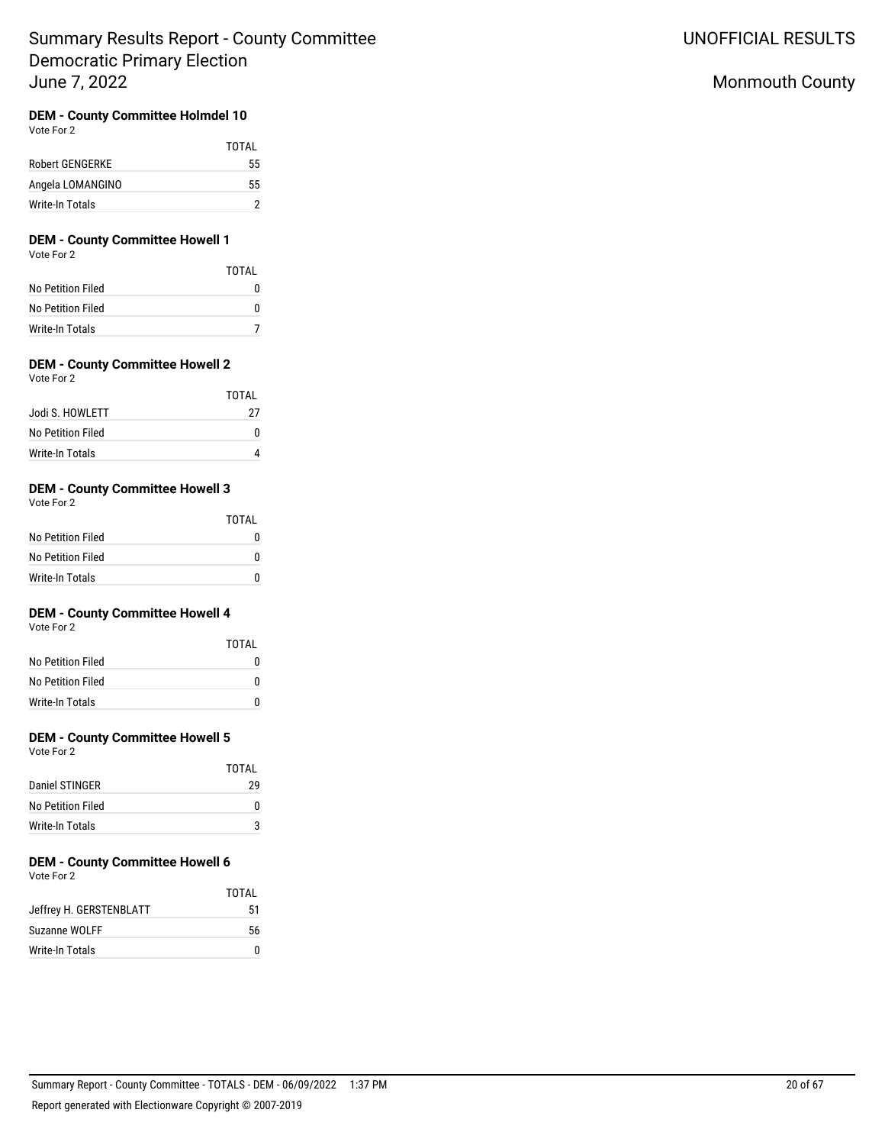# Monmouth County

## **DEM - County Committee Holmdel 10**

Vote For 2

|                        | TOTAI |
|------------------------|-------|
| <b>Robert GENGERKE</b> | 55    |
| Angela LOMANGINO       | 55    |
| Write-In Totals        |       |

# **DEM - County Committee Howell 1**

Vote For 2

|                   | TOTAI |
|-------------------|-------|
| No Petition Filed | n     |
| No Petition Filed | n     |
| Write-In Totals   |       |

## **DEM - County Committee Howell 2**

Vote For 2

|                   | TOTAI |
|-------------------|-------|
| Jodi S. HOWLETT   | 27    |
| No Petition Filed |       |
| Write-In Totals   |       |

## **DEM - County Committee Howell 3**

Vote For 2

|                   | TOTAL |
|-------------------|-------|
| No Petition Filed |       |
| No Petition Filed |       |
| Write-In Totals   |       |

## **DEM - County Committee Howell 4**

Vote For 2

|                   | TOTAI |
|-------------------|-------|
| No Petition Filed | 0     |
| No Petition Filed | 0     |
| Write-In Totals   | O     |

## **DEM - County Committee Howell 5**

Vote For 2

|                   | TOTAI |
|-------------------|-------|
| Daniel STINGER    | 29    |
| No Petition Filed | o     |
| Write-In Totals   | 3     |

# **DEM - County Committee Howell 6**

Vote For 2

|                         | TOTAI |
|-------------------------|-------|
| Jeffrey H. GERSTENBLATT | 51    |
| Suzanne WOLFF           | 56    |
| Write-In Totals         |       |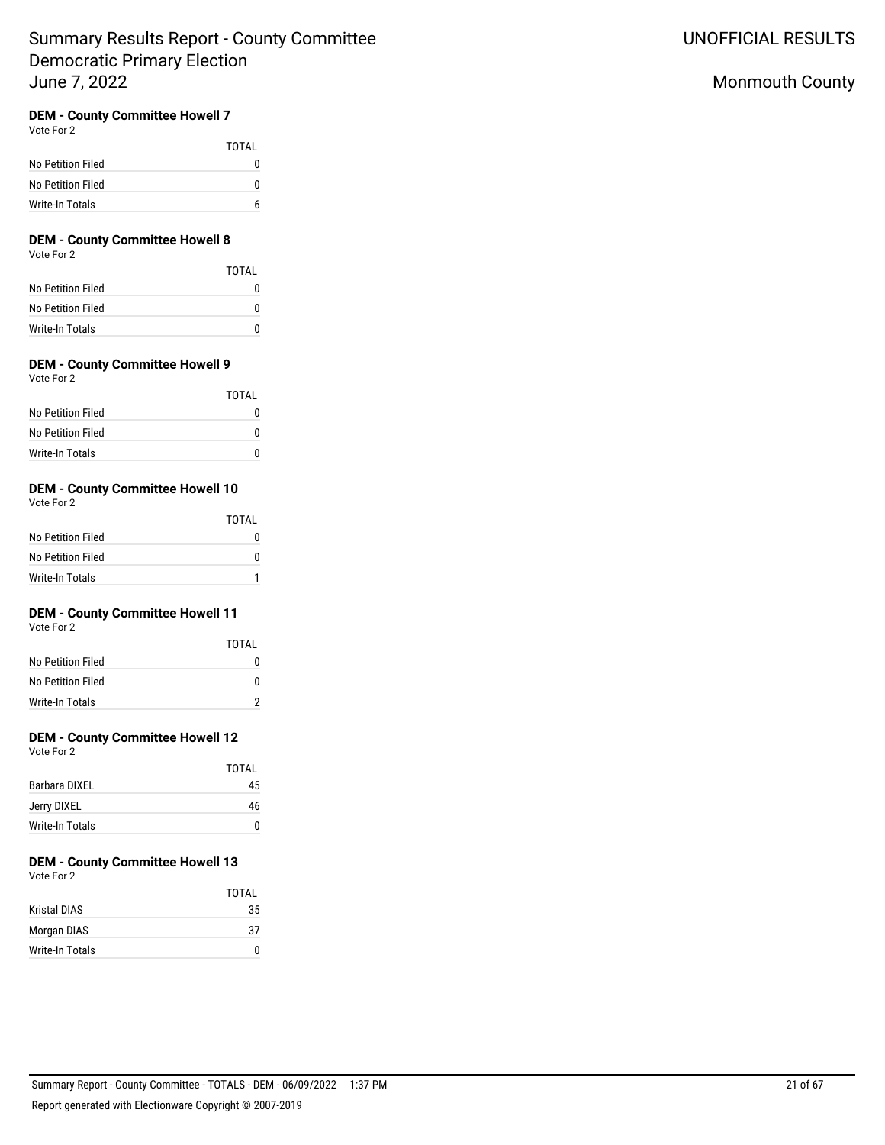## **DEM - County Committee Howell 7**

Vote For 2

|                   | TOTAI |
|-------------------|-------|
| No Petition Filed | O     |
| No Petition Filed | n     |
| Write-In Totals   | h     |

## **DEM - County Committee Howell 8**

Vote For 2

|                   | TOTAL |
|-------------------|-------|
| No Petition Filed |       |
| No Petition Filed | n     |
| Write-In Totals   |       |

## **DEM - County Committee Howell 9**

Vote For 2

|                   | TOTAI |
|-------------------|-------|
| No Petition Filed |       |
| No Petition Filed |       |
| Write-In Totals   |       |

## **DEM - County Committee Howell 10**

Vote For 2

|                   | <b>TOTAL</b> |
|-------------------|--------------|
| No Petition Filed |              |
| No Petition Filed |              |
| Write-In Totals   |              |

## **DEM - County Committee Howell 11**

Vote For 2

|                   | TOTAI |
|-------------------|-------|
| No Petition Filed | 0     |
| No Petition Filed | U     |
| Write-In Totals   |       |

## **DEM - County Committee Howell 12**

Vote For 2

|                 | TOTAI |
|-----------------|-------|
| Barbara DIXEL   | 45    |
| Jerry DIXEL     | 46    |
| Write-In Totals | n     |

# **DEM - County Committee Howell 13**

Vote For 2

|                     | TOTAI |
|---------------------|-------|
| <b>Kristal DIAS</b> | 35    |
| Morgan DIAS         | 37    |
| Write-In Totals     | n     |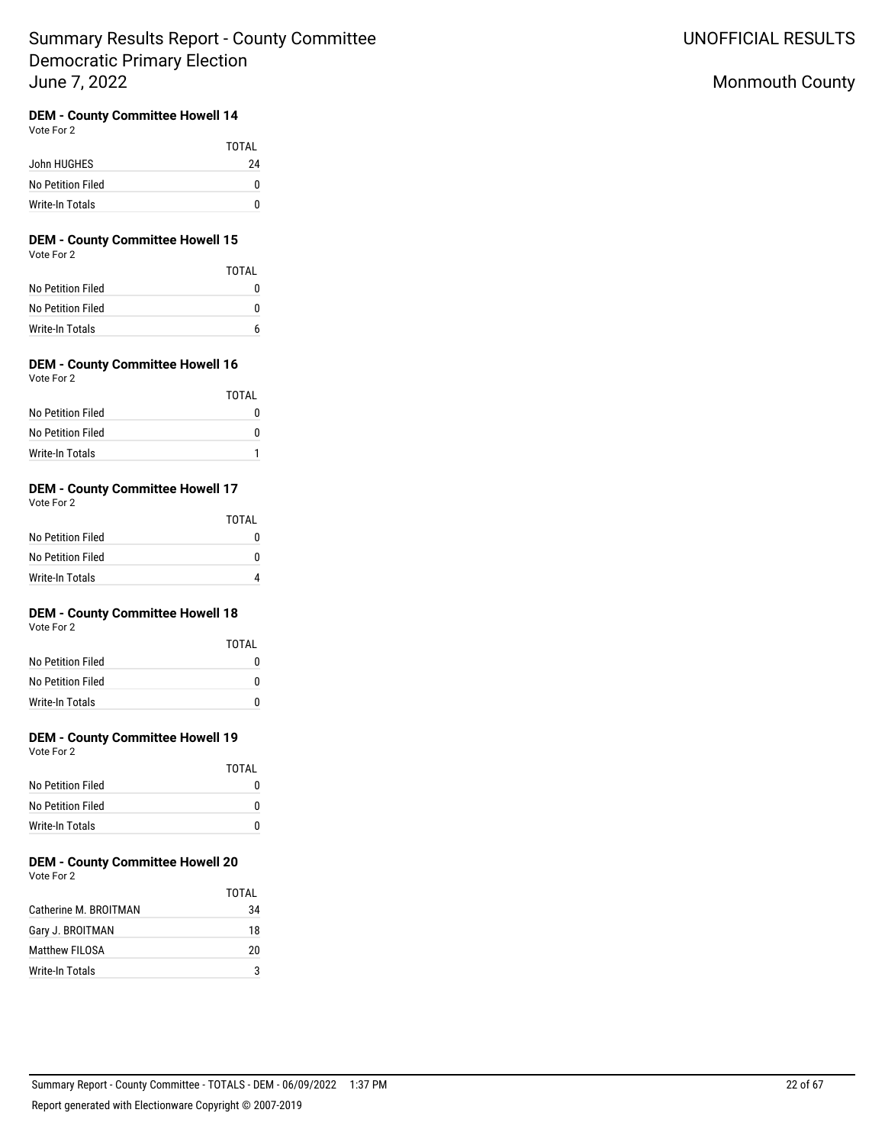# Monmouth County

## **DEM - County Committee Howell 14**

Vote For 2

|                   | <b>TOTAL</b> |
|-------------------|--------------|
| John HUGHES       | 24           |
| No Petition Filed |              |
| Write-In Totals   |              |

### **DEM - County Committee Howell 15** Vote For 2

|                   | TOTAI |
|-------------------|-------|
| No Petition Filed |       |
| No Petition Filed | n     |
| Write-In Totals   | h     |

# **DEM - County Committee Howell 16**

| Vote For |  |
|----------|--|
|----------|--|

|                   | TOTAL |
|-------------------|-------|
| No Petition Filed |       |
| No Petition Filed | O     |
| Write-In Totals   |       |

## **DEM - County Committee Howell 17**

Vote For 2

|                   | TOTAL |
|-------------------|-------|
| No Petition Filed |       |
| No Petition Filed |       |
| Write-In Totals   |       |

## **DEM - County Committee Howell 18**

Vote For 2

|                   | TOTAI |
|-------------------|-------|
| No Petition Filed | 0     |
| No Petition Filed | n     |
| Write-In Totals   | n     |

## **DEM - County Committee Howell 19**

Vote For 2

|                   | TOTAI |
|-------------------|-------|
| No Petition Filed |       |
| No Petition Filed |       |
| Write-In Totals   |       |

#### **DEM - County Committee Howell 20** Vote For 2

|                       | TOTAI |
|-----------------------|-------|
| Catherine M. BROITMAN | 34    |
| Gary J. BROITMAN      | 18    |
| Matthew FILOSA        | 20    |
| Write-In Totals       | ঽ     |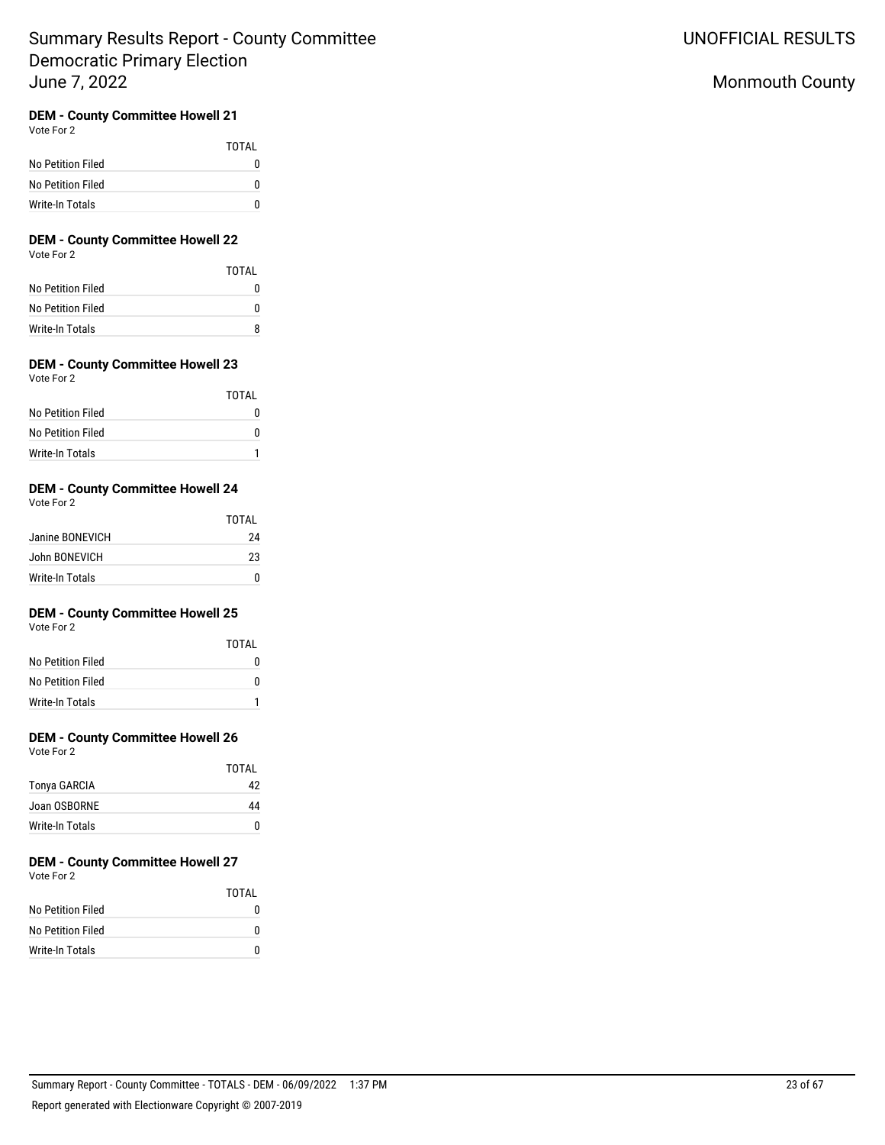# Monmouth County

## **DEM - County Committee Howell 21**

Vote For 2

|                   | <b>TOTAL</b> |
|-------------------|--------------|
| No Petition Filed |              |
| No Petition Filed |              |
| Write-In Totals   |              |

# **DEM - County Committee Howell 22**

Vote For 2

|                   | TOTAL |
|-------------------|-------|
| No Petition Filed |       |
| No Petition Filed | n     |
| Write-In Totals   |       |

# **DEM - County Committee Howell 23**

| Vote For 2 |  |
|------------|--|
|            |  |

|                   | TOTAL |
|-------------------|-------|
| No Petition Filed |       |
| No Petition Filed |       |
| Write-In Totals   |       |

## **DEM - County Committee Howell 24**

| Vote For 2 |  |
|------------|--|
|------------|--|

|                 | TOTAI |
|-----------------|-------|
| Janine BONEVICH | 24    |
| John BONEVICH   | 23    |
| Write-In Totals |       |

## **DEM - County Committee Howell 25**

Vote For 2

|                   | TOTAI |
|-------------------|-------|
| No Petition Filed | O     |
| No Petition Filed | n     |
| Write-In Totals   |       |

## **DEM - County Committee Howell 26**

Vote For 2

|                 | TOTAI |
|-----------------|-------|
| Tonya GARCIA    | 42    |
| Joan OSBORNE    | 44    |
| Write-In Totals |       |

# **DEM - County Committee Howell 27**

Vote For 2

|                   | TOTAI |
|-------------------|-------|
| No Petition Filed |       |
| No Petition Filed |       |
| Write-In Totals   |       |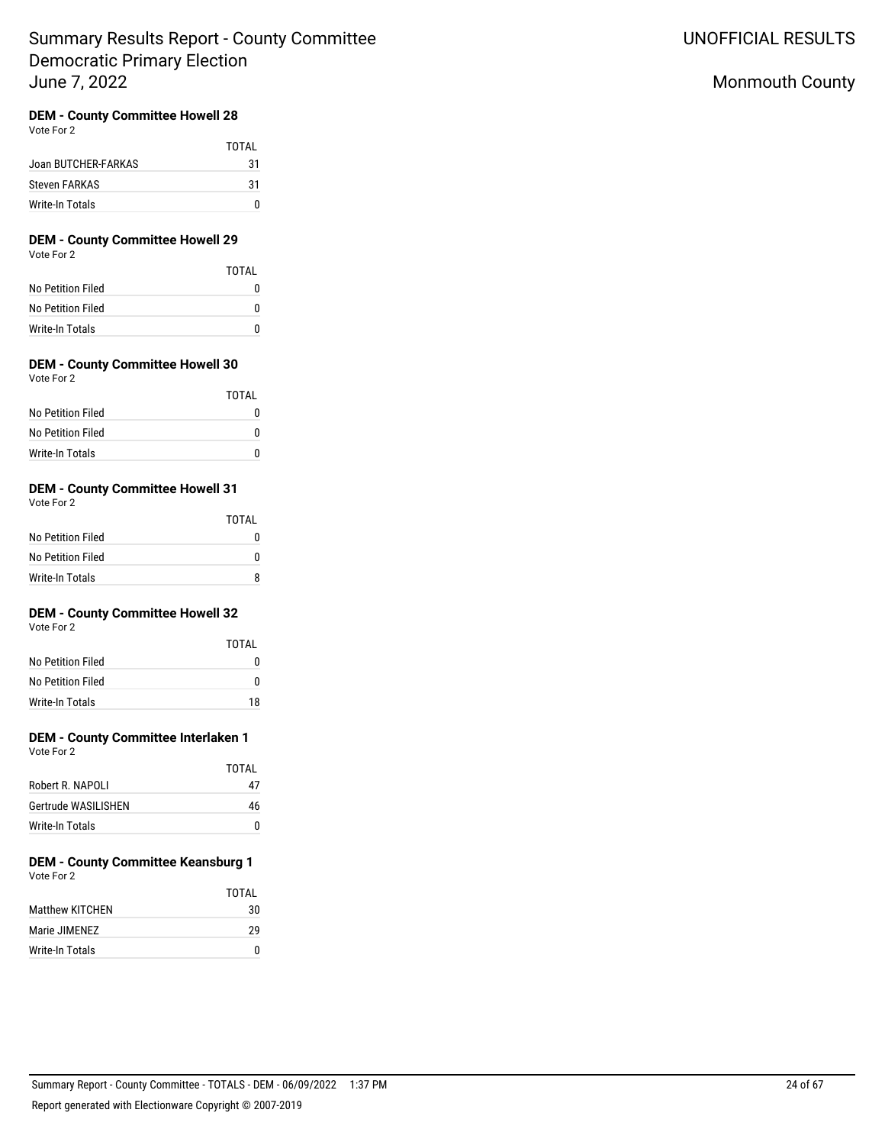## **DEM - County Committee Howell 28**

Vote For 2

|                     | TOTAI |
|---------------------|-------|
| Joan BUTCHER-FARKAS | 31    |
| Steven FARKAS       | 31    |
| Write-In Totals     |       |

# **DEM - County Committee Howell 29**

Vote For 2

|                   | <b>TOTAL</b> |
|-------------------|--------------|
| No Petition Filed |              |
| No Petition Filed |              |
| Write-In Totals   |              |

## **DEM - County Committee Howell 30**

| Vote For 2 |  |
|------------|--|
|            |  |

|                   | TOTAL |
|-------------------|-------|
| No Petition Filed |       |
| No Petition Filed |       |
| Write-In Totals   |       |

## **DEM - County Committee Howell 31**

Vote For 2

|                   | TOTAI |
|-------------------|-------|
| No Petition Filed | 0     |
| No Petition Filed | o     |
| Write-In Totals   | R     |

## **DEM - County Committee Howell 32**

Vote For 2

|                   | TOTAI |
|-------------------|-------|
| No Petition Filed | n     |
| No Petition Filed | n     |
| Write-In Totals   | 18    |

# **DEM - County Committee Interlaken 1**

Vote For 2

|                     | TOTAI |
|---------------------|-------|
| Robert R. NAPOLI    | 47    |
| Gertrude WASILISHEN | 46    |
| Write-In Totals     | O     |

#### **DEM - County Committee Keansburg 1** Vote For 2

|                 | TOTAI |
|-----------------|-------|
| Matthew KITCHEN | 30    |
| Marie JIMENEZ   | 29    |
| Write-In Totals | n     |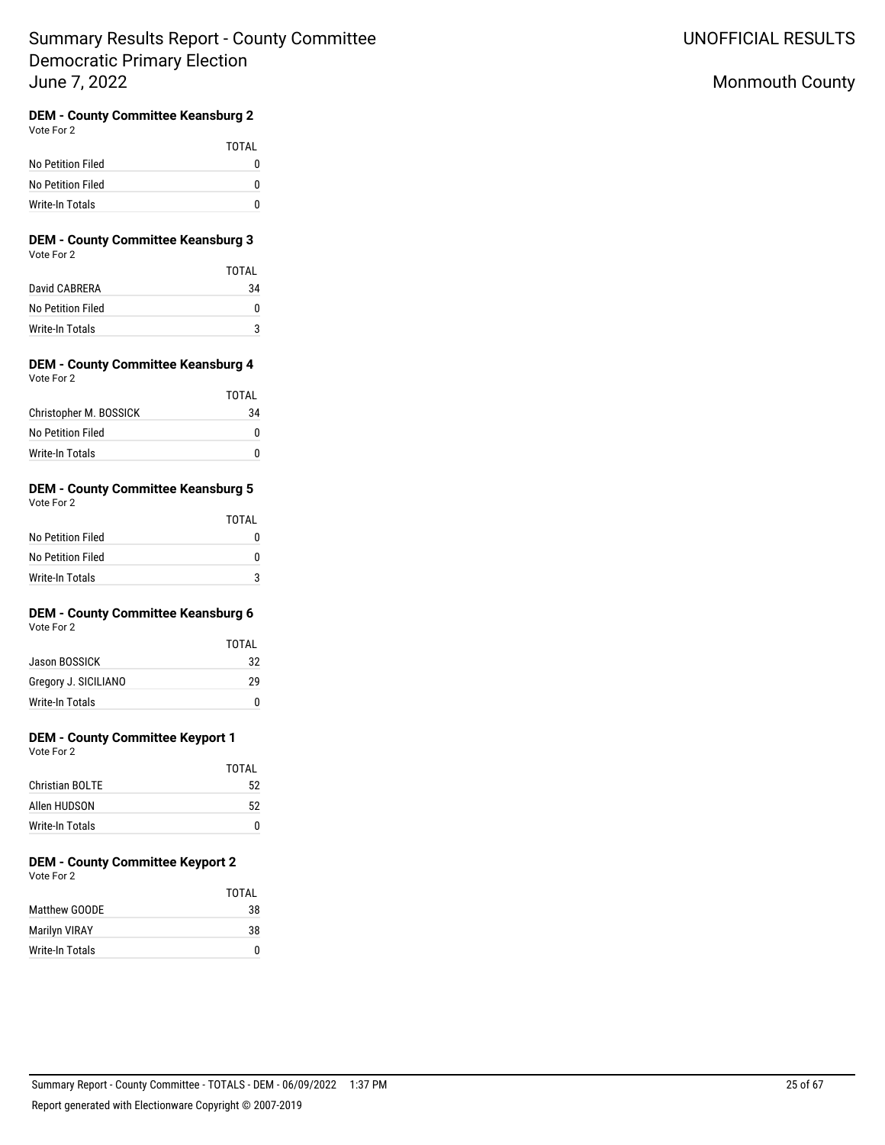# Monmouth County

# **DEM - County Committee Keansburg 2**

| Vote For 2 |  |
|------------|--|
|------------|--|

|                   | TOTAI    |
|-------------------|----------|
| No Petition Filed | $^{(1)}$ |
| No Petition Filed | o        |
| Write-In Totals   | n        |

### **DEM - County Committee Keansburg 3** Vote For 2

|                   | TOTAI |
|-------------------|-------|
| David CABRERA     | 34    |
| No Petition Filed | O     |
| Write-In Totals   |       |

### **DEM - County Committee Keansburg 4** Vote For 2

|                        | TOTAL |
|------------------------|-------|
| Christopher M. BOSSICK | 34    |
| No Petition Filed      |       |
| Write-In Totals        |       |

## **DEM - County Committee Keansburg 5**

| Vote For 2        |       |
|-------------------|-------|
|                   | TOTAL |
| No Petition Filed | N     |
| No Petition Filed | ŋ     |
| Write-In Totals   | 3     |

## **DEM - County Committee Keansburg 6**

Vote For 2

|                      | TOTAI |
|----------------------|-------|
| Jason BOSSICK        | 32    |
| Gregory J. SICILIANO | 29    |
| Write-In Totals      | n     |

## **DEM - County Committee Keyport 1**

Vote For 2

| TOTAL |
|-------|
| 52    |
| 52    |
| n     |
|       |

# **DEM - County Committee Keyport 2**

Vote For 2

|                      | TOTAL |
|----------------------|-------|
| Matthew GOODE        | 38    |
| <b>Marilyn VIRAY</b> | 38    |
| Write-In Totals      | n     |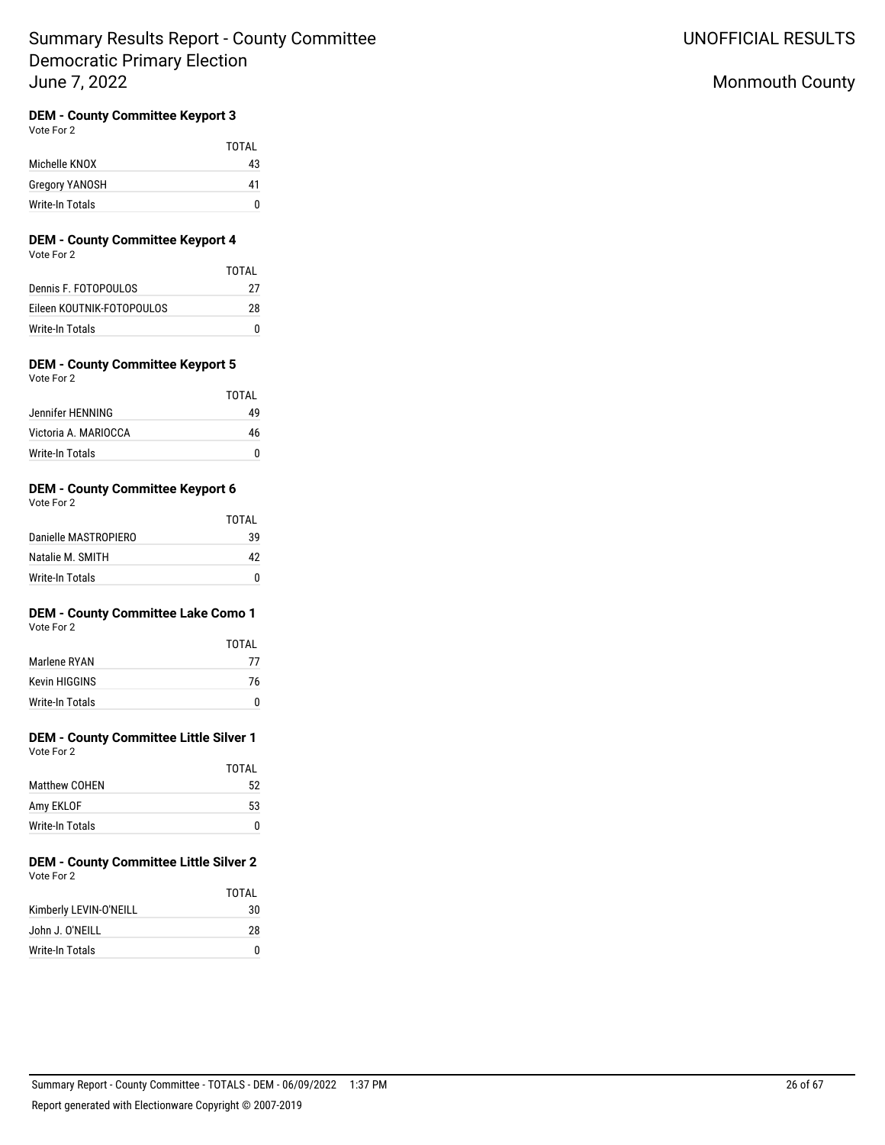# Monmouth County

## **DEM - County Committee Keyport 3**

Vote For 2

|                 | <b>TOTAL</b> |
|-----------------|--------------|
| Michelle KNOX   | 43           |
| Gregory YANOSH  | 41           |
| Write-In Totals |              |

# **DEM - County Committee Keyport 4**

Vote For 2

|                           | TOTAI |
|---------------------------|-------|
| Dennis F. FOTOPOULOS      | 27    |
| Eileen KOUTNIK-FOTOPOULOS | 28    |
| Write-In Totals           |       |

#### **DEM - County Committee Keyport 5** Vote For 2

| VULT FULZ            |       |
|----------------------|-------|
|                      | TOTAL |
| Jennifer HENNING     | 49    |
| Victoria A. MARIOCCA | 46    |
| Write-In Totals      | n     |

## **DEM - County Committee Keyport 6**

| Vote For 2 |  |  |
|------------|--|--|
|            |  |  |

|                      | TOTAL |
|----------------------|-------|
| Danielle MASTROPIERO | 39    |
| Natalie M. SMITH     | 42    |
| Write-In Totals      |       |

# **DEM - County Committee Lake Como 1**

Vote For 2

|                 | TOTAI |
|-----------------|-------|
| Marlene RYAN    | 77    |
| Kevin HIGGINS   | 76    |
| Write-In Totals | n     |

# **DEM - County Committee Little Silver 1**

Vote For 2

|                 | TOTAL |
|-----------------|-------|
| Matthew COHEN   | 52    |
| Amy EKLOF       | 53    |
| Write-In Totals | 0     |

#### **DEM - County Committee Little Silver 2** Vote For 2

|                        | TOTAI |
|------------------------|-------|
| Kimberly LEVIN-O'NEILL | 30    |
| John J. O'NEILL        | 28    |
| Write-In Totals        | n     |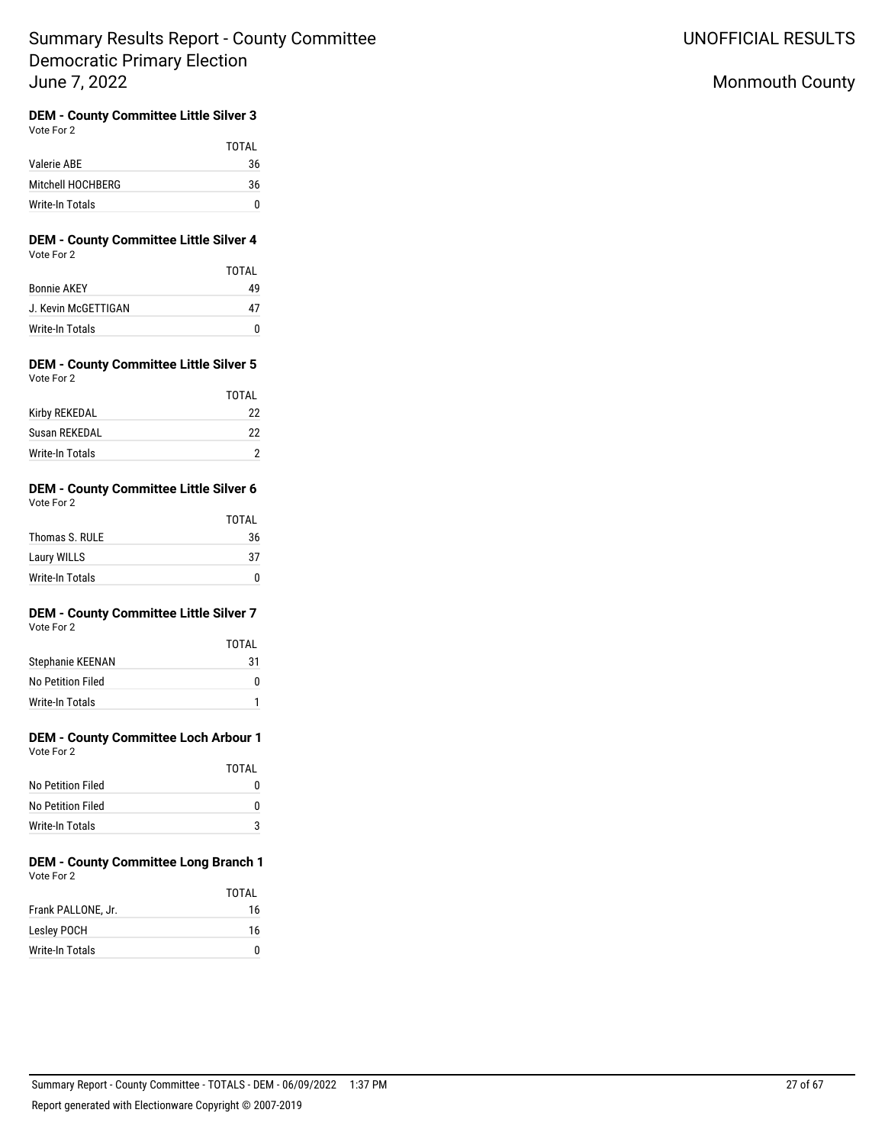# Monmouth County

# **DEM - County Committee Little Silver 3**

|                   | TOTAI |
|-------------------|-------|
| Valerie ABE       | 36    |
| Mitchell HOCHBERG | 36    |
| Write-In Totals   | n     |

## **DEM - County Committee Little Silver 4** Vote For 2

|                     | TOTAI |
|---------------------|-------|
| <b>Bonnie AKEY</b>  | 49    |
| J. Kevin McGETTIGAN | 47    |
| Write-In Totals     | n     |

### **DEM - County Committee Little Silver 5** Vote For 2

|                 | TOTAI |
|-----------------|-------|
| Kirby REKEDAL   | 22    |
| Susan REKEDAL   | 22    |
| Write-In Totals |       |

#### **DEM - County Committee Little Silver 6** Vote For 2

| $\cdots$        |              |
|-----------------|--------------|
|                 | <b>TOTAL</b> |
| Thomas S. RULE  | 36           |
| Laury WILLS     | 37           |
| Write-In Totals |              |

# **DEM - County Committee Little Silver 7**

Vote For 2

|                   | TOTAI |
|-------------------|-------|
| Stephanie KEENAN  | 31    |
| No Petition Filed |       |
| Write-In Totals   |       |

# **DEM - County Committee Loch Arbour 1**

| Vote For 2 |  |
|------------|--|
|            |  |

|                   | TOTAI        |
|-------------------|--------------|
| No Petition Filed | $\mathbf{I}$ |
| No Petition Filed | o            |
| Write-In Totals   | ঽ            |

#### **DEM - County Committee Long Branch 1** Vote For 2

|                        | <b>TOTAL</b> |
|------------------------|--------------|
| Frank PALLONE, Jr.     | 16           |
| Lesley POCH            | 16           |
| <b>Write-In Totals</b> |              |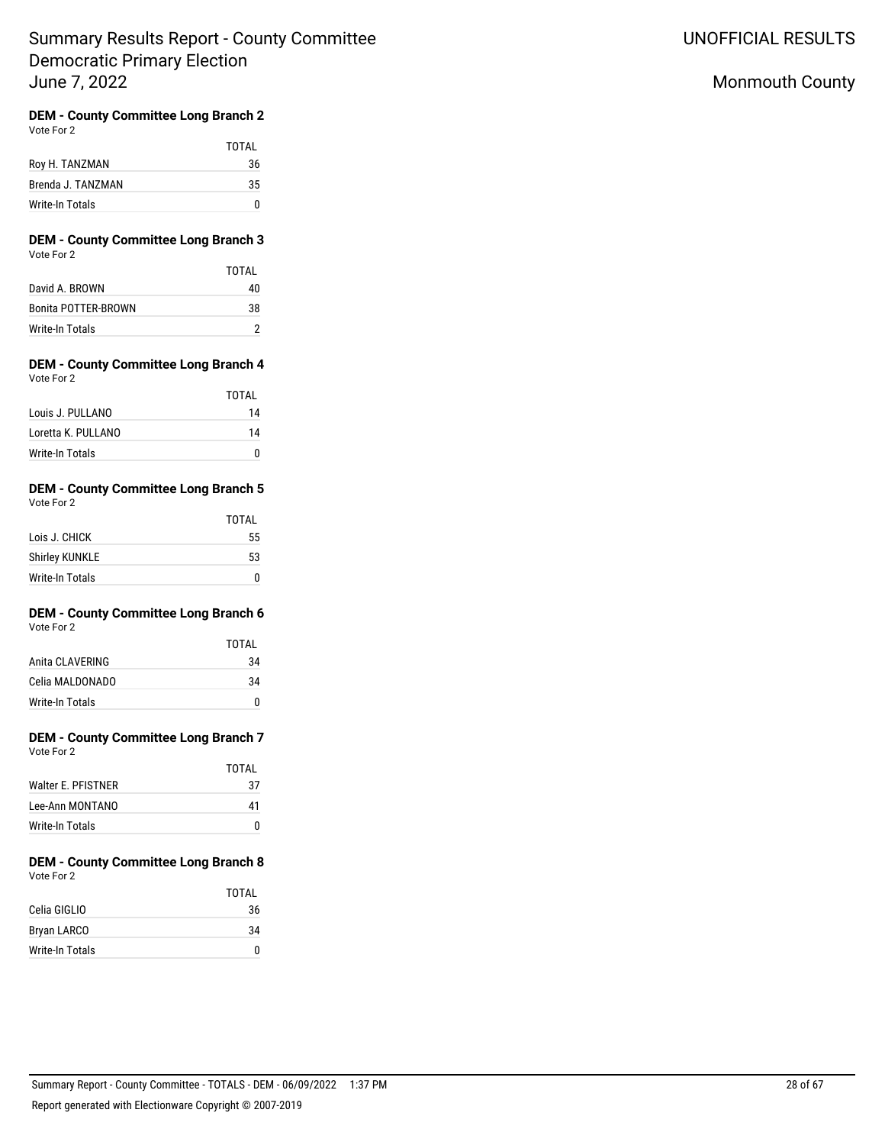UNOFFICIAL RESULTS

# Monmouth County

#### **DEM - County Committee Long Branch 2** Vote For 2

|                   | TOTAL |
|-------------------|-------|
| Roy H. TANZMAN    | 36    |
| Brenda J. TANZMAN | 35    |
| Write-In Totals   |       |

### **DEM - County Committee Long Branch 3** Vote For 2

|                     | TOTAI |
|---------------------|-------|
| David A. BROWN      | 40    |
| Bonita POTTER-BROWN | 38    |
| Write-In Totals     |       |

### **DEM - County Committee Long Branch 4** Vote For 2

|                    | TOTAL |
|--------------------|-------|
| Louis J. PULLANO   | 14    |
| Loretta K. PULLANO | 14    |
| Write-In Totals    |       |

## **DEM - County Committee Long Branch 5** Vote For 2

|                       | <b>TOTAL</b> |
|-----------------------|--------------|
| Lois J. CHICK         | 55           |
| <b>Shirley KUNKLE</b> | 53           |
| Write-In Totals       |              |

#### **DEM - County Committee Long Branch 6** Vote For 2

|                 | <b>TOTAL</b> |
|-----------------|--------------|
| Anita CLAVERING | 34           |
| Celia MALDONADO | 34           |
| Write-In Totals |              |

#### **DEM - County Committee Long Branch 7** Vote For 2

| VULTE FUIZ         |       |
|--------------------|-------|
|                    | TOTAI |
| Walter E. PFISTNER | 37    |
| Lee-Ann MONTANO    | 41    |
| Write-In Totals    |       |

### **DEM - County Committee Long Branch 8** Vote For 2

|                 | <b>TOTAL</b> |
|-----------------|--------------|
| Celia GIGLIO    | 36           |
| Bryan LARCO     | 34           |
| Write-In Totals | n            |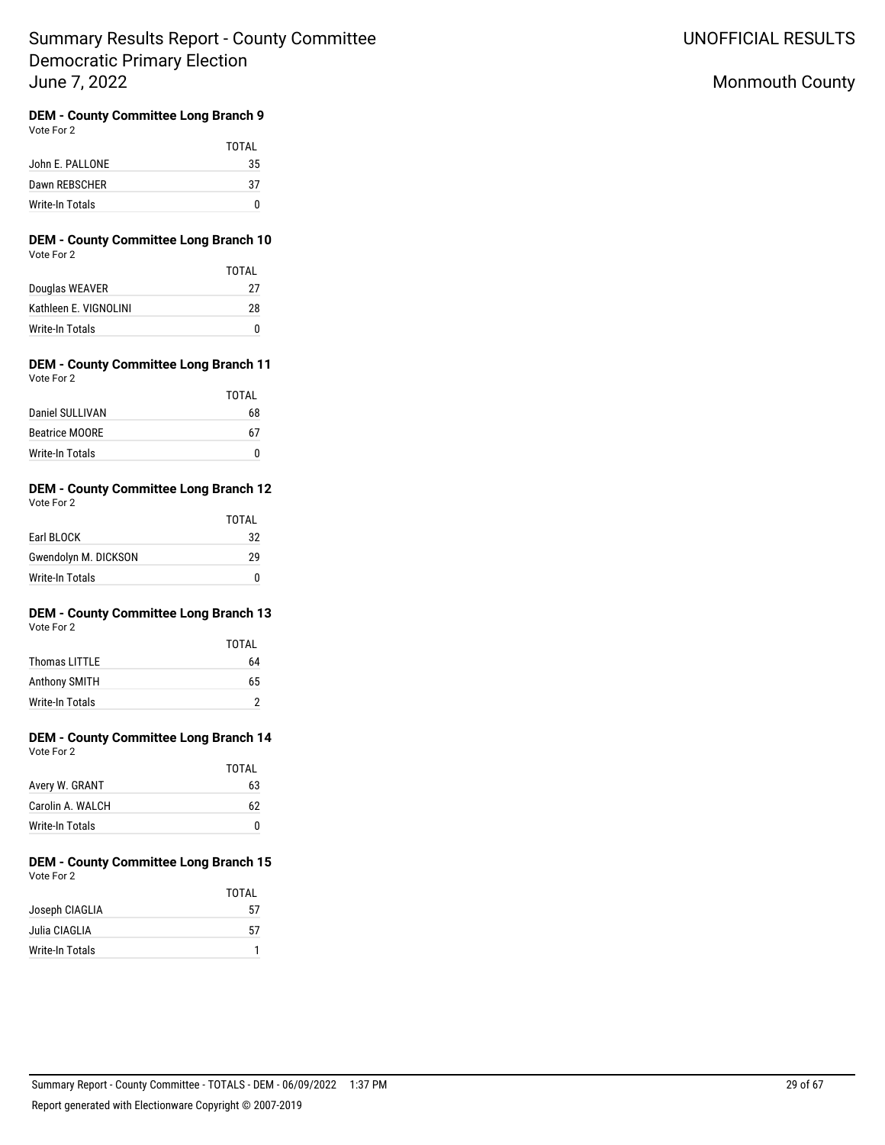UNOFFICIAL RESULTS

# Monmouth County

# **DEM - County Committee Long Branch 9**

| Vote For 2 |
|------------|
|------------|

|                 | TOTAI |
|-----------------|-------|
| John E. PALLONE | 35    |
| Dawn REBSCHER   | 37    |
| Write-In Totals |       |

## **DEM - County Committee Long Branch 10** Vote For 2

|                       | TOTAI |
|-----------------------|-------|
| Douglas WEAVER        | 27    |
| Kathleen F. VIGNOLINI | 28    |
| Write-In Totals       | n     |

### **DEM - County Committee Long Branch 11** Vote For 2

|                       | TOTAI |
|-----------------------|-------|
| Daniel SULLIVAN       | 68    |
| <b>Beatrice MOORE</b> | 67    |
| Write-In Totals       |       |

#### **DEM - County Committee Long Branch 12** Vote For 2

| VULTE FUILL          |       |
|----------------------|-------|
|                      | TOTAL |
| Earl BLOCK           | 32    |
| Gwendolyn M. DICKSON | 29    |
| Write-In Totals      |       |

# **DEM - County Committee Long Branch 13**

|                      | <b>TOTAL</b> |
|----------------------|--------------|
| Thomas LITTLE        | 64           |
| <b>Anthony SMITH</b> | 65           |
| Write-In Totals      |              |

# **DEM - County Committee Long Branch 14**

TOTAL

| Vote For 2 |  |
|------------|--|
|            |  |

| IUIAL |
|-------|
| 63    |
| 62    |
| n     |
|       |

#### **DEM - County Committee Long Branch 15** Vote For 2

|                 | TOTAI |
|-----------------|-------|
| Joseph CIAGLIA  | 57    |
| Julia CIAGLIA   | 57    |
| Write-In Totals |       |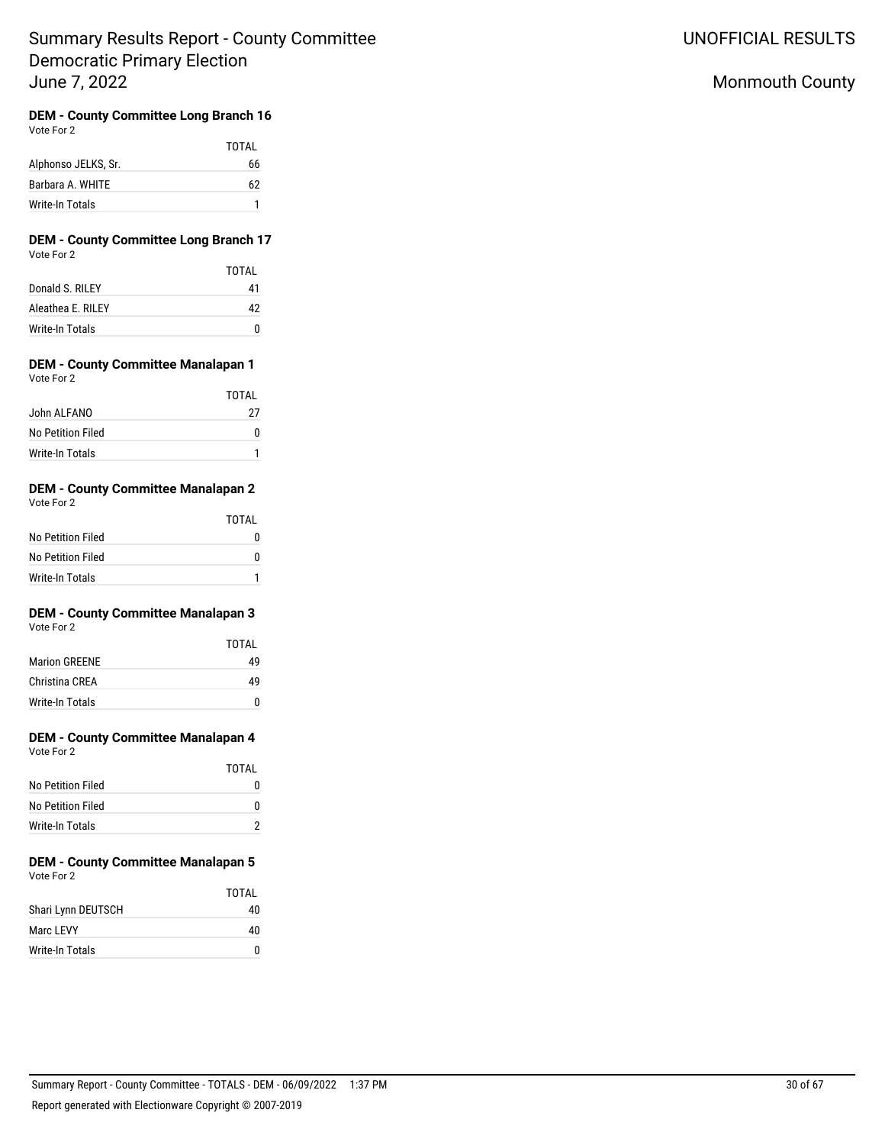UNOFFICIAL RESULTS

# Monmouth County

#### **DEM - County Committee Long Branch 16** Vote For 2

|                     | TOTAL |
|---------------------|-------|
| Alphonso JELKS, Sr. | 66    |
| Barbara A. WHITE    | 62    |
| Write-In Totals     |       |

### **DEM - County Committee Long Branch 17** Vote For 2

|                    | TOTAI |
|--------------------|-------|
| Donald S. RILEY    | 41    |
| Aleathea F. RII FY | 42    |
| Write-In Totals    |       |

#### **DEM - County Committee Manalapan 1** Vote For 2

|                        | TOTAL |
|------------------------|-------|
| John ALFANO            | 27    |
| No Petition Filed      | O     |
| <b>Write-In Totals</b> |       |

## **DEM - County Committee Manalapan 2**

| Vote For 2             |       |
|------------------------|-------|
|                        | TOTAL |
| No Petition Filed      | n     |
| No Petition Filed      | n     |
| <b>Write-In Totals</b> |       |

# **DEM - County Committee Manalapan 3**

|                      | TOTAI |
|----------------------|-------|
| <b>Marion GREENE</b> | 49    |
| Christina CREA       | 49    |
| Write-In Totals      | O     |

# **DEM - County Committee Manalapan 4**

| Vote For 2 |  |
|------------|--|
|------------|--|

|                   | TOTAI        |
|-------------------|--------------|
| No Petition Filed | $\mathbf{I}$ |
| No Petition Filed | O            |
| Write-In Totals   |              |

#### **DEM - County Committee Manalapan 5** Vote For 2

|                    | TOTAI |
|--------------------|-------|
| Shari Lynn DEUTSCH | 40    |
| Marc LEVY          | 40    |
| Write-In Totals    |       |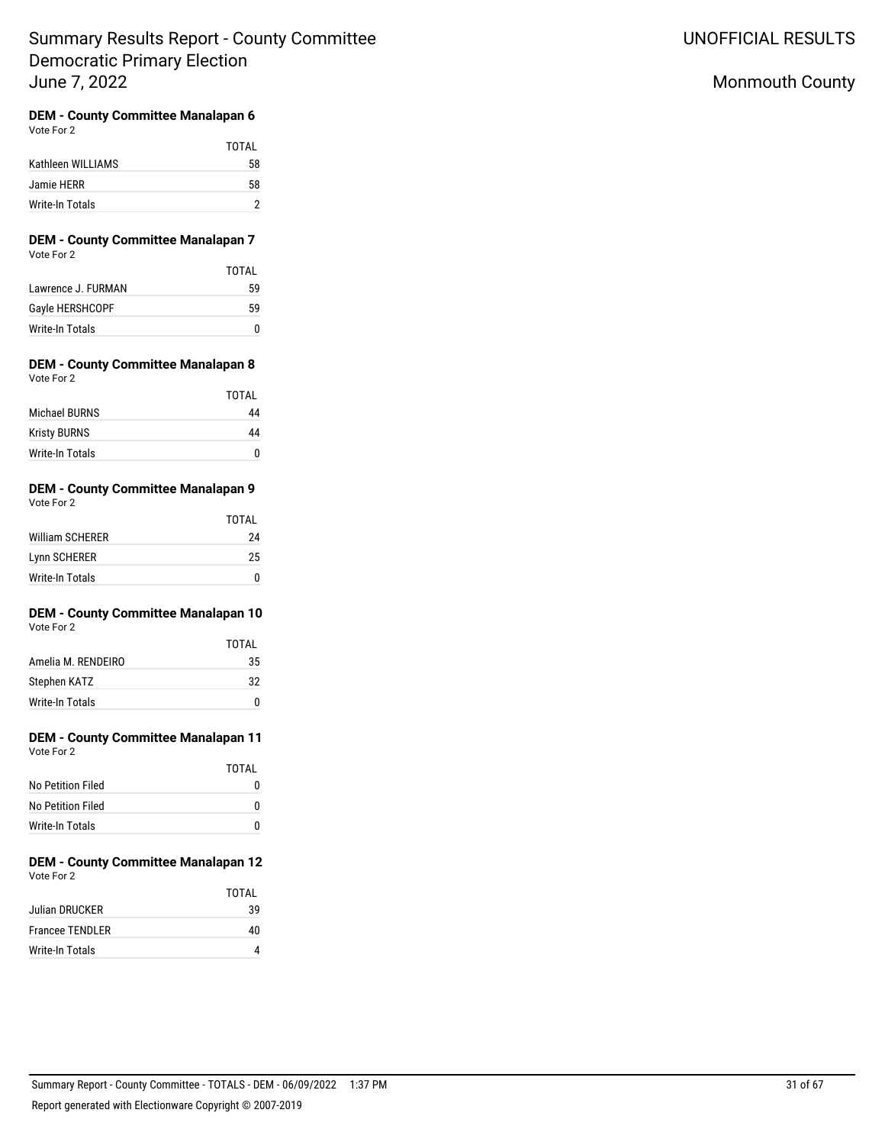# Monmouth County

# **DEM - County Committee Manalapan 6**

|                   | TOTAI |
|-------------------|-------|
| Kathleen WILLIAMS | 58    |
| Jamie HERR        | 58    |
| Write-In Totals   |       |

### **DEM - County Committee Manalapan 7** Vote For 2

|                    | TOTAI |
|--------------------|-------|
| Lawrence J. FURMAN | 59    |
| Gayle HERSHCOPF    | 59    |
| Write-In Totals    | O     |

#### **DEM - County Committee Manalapan 8** Vote For 2

|                     | TOTAI |
|---------------------|-------|
| Michael BURNS       | 44    |
| <b>Kristy BURNS</b> | 44    |
| Write-In Totals     | n     |

#### **DEM - County Committee Manalapan 9** Vote For 2

| $\cdots$               |              |
|------------------------|--------------|
|                        | <b>TOTAL</b> |
| <b>William SCHERER</b> | 24           |
| Lynn SCHERER           | 25           |
| <b>Write-In Totals</b> |              |

#### **DEM - County Committee Manalapan 10** Vote For 2

|                    | TOTAL |
|--------------------|-------|
| Amelia M. RENDEIRO | 35    |
| Stephen KATZ       | 32    |
| Write-In Totals    | n     |

# **DEM - County Committee Manalapan 11**

| Vote For 2        |       |
|-------------------|-------|
|                   | TOTAL |
| No Petition Filed |       |
| Ala Daabiaa Filad |       |

| No Petition Filed |  |
|-------------------|--|
| Write-In Totals   |  |
|                   |  |

#### **DEM - County Committee Manalapan 12** Vote For 2

|                        | TOTAI |
|------------------------|-------|
| Julian DRUCKER         | 39    |
| <b>Francee TENDLER</b> | 40    |
| Write-In Totals        |       |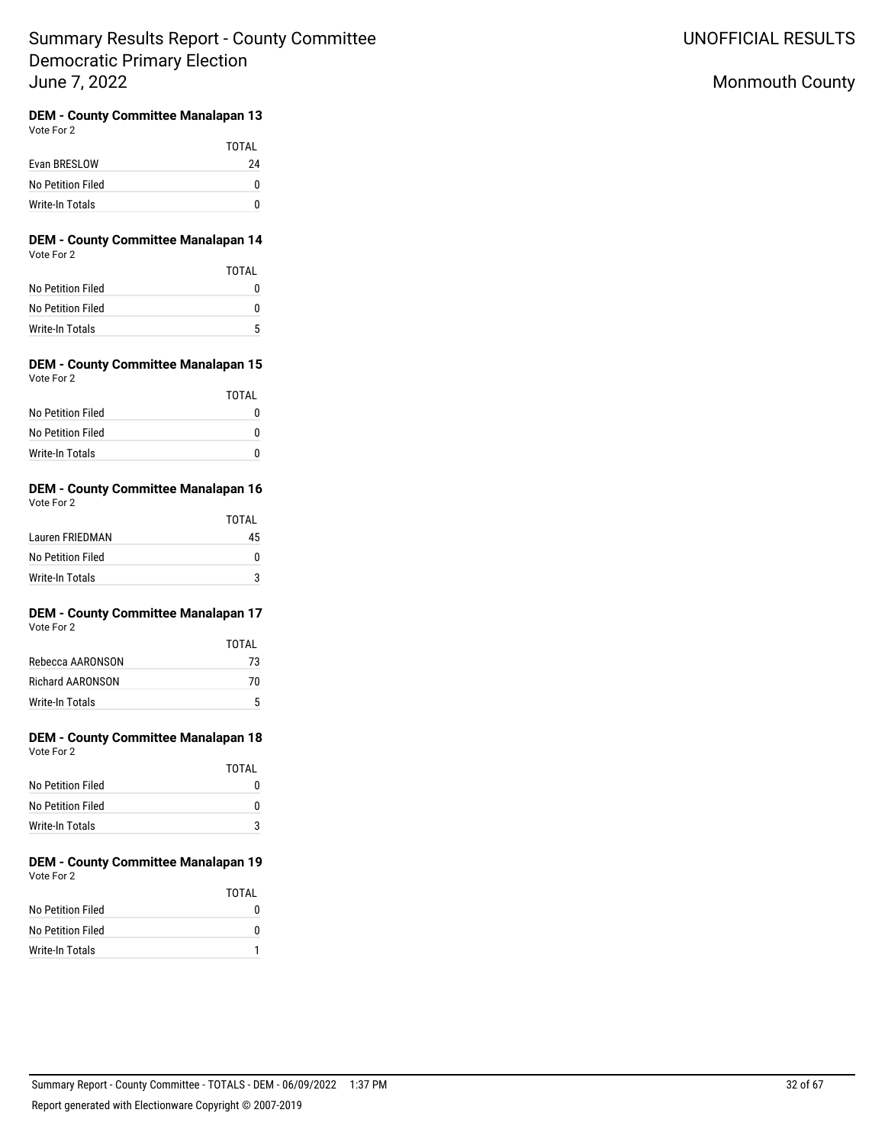UNOFFICIAL RESULTS

# Monmouth County

#### **DEM - County Committee Manalapan 13** Vote For 2

|                   | TOTAI |
|-------------------|-------|
| Evan BRESLOW      | 24    |
| No Petition Filed |       |
| Write-In Totals   |       |

### **DEM - County Committee Manalapan 14** Vote For 2

|                   | TOTAL |
|-------------------|-------|
| No Petition Filed | 0     |
| No Petition Filed | o     |
| Write-In Totals   | 5     |

### **DEM - County Committee Manalapan 15** Vote For 2

|                   | TOTAL |
|-------------------|-------|
| No Petition Filed |       |
| No Petition Filed | n     |
| Write-In Totals   |       |

## **DEM - County Committee Manalapan 16** Vote For 2

|                   | TOTAL |
|-------------------|-------|
| Lauren FRIEDMAN   | 45    |
| No Petition Filed |       |
| Write-In Totals   |       |

#### **DEM - County Committee Manalapan 17** Vote For 2

|                  | TOTAI |
|------------------|-------|
| Rebecca AARONSON | 73    |
| Richard AARONSON | 70    |
| Write-In Totals  | 5     |

# **DEM - County Committee Manalapan 18**

| Vote For 2 |  |
|------------|--|
|            |  |

|                   | TOTAI |
|-------------------|-------|
| No Petition Filed |       |
| No Petition Filed |       |
| Write-In Totals   | 2     |

## **DEM - County Committee Manalapan 19** Vote For 2

|                   | TOTAI |
|-------------------|-------|
| No Petition Filed |       |
| No Petition Filed |       |
| Write-In Totals   |       |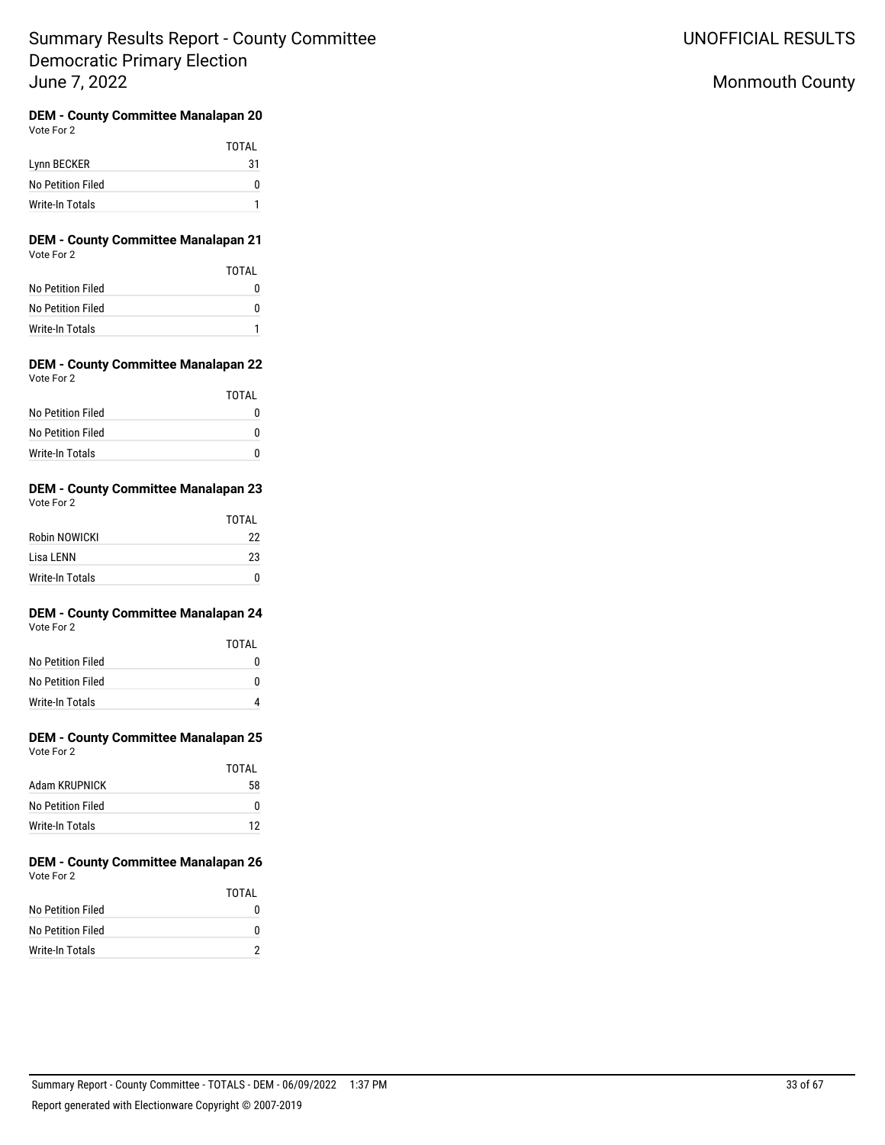# Monmouth County

#### **DEM - County Committee Manalapan 20** Vote For 2

|                        | TOTAL |
|------------------------|-------|
| Lynn BECKER            | 31    |
| No Petition Filed      |       |
| <b>Write-In Totals</b> |       |

### **DEM - County Committee Manalapan 21** Vote For 2

|                   | TOTAI |
|-------------------|-------|
| No Petition Filed |       |
| No Petition Filed | O     |
| Write-In Totals   |       |

### **DEM - County Committee Manalapan 22** Vote For 2

|                   | TOTAL |
|-------------------|-------|
| No Petition Filed |       |
| No Petition Filed |       |
| Write-In Totals   |       |

### **DEM - County Committee Manalapan 23** Vote For 2

|                 | TOTAL |
|-----------------|-------|
| Robin NOWICKI   | 22    |
| Lisa LENN       | 23    |
| Write-In Totals | n     |

#### **DEM - County Committee Manalapan 24** Vote For 2

|                   | TOTAL |
|-------------------|-------|
| No Petition Filed |       |
| No Petition Filed | O     |
| Write-In Totals   |       |

# **DEM - County Committee Manalapan 25**

| Vote For 2 |  |
|------------|--|
|            |  |

|                   | TOTAI |
|-------------------|-------|
| Adam KRUPNICK     | 58    |
| No Petition Filed | 0     |
| Write-In Totals   | 12    |

#### **DEM - County Committee Manalapan 26** Vote For 2

|                   | TOTAI |
|-------------------|-------|
| No Petition Filed |       |
| No Petition Filed | o     |
| Write-In Totals   |       |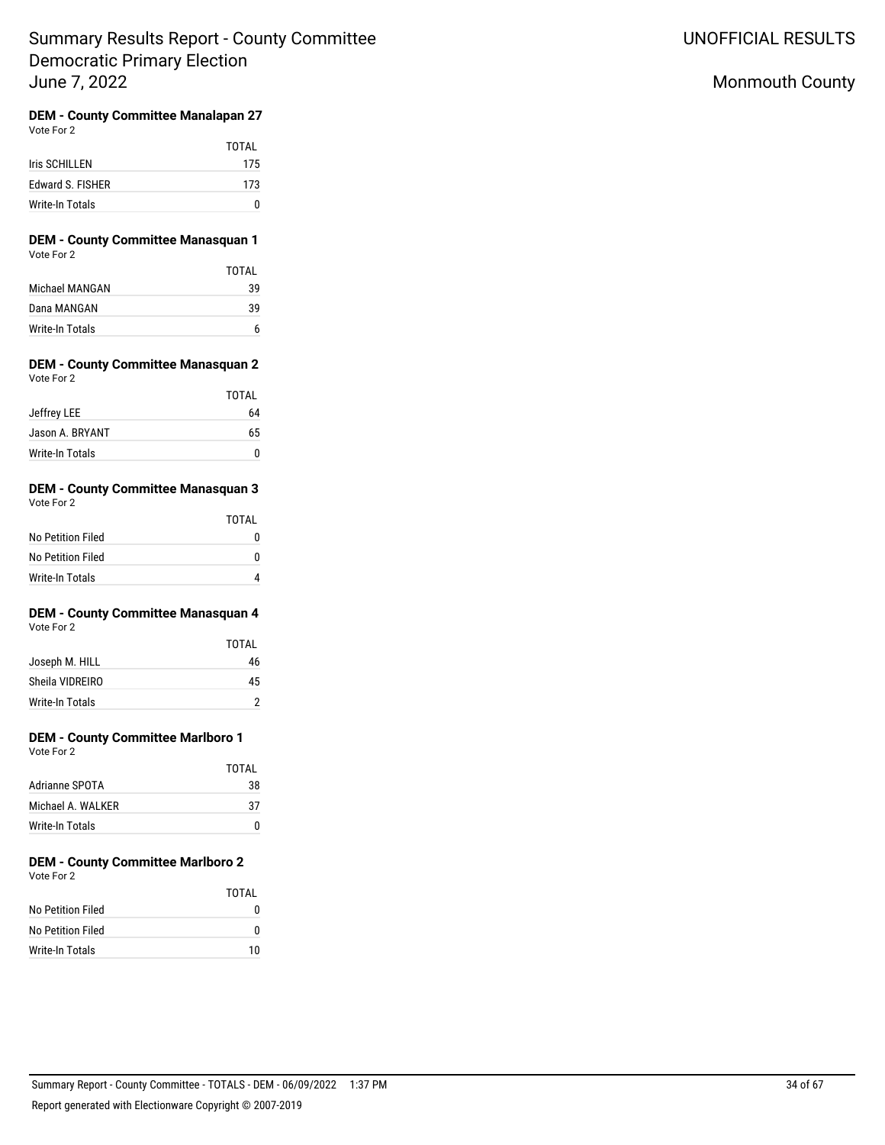UNOFFICIAL RESULTS

# Monmouth County

#### **DEM - County Committee Manalapan 27** Vote For 2

|                  | TOTAI |
|------------------|-------|
| Iris SCHILLEN    | 175   |
| Edward S. FISHER | 173   |
| Write-In Totals  | n     |

### **DEM - County Committee Manasquan 1** Vote For 2

|                 | TOTAI |
|-----------------|-------|
| Michael MANGAN  | 39    |
| Dana MANGAN     | 39    |
| Write-In Totals |       |

### **DEM - County Committee Manasquan 2** Vote For 2

|                 | TOTAL |
|-----------------|-------|
| Jeffrey LEE     | 64    |
| Jason A. BRYANT | 65    |
| Write-In Totals |       |

### **DEM - County Committee Manasquan 3** Vote For 2

| $\cdots$          |       |
|-------------------|-------|
|                   | TOTAL |
| No Petition Filed | N     |
| No Petition Filed | n     |
| Write-In Totals   | Λ     |

# **DEM - County Committee Manasquan 4**

| Vote For 2 |  |
|------------|--|
|            |  |

|                 | <b>TOTAL</b> |
|-----------------|--------------|
| Joseph M. HILL  | 46           |
| Sheila VIDREIRO | 45           |
| Write-In Totals |              |

# **DEM - County Committee Marlboro 1**

Vote For 2

|                    | TOTAI |
|--------------------|-------|
| Adrianne SPOTA     | 38    |
| Michael A. WAI KFR | -37   |
| Write-In Totals    | O     |

#### **DEM - County Committee Marlboro 2** Vote For 2

|                   | TOTAI |
|-------------------|-------|
| No Petition Filed |       |
| No Petition Filed |       |
| Write-In Totals   | 10    |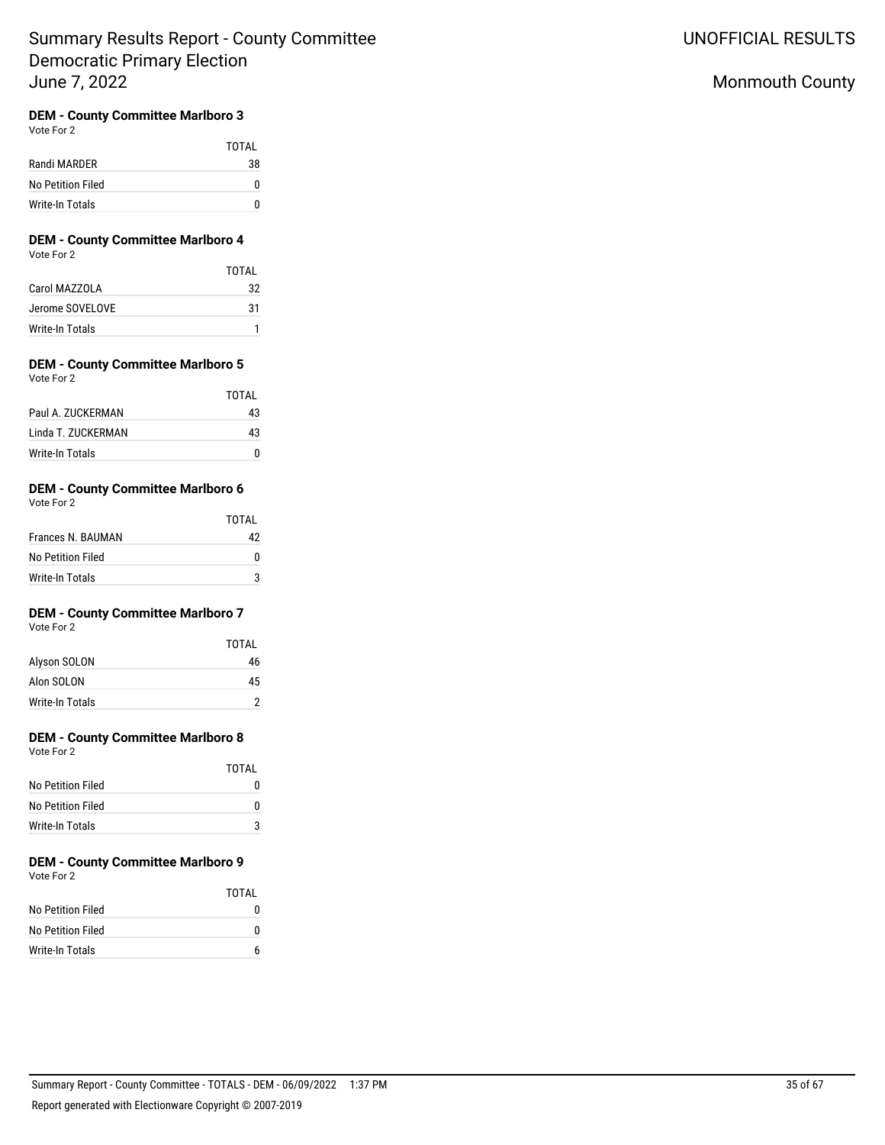# Monmouth County

## **DEM - County Committee Marlboro 3**

Vote For 2

|                   | <b>TOTAL</b> |
|-------------------|--------------|
| Randi MARDER      | 38           |
| No Petition Filed |              |
| Write-In Totals   |              |

### **DEM - County Committee Marlboro 4** Vote For 2

|                 | TOTAI |
|-----------------|-------|
| Carol MAZZOLA   | 32    |
| Jerome SOVELOVE | 31    |
| Write-In Totals |       |

#### **DEM - County Committee Marlboro 5** Vote For 2

| $\cdots$           |       |
|--------------------|-------|
|                    | TOTAI |
| Paul A. ZUCKERMAN  | 43    |
| Linda T. ZUCKERMAN | 43    |
| Write-In Totals    |       |

## **DEM - County Committee Marlboro 6**

| Vote For 2        |  |
|-------------------|--|
| Frances N. BAUMAN |  |

| Frances N. BAUMAN |  |
|-------------------|--|
| No Petition Filed |  |
| Write-In Totals   |  |

TOTAL

## **DEM - County Committee Marlboro 7**

Vote For 2

|                 | TOTAI |
|-----------------|-------|
| Alyson SOLON    | 46    |
| Alon SOLON      | 45    |
| Write-In Totals |       |

# **DEM - County Committee Marlboro 8**

Vote For 2

|                   | TOTAL |
|-------------------|-------|
| No Petition Filed |       |
| No Petition Filed | n     |
| Write-In Totals   | 3     |

#### **DEM - County Committee Marlboro 9** Vote For 2

|                   | <b>TOTAL</b> |
|-------------------|--------------|
| No Petition Filed |              |
| No Petition Filed |              |
| Write-In Totals   |              |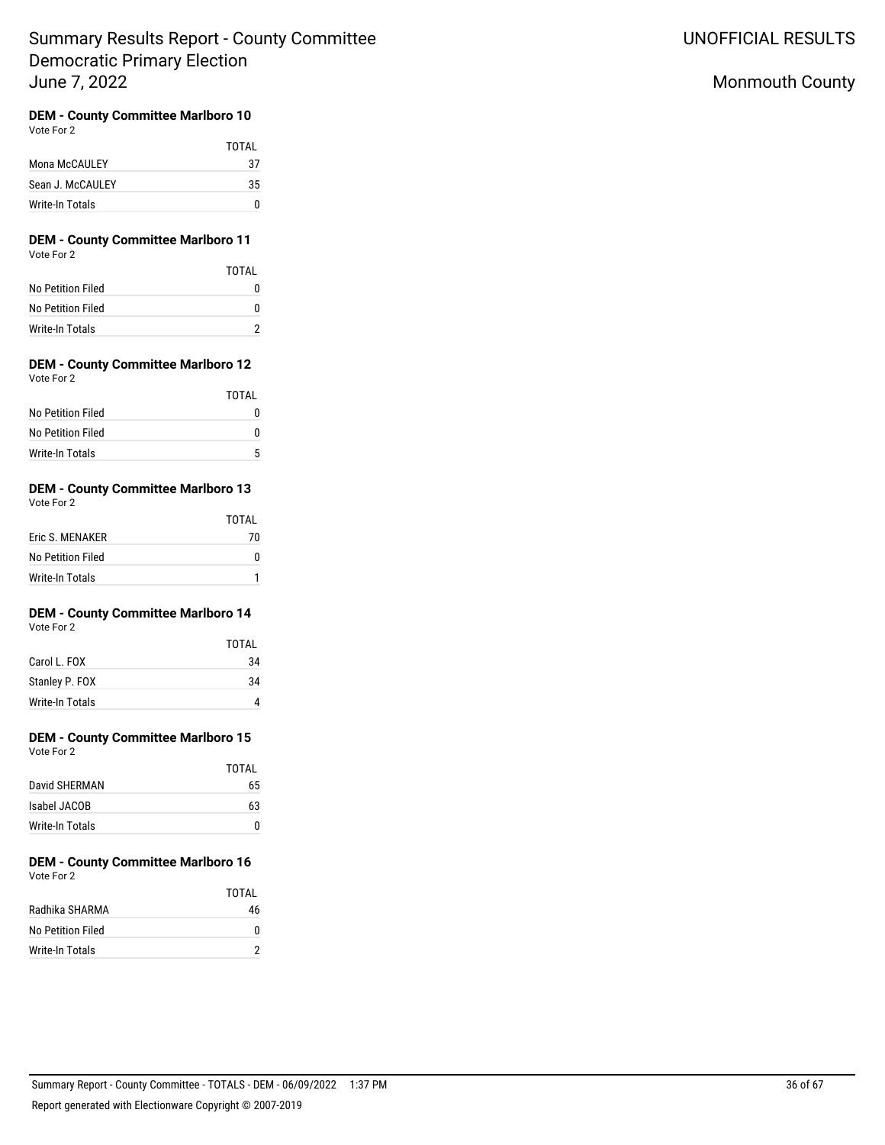UNOFFICIAL RESULTS

# Monmouth County

# **DEM - County Committee Marlboro 10**

Vote For 2

|                  | TOTAI |
|------------------|-------|
| Mona McCAULEY    | 37    |
| Sean J. McCAULEY | 35    |
| Write-In Totals  | n     |

### **DEM - County Committee Marlboro 11** Vote For 2

|                   | TOTAI    |
|-------------------|----------|
| No Petition Filed | $^{(1)}$ |
| No Petition Filed | n        |
| Write-In Totals   |          |

#### **DEM - County Committee Marlboro 12** Vote For 2

|                   | <b>TOTAL</b> |
|-------------------|--------------|
| No Petition Filed | O            |
| No Petition Filed | $\mathbf{I}$ |
| Write-In Totals   | 5            |

## **DEM - County Committee Marlboro 13**

Vote For 2

|                   | TOTAI |
|-------------------|-------|
| Eric S. MENAKER   | 70    |
| No Petition Filed | 0     |
| Write-In Totals   |       |

# **DEM - County Committee Marlboro 14**

Vote For 2

|                 | TOTAI |
|-----------------|-------|
| Carol L. FOX    | 34    |
| Stanley P. FOX  | 34    |
| Write-In Totals |       |

# **DEM - County Committee Marlboro 15**

Vote For 2

|                 | TOTAI |
|-----------------|-------|
| David SHERMAN   | 65    |
| Isabel JACOB    | 63    |
| Write-In Totals | O     |

#### **DEM - County Committee Marlboro 16** Vote For 2

|                   | TOTAI |
|-------------------|-------|
| Radhika SHARMA    | 46    |
| No Petition Filed | n     |
| Write-In Totals   |       |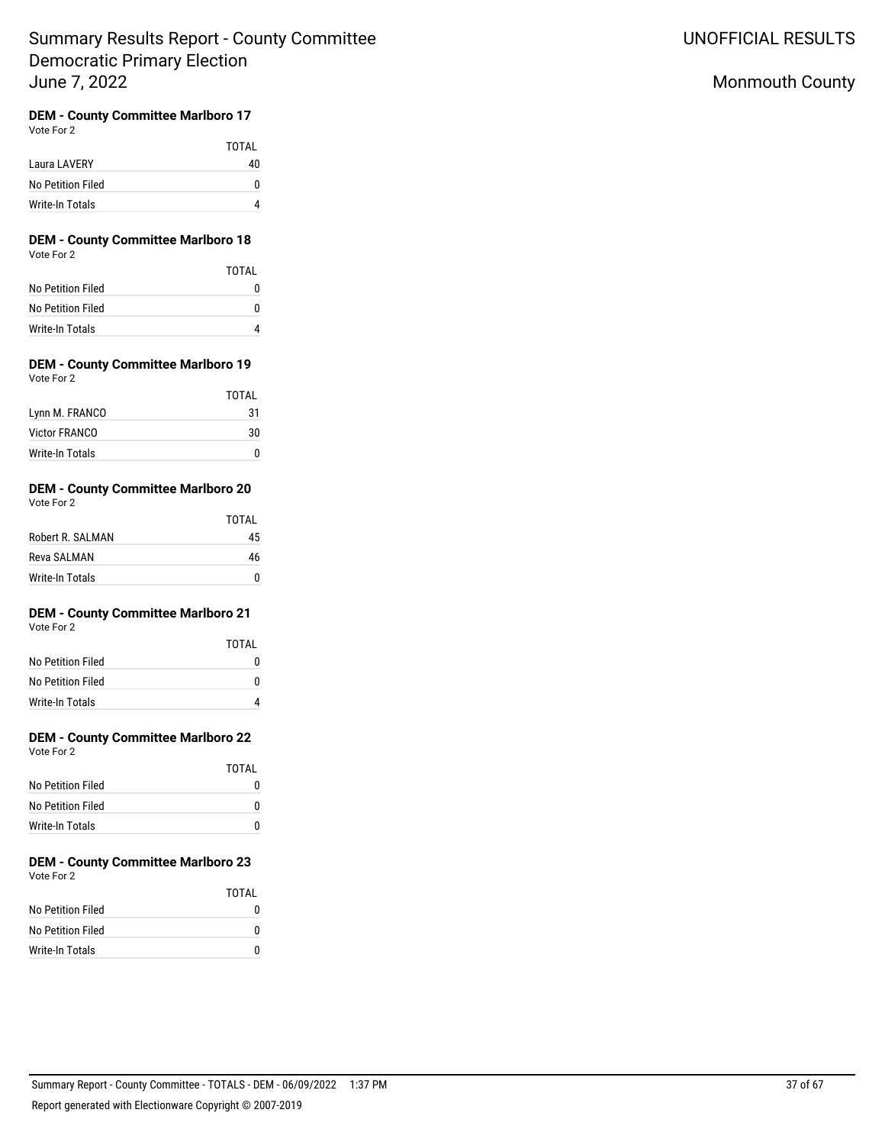# Monmouth County

# **DEM - County Committee Marlboro 17**

Vote For 2

|                   | TOTAI |
|-------------------|-------|
| Laura LAVERY      | 40    |
| No Petition Filed |       |
| Write-In Totals   |       |

### **DEM - County Committee Marlboro 18** Vote For 2

|                   | TOTAL |
|-------------------|-------|
| No Petition Filed |       |
| No Petition Filed | n     |
| Write-In Totals   |       |

#### **DEM - County Committee Marlboro 19** Vote For 2

|                        | TOTAL |
|------------------------|-------|
| Lynn M. FRANCO         | 31    |
| <b>Victor FRANCO</b>   | 30    |
| <b>Write-In Totals</b> |       |

## **DEM - County Committee Marlboro 20**

|                  | TOTAI |
|------------------|-------|
| Robert R. SALMAN | 45    |
| Reva SALMAN      | 46    |
| Write-In Totals  | n     |

# **DEM - County Committee Marlboro 21**

Vote For 2

|                   | TOTAI |
|-------------------|-------|
| No Petition Filed |       |
| No Petition Filed | n     |
| Write-In Totals   |       |

# **DEM - County Committee Marlboro 22**

Vote For 2

|                   | TOTAL |
|-------------------|-------|
| No Petition Filed |       |
| No Petition Filed | O     |
| Write-In Totals   | O     |

#### **DEM - County Committee Marlboro 23** Vote For 2

|                   | TOTAI |
|-------------------|-------|
| No Petition Filed | 0     |
| No Petition Filed | O     |
| Write-In Totals   | n     |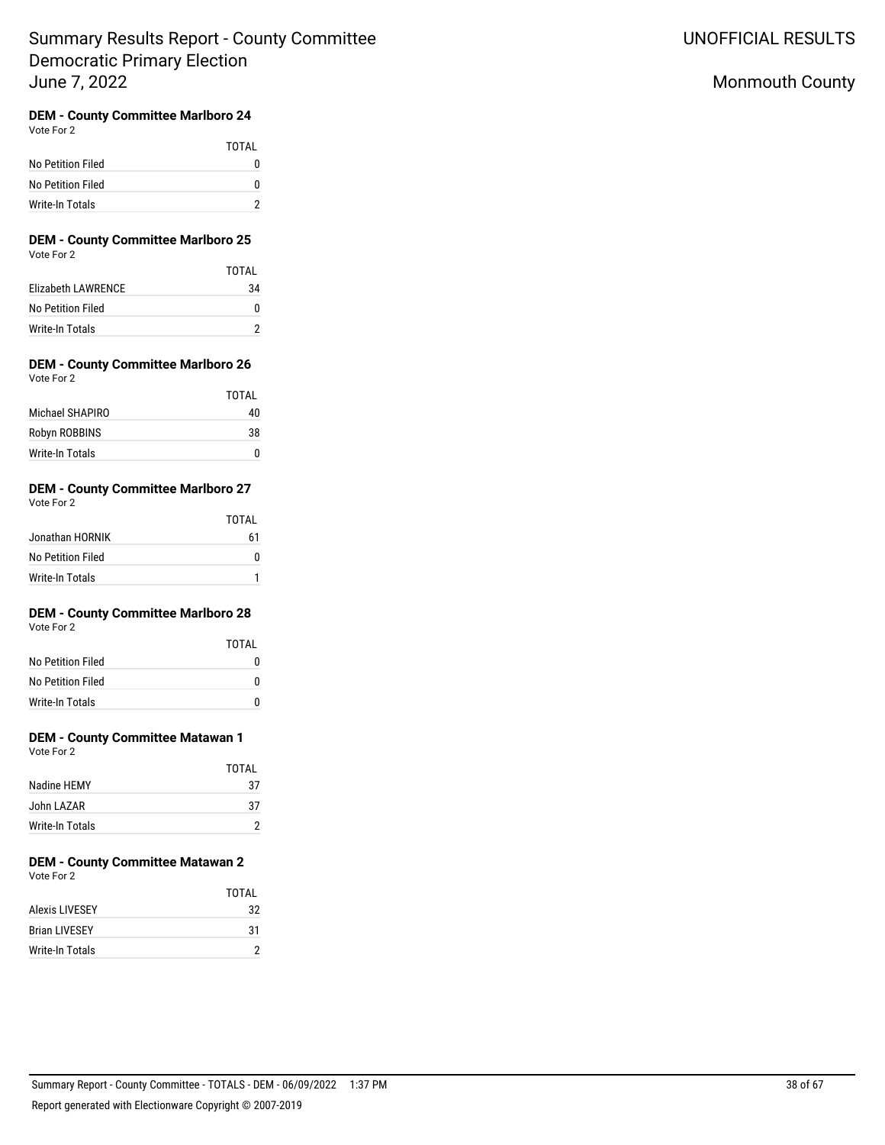# Monmouth County

# **DEM - County Committee Marlboro 24**

Vote For 2

|                   | TOTAI    |
|-------------------|----------|
| No Petition Filed | $^{(1)}$ |
| No Petition Filed | o        |
| Write-In Totals   |          |

### **DEM - County Committee Marlboro 25** Vote For 2

|                    | <b>TOTAL</b> |
|--------------------|--------------|
| Elizabeth LAWRENCE | 34           |
| No Petition Filed  |              |
| Write-In Totals    |              |

#### **DEM - County Committee Marlboro 26** Vote For 2

|                 | TOTAL |
|-----------------|-------|
| Michael SHAPIRO | 40    |
| Robyn ROBBINS   | 38    |
| Write-In Totals | O     |

## **DEM - County Committee Marlboro 27**

| Vote For 2        |       |
|-------------------|-------|
|                   | TOTAI |
| Jonathan HORNIK   | 61    |
| No Petition Filed |       |

| Write-In Totals |  |
|-----------------|--|
|                 |  |
|                 |  |

# **DEM - County Committee Marlboro 28**

Vote For 2

|                   | TOTAI |
|-------------------|-------|
| No Petition Filed | n     |
| No Petition Filed | n     |
| Write-In Totals   | n     |

# **DEM - County Committee Matawan 1**

Vote For 2

|                 | TOTAI |
|-----------------|-------|
| Nadine HFMY     | 37    |
| John LAZAR      | 37    |
| Write-In Totals |       |

# **DEM - County Committee Matawan 2**

Vote For 2

|                      | TOTAI |
|----------------------|-------|
| Alexis LIVESEY       | 32    |
| <b>Brian LIVESEY</b> | 31    |
| Write-In Totals      |       |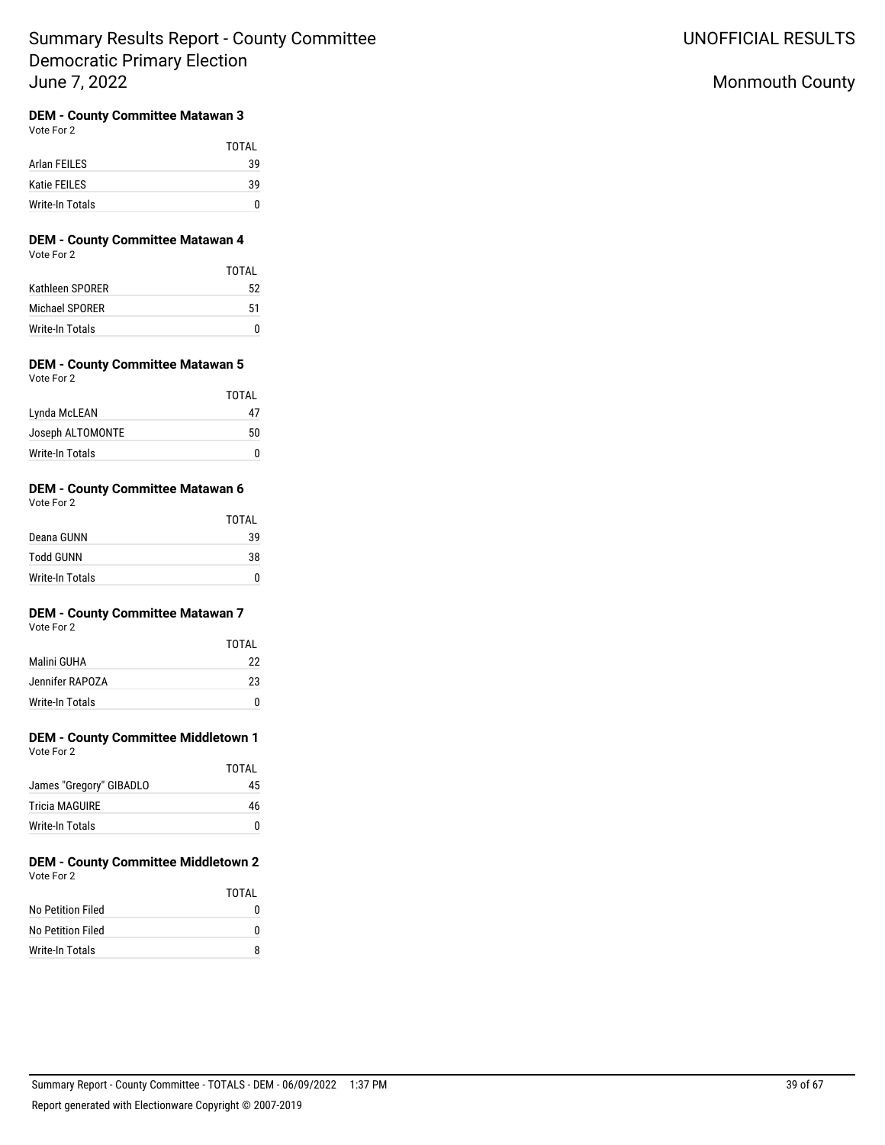# Monmouth County

## **DEM - County Committee Matawan 3**

Vote For 2

|                 | TOTAL |
|-----------------|-------|
| Arlan FEILES    | 39    |
| Katie FEILES    | 39    |
| Write-In Totals | n     |

### **DEM - County Committee Matawan 4** Vote For 2

|                 | TOTAL |
|-----------------|-------|
| Kathleen SPORER | 52    |
| Michael SPORER  | 51    |
| Write-In Totals |       |

#### **DEM - County Committee Matawan 5** Vote For 2

| TOTAL |
|-------|
| Δ7    |
| 50    |
|       |
|       |

## **DEM - County Committee Matawan 6**

Vote For 2

|                  | <b>TOTAL</b> |
|------------------|--------------|
| Deana GUNN       | 39           |
| <b>Todd GUNN</b> | 38           |
| Write-In Totals  | O            |

## **DEM - County Committee Matawan 7**

Vote For 2

|                 | TOTAI |
|-----------------|-------|
| Malini GUHA     | 22    |
| Jennifer RAPOZA | 23    |
| Write-In Totals |       |

# **DEM - County Committee Middletown 1**

Vote For 2

|                         | TOTAI |
|-------------------------|-------|
| James "Gregory" GIBADLO | 45    |
| <b>Tricia MAGUIRE</b>   | 46    |
| Write-In Totals         | O     |

#### **DEM - County Committee Middletown 2** Vote For 2

|                   | TOTAI |
|-------------------|-------|
| No Petition Filed |       |
| No Petition Filed |       |
| Write-In Totals   | я     |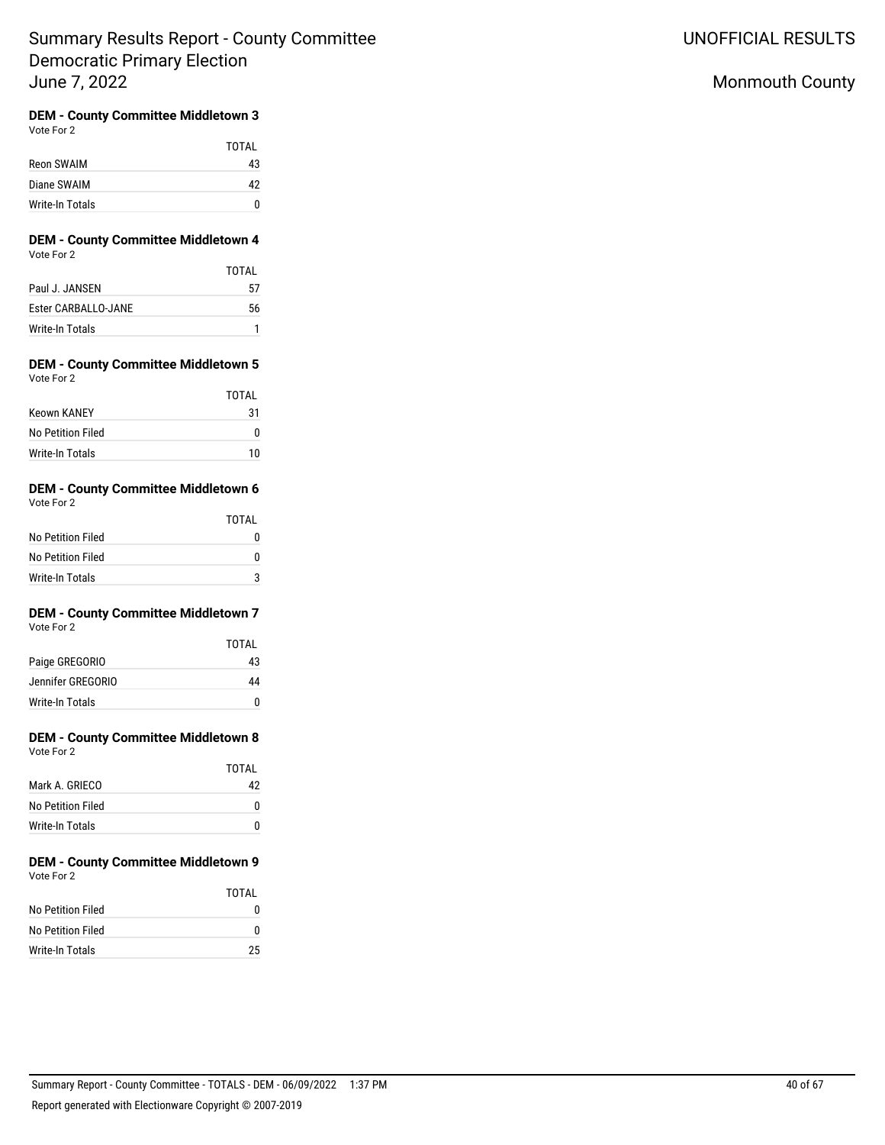UNOFFICIAL RESULTS

# Monmouth County

#### **DEM - County Committee Middletown 3** Vote For 2

|                 | TOTAI |
|-----------------|-------|
| Reon SWAIM      | 43    |
| Diane SWAIM     | 42    |
| Write-In Totals |       |

### **DEM - County Committee Middletown 4** Vote For 2

|                            | TOTAI |
|----------------------------|-------|
| Paul J. JANSEN             | 57    |
| <b>Ester CARBALLO-JANE</b> | 56    |
| Write-In Totals            |       |

### **DEM - County Committee Middletown 5** Vote For 2

|                    | TOTAI |
|--------------------|-------|
| <b>Keown KANEY</b> | 31    |
| No Petition Filed  |       |
| Write-In Totals    | 10    |

#### **DEM - County Committee Middletown 6** Vote For 2

| $\cdots$          |       |
|-------------------|-------|
|                   | TOTAL |
| No Petition Filed | n     |
| No Petition Filed | n     |
| Write-In Totals   |       |

#### **DEM - County Committee Middletown 7** Vote For 2

| <b>VOLE FOI Z</b> |  |  |
|-------------------|--|--|
|                   |  |  |
|                   |  |  |

|                   | TOTAI |
|-------------------|-------|
| Paige GREGORIO    | 43    |
| Jennifer GREGORIO | 44    |
| Write-In Totals   |       |

#### **DEM - County Committee Middletown 8** Vote For 2

| $\mathbf{v}$ with $\mathbf{v}$ |       |
|--------------------------------|-------|
|                                | TOTAL |
| Mark A. GRIECO                 | 42    |
| No Petition Filed              | n     |
| Write-In Totals                | n     |

### **DEM - County Committee Middletown 9** Vote For 2

|                   | TOTAI |
|-------------------|-------|
| No Petition Filed |       |
| No Petition Filed | o     |
| Write-In Totals   | 25    |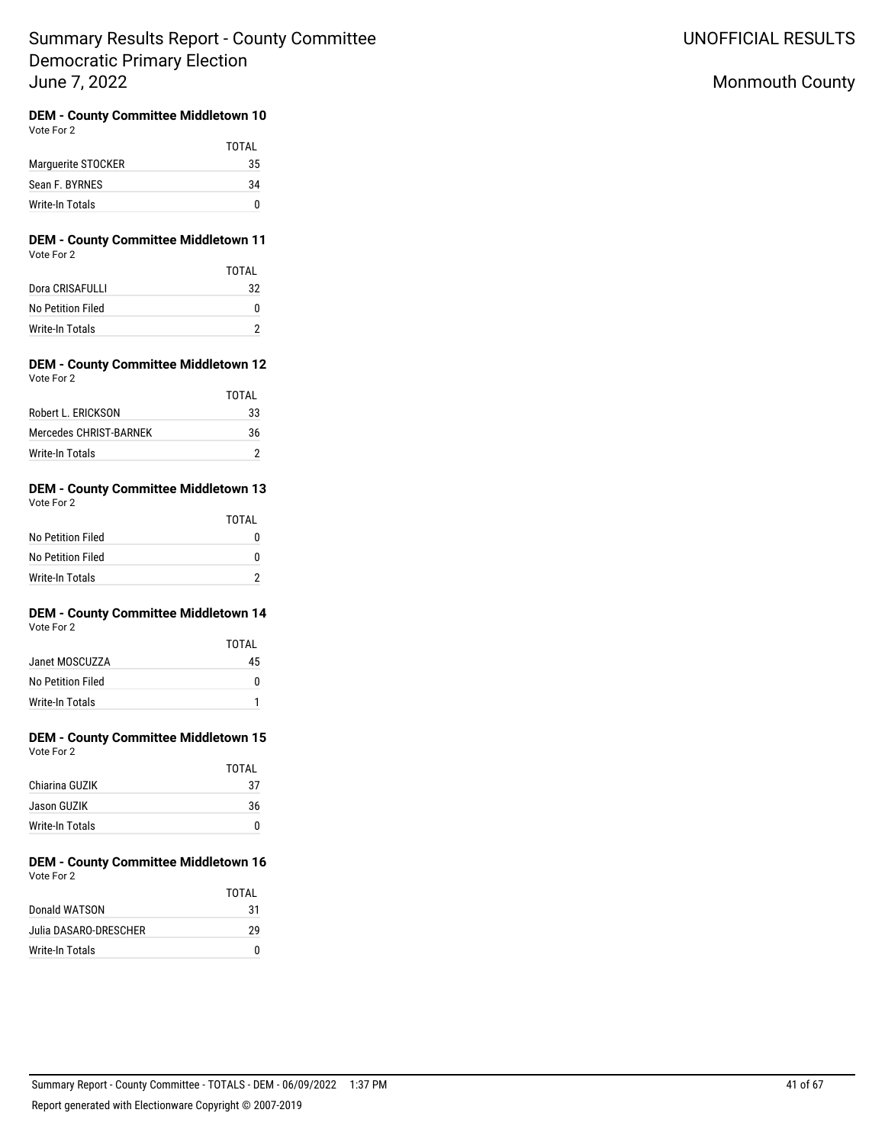UNOFFICIAL RESULTS

# Monmouth County

#### **DEM - County Committee Middletown 10** Vote For 2

|                    | TOTAI |
|--------------------|-------|
| Marquerite STOCKER | 35    |
| Sean F. BYRNES     | 34    |
| Write-In Totals    |       |

### **DEM - County Committee Middletown 11** Vote For 2

|                   | TOTAI |
|-------------------|-------|
| Dora CRISAFULLI   | 32    |
| No Petition Filed | 0     |
| Write-In Totals   |       |

### **DEM - County Committee Middletown 12** Vote For 2

|                        | TOTAI |
|------------------------|-------|
| Robert L. FRICKSON     | 33    |
| Mercedes CHRIST-BARNEK | 36    |
| Write-In Totals        |       |

#### **DEM - County Committee Middletown 13** Vote For 2

|                   | TOTAL |
|-------------------|-------|
| No Petition Filed |       |
| No Petition Filed | 0     |
| Write-In Totals   | າ     |

# **DEM - County Committee Middletown 14**

| Vote For 2 |  |
|------------|--|
|------------|--|

|                   | TOTAL |
|-------------------|-------|
| Janet MOSCUZZA    | 45    |
| No Petition Filed | n     |
| Write-In Totals   |       |

## **DEM - County Committee Middletown 15** Vote For 2

| $\cdots$        |       |
|-----------------|-------|
|                 | TOTAL |
| Chiarina GUZIK  | 37    |
| Jason GUZIK     | 36    |
| Write-In Totals | n     |

#### **DEM - County Committee Middletown 16** Vote For 2

|                       | TOTAI |
|-----------------------|-------|
| Donald WATSON         | 31    |
| Julia DASARO-DRESCHER | 29    |
| Write-In Totals       | n     |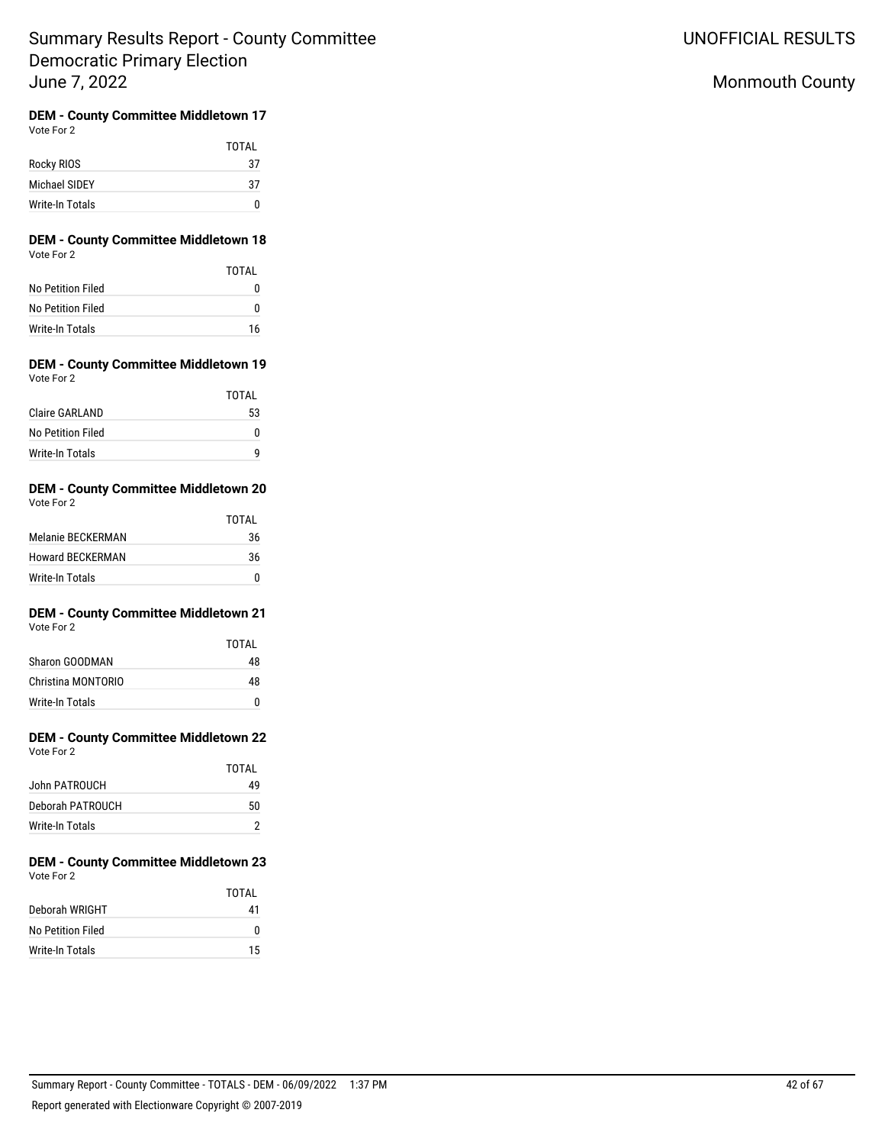UNOFFICIAL RESULTS

# Monmouth County

#### **DEM - County Committee Middletown 17** Vote For 2

|                 | TOTAL |
|-----------------|-------|
| Rocky RIOS      | 37    |
| Michael SIDEY   | 37    |
| Write-In Totals |       |

### **DEM - County Committee Middletown 18** Vote For 2

|                   | TOTAL |
|-------------------|-------|
| No Petition Filed | 0     |
| No Petition Filed | o     |
| Write-In Totals   | 16    |

### **DEM - County Committee Middletown 19** Vote For 2

|                   | TOTAL |
|-------------------|-------|
| Claire GARLAND    | 53    |
| No Petition Filed |       |
| Write-In Totals   |       |

#### **DEM - County Committee Middletown 20** Vote For 2

| $\cdots$                |       |
|-------------------------|-------|
|                         | TOTAI |
| Melanie BECKERMAN       | 36    |
| <b>Howard BECKERMAN</b> | 36    |
| Write-In Totals         |       |

#### **DEM - County Committee Middletown 21** Vote For 2

|                    | TOTAI |
|--------------------|-------|
| Sharon GOODMAN     | 48    |
| Christina MONTORIO | 48    |
| Write-In Totals    | n     |

#### **DEM - County Committee Middletown 22** Vote For 2

| VULTUL Z      |       |
|---------------|-------|
|               | TOTAL |
| John PATROUCH | 49    |
|               |       |

| Deborah PATROUCH | 50 |
|------------------|----|
| Write-In Totals  |    |

#### **DEM - County Committee Middletown 23** Vote For 2

|                   | TOTAL |
|-------------------|-------|
| Deborah WRIGHT    | 41    |
| No Petition Filed | o     |
| Write-In Totals   | 15    |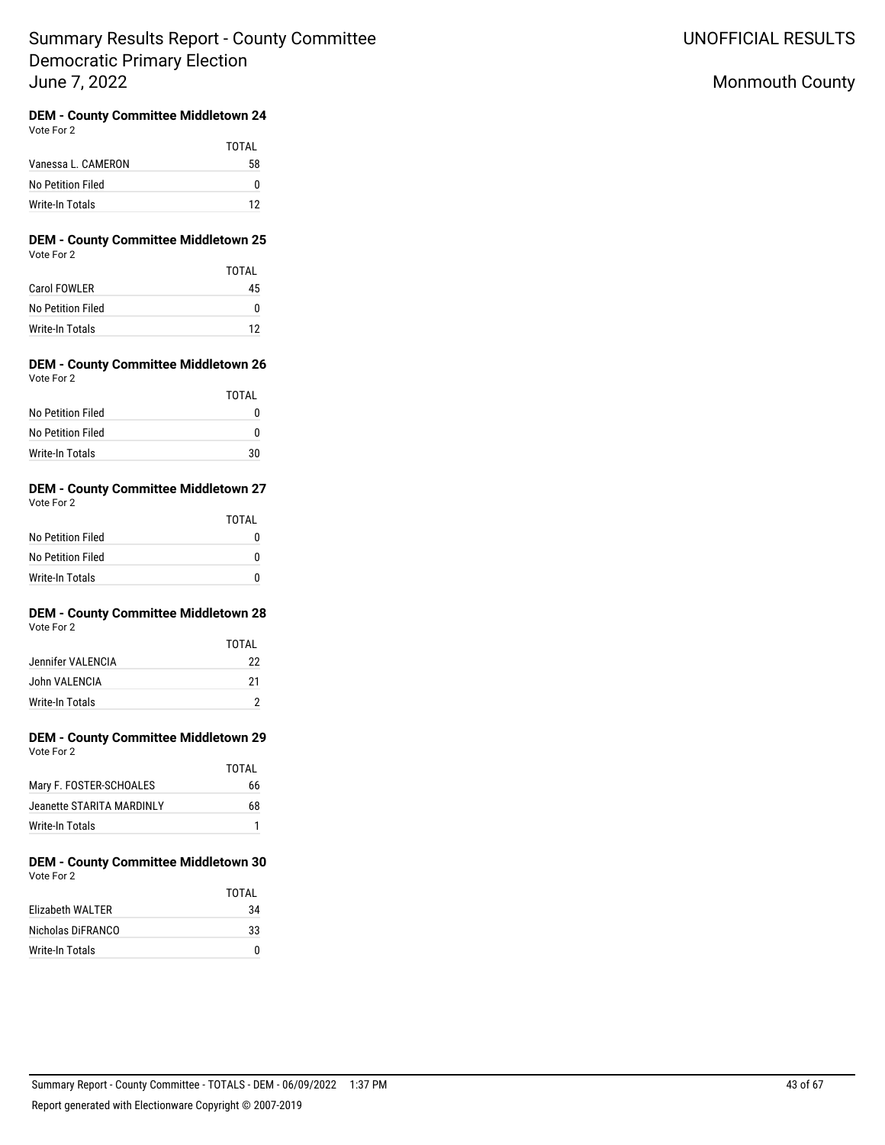UNOFFICIAL RESULTS

# Monmouth County

#### **DEM - County Committee Middletown 24** Vote For 2

|                    | TOTAI |
|--------------------|-------|
| Vanessa L. CAMERON | 58    |
| No Petition Filed  | o     |
| Write-In Totals    | 12    |

### **DEM - County Committee Middletown 25** Vote For 2

|                     | TOTAI |
|---------------------|-------|
| <b>Carol FOWLER</b> | 45    |
| No Petition Filed   |       |
| Write-In Totals     | 12    |

### **DEM - County Committee Middletown 26** Vote For 2

|                   | TOTAI |
|-------------------|-------|
| No Petition Filed |       |
| No Petition Filed |       |
| Write-In Totals   | 30    |

#### **DEM - County Committee Middletown 27** Vote For 2

| $\cdots$          |       |
|-------------------|-------|
|                   | TOTAL |
| No Petition Filed |       |
| No Petition Filed |       |
| Write-In Totals   |       |

#### **DEM - County Committee Middletown 28** Vote For 2

|                   | TOTAI |
|-------------------|-------|
| Jennifer VALENCIA | 22    |
| John VALENCIA     | 21    |
| Write-In Totals   |       |

#### **DEM - County Committee Middletown 29** Vote For 2

|                           | TOTAI |
|---------------------------|-------|
| Mary F. FOSTER-SCHOALES   | 66    |
| Jeanette STARITA MARDINLY | 68    |
| Write-In Totals           |       |

#### **DEM - County Committee Middletown 30** Vote For 2

|                   | TOTAI |
|-------------------|-------|
| Elizabeth WALTER  | 34    |
| Nicholas DiFRANCO | 33    |
| Write-In Totals   |       |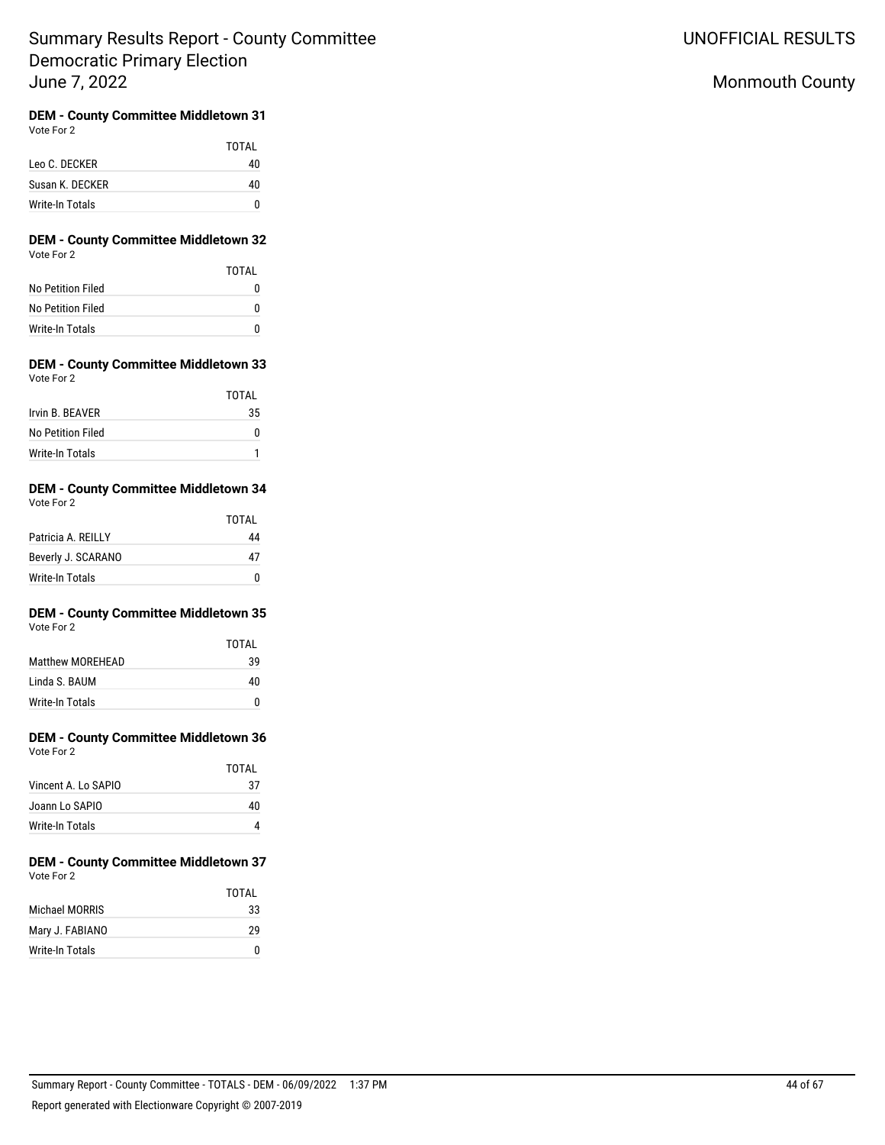UNOFFICIAL RESULTS

# Monmouth County

#### **DEM - County Committee Middletown 31** Vote For 2

|                 | TOTAI |
|-----------------|-------|
| Leo C. DECKER   | 40    |
| Susan K. DECKER | 40    |
| Write-In Totals | n     |

### **DEM - County Committee Middletown 32** Vote For 2

|                   | TOTAL |
|-------------------|-------|
| No Petition Filed |       |
| No Petition Filed | o     |
| Write-In Totals   | n     |

### **DEM - County Committee Middletown 33** Vote For 2

|                   | <b>TOTAL</b> |
|-------------------|--------------|
| Irvin B. BEAVER   | 35           |
| No Petition Filed |              |
| Write-In Totals   |              |

#### **DEM - County Committee Middletown 34** Vote For 2

| $\cdots$           | TOTAL |
|--------------------|-------|
| Patricia A. REILLY | 44    |
| Beverly J. SCARANO | 47    |
| Write-In Totals    |       |

#### **DEM - County Committee Middletown 35** Vote For 2

|                         | TOTAI |
|-------------------------|-------|
| <b>Matthew MOREHEAD</b> | 39    |
| Linda S. BAUM           | 40    |
| Write-In Totals         |       |

# **DEM - County Committee Middletown 36**

| Vote For 2 |  |
|------------|--|
|            |  |
|            |  |

|                     | TOTAI |
|---------------------|-------|
| Vincent A. Lo SAPIO | 37    |
| Joann Lo SAPIO      | 40    |
| Write-In Totals     |       |

#### **DEM - County Committee Middletown 37** Vote For 2

|                 | TOTAL |
|-----------------|-------|
| Michael MORRIS  | 33    |
| Mary J. FABIANO | 29    |
| Write-In Totals | n     |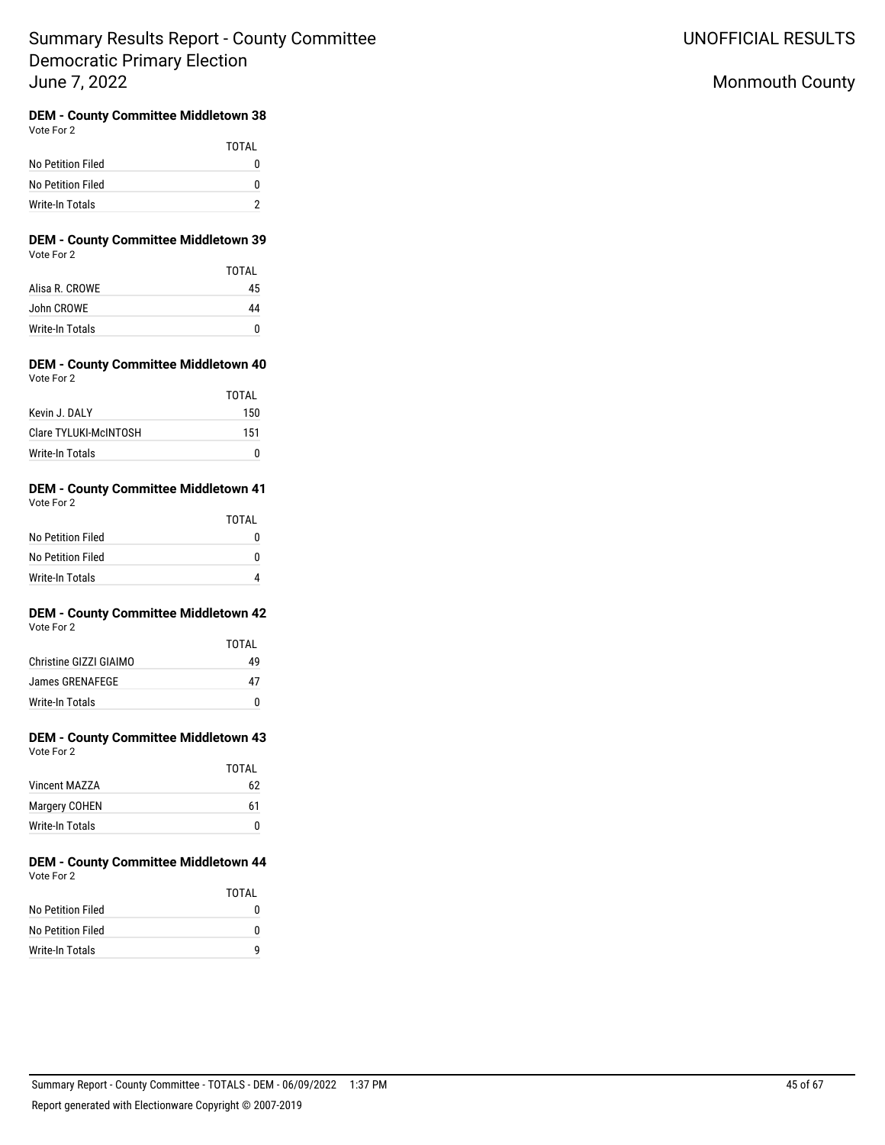UNOFFICIAL RESULTS

# Monmouth County

#### **DEM - County Committee Middletown 38** Vote For 2

|                   | TOTAI |
|-------------------|-------|
| No Petition Filed | n     |
| No Petition Filed | n     |
| Write-In Totals   |       |

### **DEM - County Committee Middletown 39** Vote For 2

|                        | TOTAI |
|------------------------|-------|
| Alisa R. CROWE         | 45    |
| John CROWE             | 44    |
| <b>Write-In Totals</b> |       |

### **DEM - County Committee Middletown 40** Vote For 2

|                       | TOTAI |
|-----------------------|-------|
| Kevin J. DAI Y        | 150   |
| Clare TYLUKI-McINTOSH | 151   |
| Write-In Totals       |       |

#### **DEM - County Committee Middletown 41** Vote For 2

| $\cdots$          |              |
|-------------------|--------------|
|                   | <b>TOTAL</b> |
| No Petition Filed |              |
| No Petition Filed | O            |
| Write-In Totals   |              |

### **DEM - County Committee Middletown 42** Vote For 2

|                        | <b>TOTAL</b> |
|------------------------|--------------|
| Christine GIZZI GIAIMO | 49           |
| James GRENAFEGE        | 47           |
| Write-In Totals        | n            |

# **DEM - County Committee Middletown 43**

| Vote For 2 |  |
|------------|--|
|            |  |

|                 | TOTAI |
|-----------------|-------|
| Vincent MAZZA   | 62    |
| Margery COHEN   | 61    |
| Write-In Totals | 0     |

#### **DEM - County Committee Middletown 44** Vote For 2

|                   | TOTAI |
|-------------------|-------|
| No Petition Filed |       |
| No Petition Filed |       |
| Write-In Totals   |       |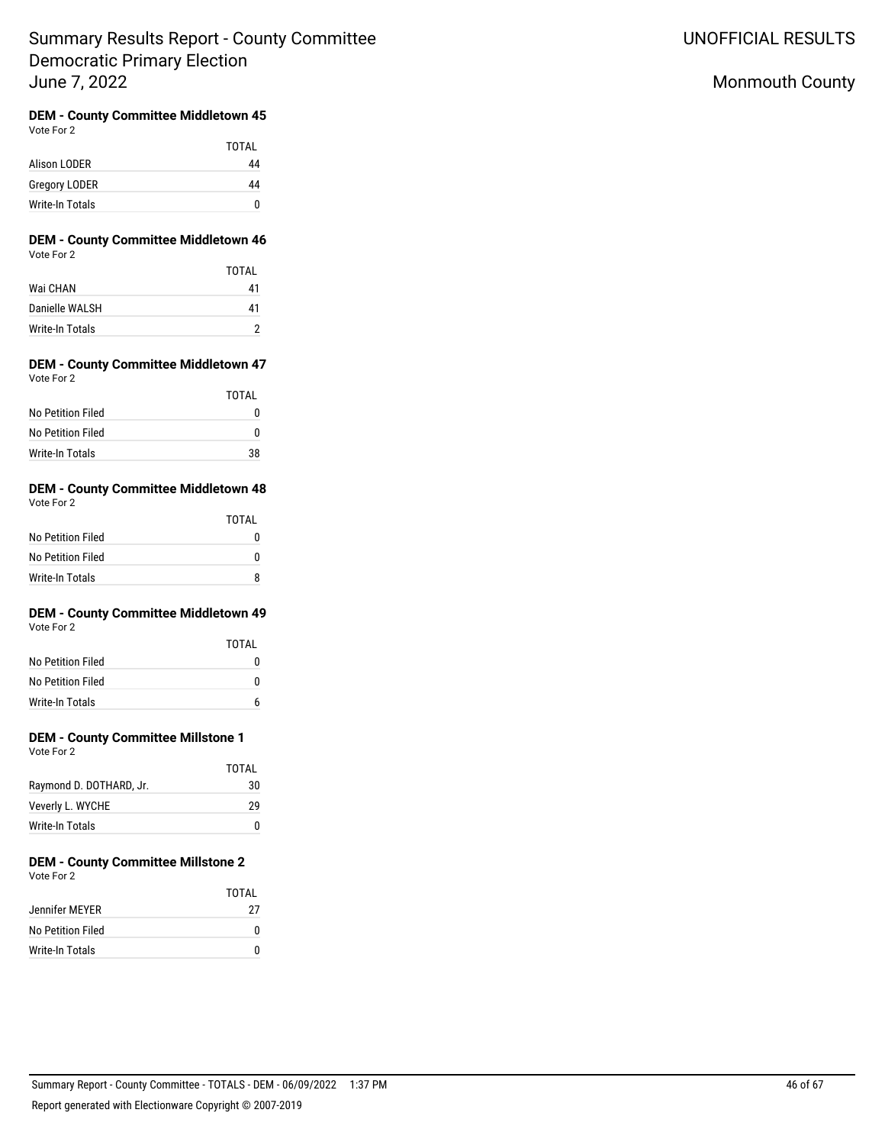UNOFFICIAL RESULTS

# Monmouth County

#### **DEM - County Committee Middletown 45** Vote For 2

|                      | TOTAI |
|----------------------|-------|
| Alison LODER         | 44    |
| <b>Gregory LODER</b> | 44    |
| Write-In Totals      | n     |

### **DEM - County Committee Middletown 46** Vote For 2

|                 | <b>TOTAL</b> |
|-----------------|--------------|
| Wai CHAN        | 41           |
| Danielle WALSH  | 41           |
| Write-In Totals |              |

### **DEM - County Committee Middletown 47** Vote For 2

|                   | TOTAI |
|-------------------|-------|
| No Petition Filed | 0     |
| No Petition Filed | O     |
| Write-In Totals   | 38    |

#### **DEM - County Committee Middletown 48** Vote For 2

| $\cdots$          |              |
|-------------------|--------------|
|                   | <b>TOTAL</b> |
| No Petition Filed | O            |
| No Petition Filed | O            |
| Write-In Totals   |              |

#### **DEM - County Committee Middletown 49** Vote For 2

| VULE FUI Z        |       |
|-------------------|-------|
|                   | TOTAI |
| No Petition Filed |       |
| No Petition Filed |       |

# **DEM - County Committee Millstone 1**

Write-In Totals 6

|                         | TOTAI |
|-------------------------|-------|
| Raymond D. DOTHARD, Jr. | 30    |
| Veverly L. WYCHE        | 29    |
| Write-In Totals         | O     |

### **DEM - County Committee Millstone 2** Vote For 2

|                   | TOTAI |
|-------------------|-------|
| Jennifer MEYER    | 27    |
| No Petition Filed |       |
| Write-In Totals   |       |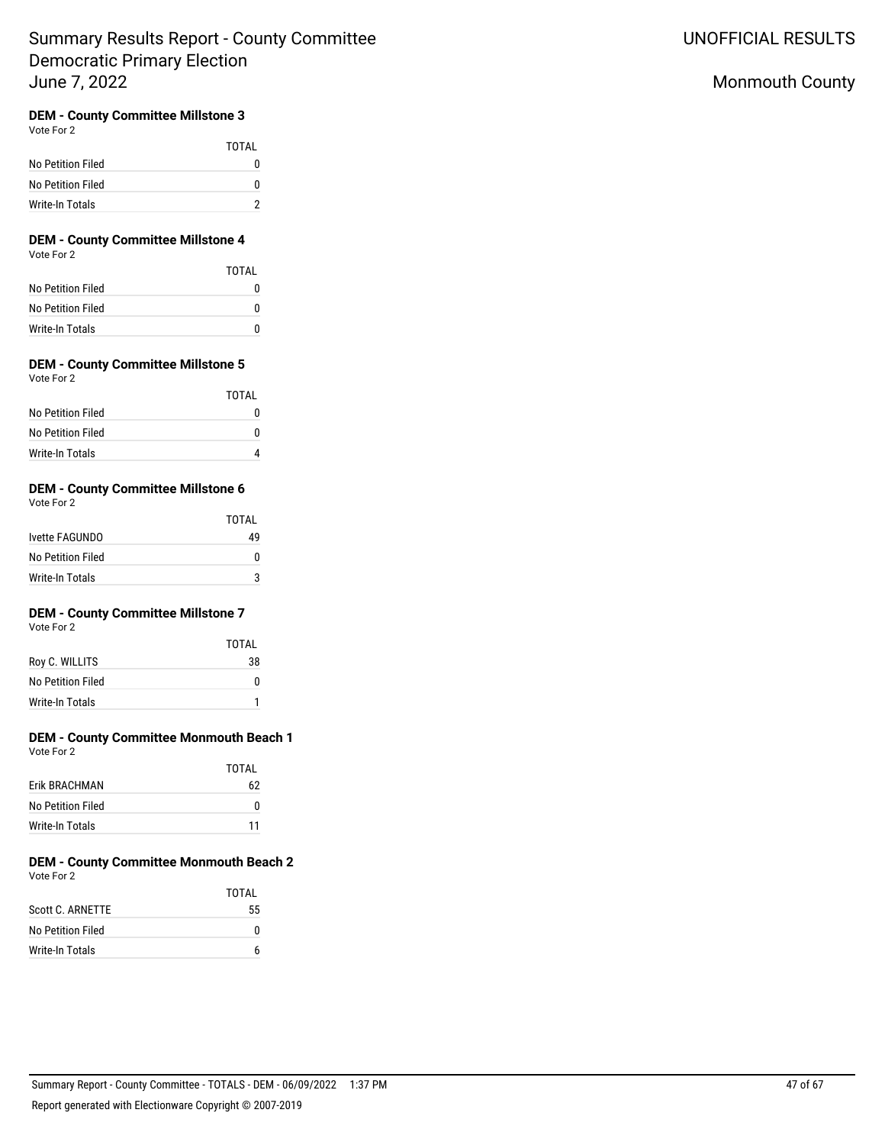# Monmouth County

## **DEM - County Committee Millstone 3**

Vote For 2

|                   | TOTAI |
|-------------------|-------|
| No Petition Filed |       |
| No Petition Filed | o     |
| Write-In Totals   |       |

### **DEM - County Committee Millstone 4** Vote For 2

|                   | TOTAL |
|-------------------|-------|
| No Petition Filed |       |
| No Petition Filed |       |
| Write-In Totals   |       |

#### **DEM - County Committee Millstone 5** Vote For 2

|                   | TOTAL |
|-------------------|-------|
| No Petition Filed |       |
| No Petition Filed |       |
| Write-In Totals   |       |

## **DEM - County Committee Millstone 6**

Vote For 2

|                   | TOTAL |
|-------------------|-------|
| Ivette FAGUNDO    | 49    |
| No Petition Filed |       |
| Write-In Totals   |       |

## **DEM - County Committee Millstone 7**

Vote For 2

|                   | TOTAI |
|-------------------|-------|
| Roy C. WILLITS    | 38    |
| No Petition Filed | n     |
| Write-In Totals   |       |

### **DEM - County Committee Monmouth Beach 1** Vote For 2

|                      | TOTAI |
|----------------------|-------|
| <b>Frik BRACHMAN</b> | 62    |
| No Petition Filed    | n     |
| Write-In Totals      | 11    |

#### **DEM - County Committee Monmouth Beach 2** Vote For 2

|                   | TOTAI |
|-------------------|-------|
| Scott C. ARNETTE  | 55    |
| No Petition Filed | n     |
| Write-In Totals   |       |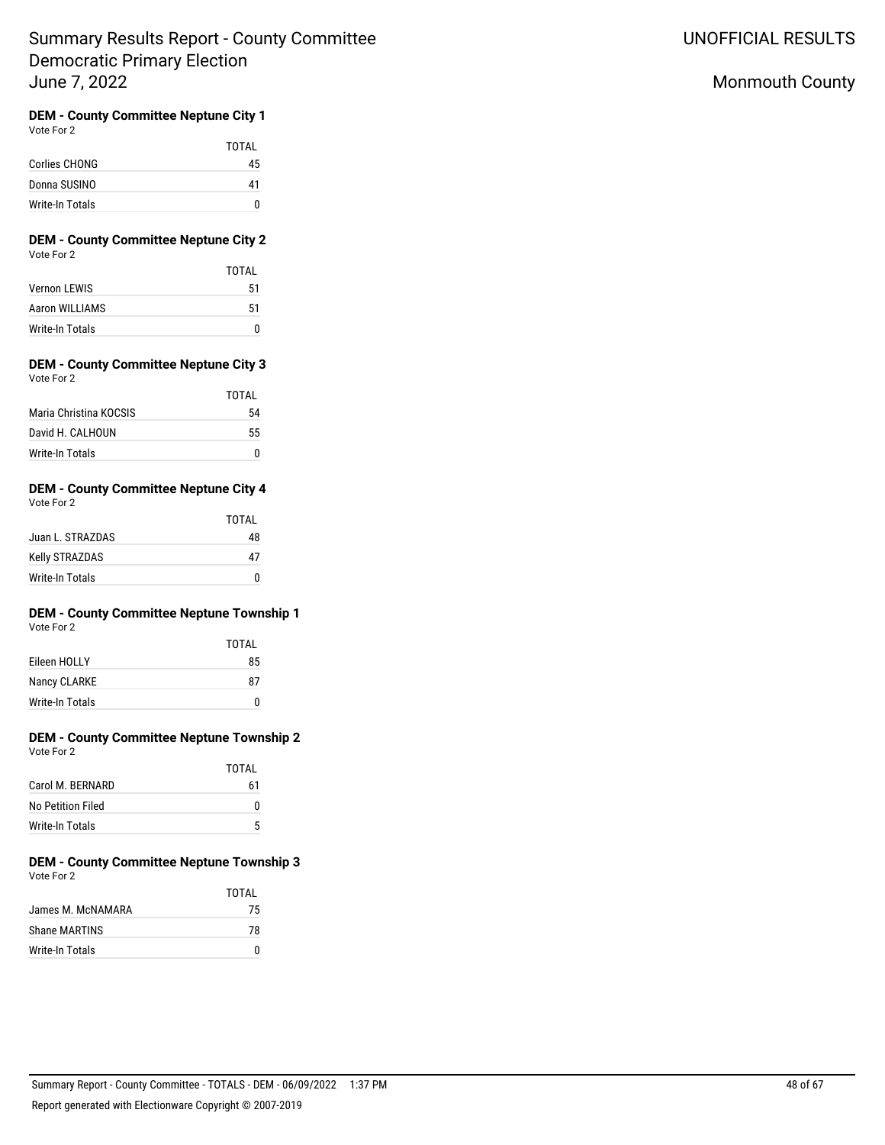# Monmouth County

#### **DEM - County Committee Neptune City 1** Vote For 2

|                 | TOTAI |
|-----------------|-------|
| Corlies CHONG   | 45    |
| Donna SUSINO    | 41    |
| Write-In Totals | n     |

## **DEM - County Committee Neptune City 2** Vote For 2

|                     | TOTAI |
|---------------------|-------|
| <b>Vernon LEWIS</b> | 51    |
| Aaron WILLIAMS      | 51    |
| Write-In Totals     | n     |

### **DEM - County Committee Neptune City 3** Vote For 2

|                        | TOTAI |
|------------------------|-------|
| Maria Christina KOCSIS | 54    |
| David H. CAI HOUN      | 55    |
| Write-In Totals        |       |

#### **DEM - County Committee Neptune City 4** Vote For 2

| VULT FULZ        | TOTAL |
|------------------|-------|
| Juan L. STRAZDAS | 48    |
| Kelly STRAZDAS   | 47    |
| Write-In Totals  |       |

# **DEM - County Committee Neptune Township 1**

| Vote For 2 |  |
|------------|--|
|            |  |

|                 | TOTAI |
|-----------------|-------|
| Eileen HOLLY    | 85    |
| Nancy CLARKE    | 87    |
| Write-In Totals | n     |

#### **DEM - County Committee Neptune Township 2**  $V$ ote

| Vote For 2 |  |
|------------|--|
|            |  |
|            |  |

|                   | TOTAI |
|-------------------|-------|
| Carol M. BERNARD  | 61    |
| No Petition Filed | n     |
| Write-In Totals   | 5     |

## **DEM - County Committee Neptune Township 3** Vote For 2

|                   | TOTAL |
|-------------------|-------|
| James M. McNAMARA | 75    |
| Shane MARTINS     | 78    |
| Write-In Totals   | n     |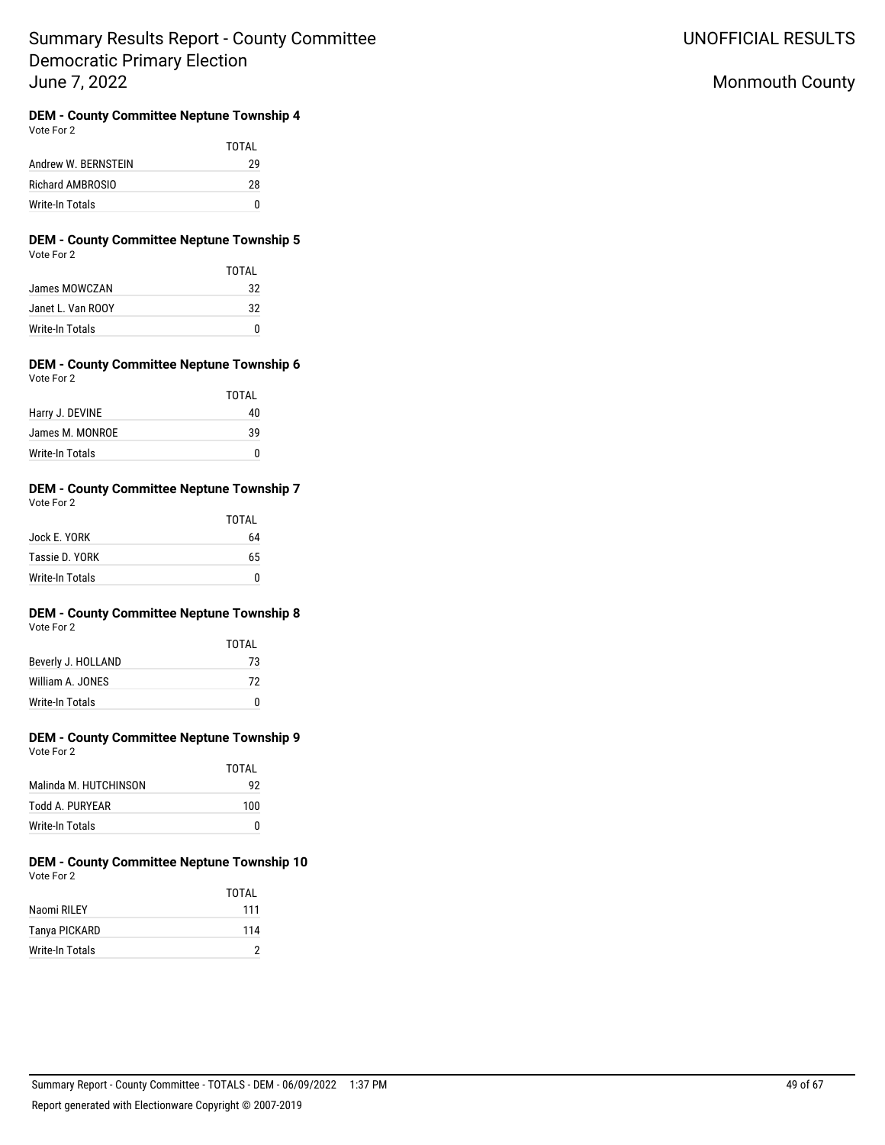UNOFFICIAL RESULTS

# Monmouth County

# **DEM - County Committee Neptune Township 4**

| Vote For | 2 |
|----------|---|
|----------|---|

TOTAL Andrew W. BERNSTEIN 29 Richard AMBROSIO 28 Write-In Totals 0

## **DEM - County Committee Neptune Township 5** Vote For 2

|                   | TOTAI |
|-------------------|-------|
| James MOWCZAN     | 32    |
| Janet L. Van ROOY | 32    |
| Write-In Totals   | O     |

#### **DEM - County Committee Neptune Township 6** Vote For 2

| $\cdots$        | TOTAL |
|-----------------|-------|
| Harry J. DEVINE | 40    |
| James M. MONROE | 39    |
| Write-In Totals |       |

## **DEM - County Committee Neptune Township 7**

| Vote For 2 |  |
|------------|--|
|            |  |

|                 | TOTAL |
|-----------------|-------|
| Jock E. YORK    | 64    |
| Tassie D. YORK  | 65    |
| Write-In Totals |       |

# **DEM - County Committee Neptune Township 8**

|--|

|                    | TOTAI |
|--------------------|-------|
| Beverly J. HOLLAND | 73    |
| William A. JONES   | 72    |
| Write-In Totals    |       |

#### **DEM - County Committee Neptune Township 9** Vote For 2

|                       | TOTAI |
|-----------------------|-------|
| Malinda M. HUTCHINSON | 92    |
| Todd A. PURYEAR       | 100   |
| Write-In Totals       |       |

#### **DEM - County Committee Neptune Township 10** Vote For 2

|                 | TOTAI |
|-----------------|-------|
| Naomi RILEY     | 111   |
| Tanya PICKARD   | 114   |
| Write-In Totals | 2     |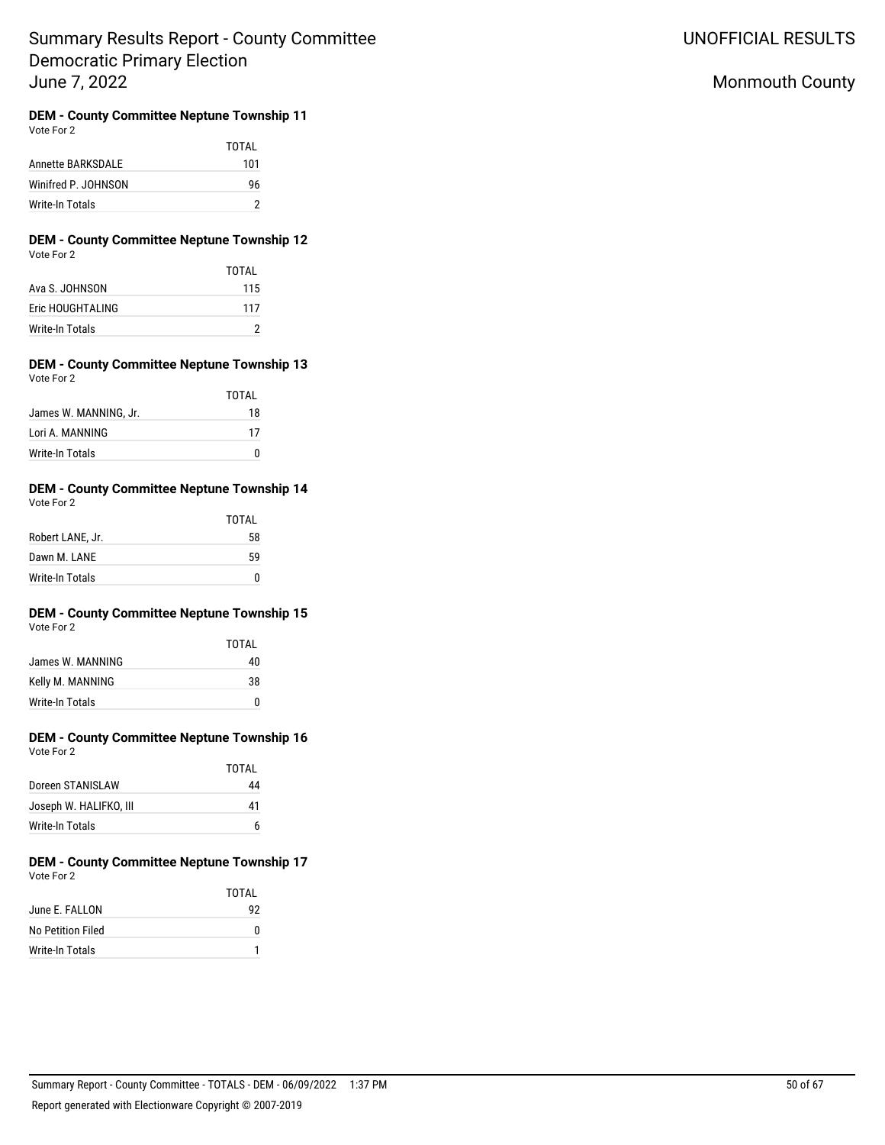UNOFFICIAL RESULTS

# Monmouth County

**DEM - County Committee Neptune Township 11** Vote For 2

|                          | TOTAL |
|--------------------------|-------|
| <b>Annette BARKSDALE</b> | 101   |
| Winifred P. JOHNSON      | 96    |
| Write-In Totals          |       |

### **DEM - County Committee Neptune Township 12** Vote For 2

|                  | TOTAI |
|------------------|-------|
| Ava S. JOHNSON   | 115   |
| Fric HOUGHTALING | 117   |
| Write-In Totals  |       |

#### **DEM - County Committee Neptune Township 13** Vote For 2

|                       | TOTAI |
|-----------------------|-------|
| James W. MANNING, Jr. | 18    |
| Lori A. MANNING       | 17    |
| Write-In Totals       | n     |

#### **DEM - County Committee Neptune Township 14** Vote For 2

| $\mathbf{v}$ with $\mathbf{v}$ |       |
|--------------------------------|-------|
|                                | TOTAL |
| Robert LANE, Jr.               | 58    |
| Dawn M. LANE                   | 59    |
| Write-In Totals                | n     |

# **DEM - County Committee Neptune Township 15**

|                  | TOTAI |
|------------------|-------|
| James W. MANNING | 40    |
| Kelly M. MANNING | 38    |
| Write-In Totals  | U     |

## **DEM - County Committee Neptune Township 16** Vote For 2

|                        | TOTAI |
|------------------------|-------|
| Doreen STANISLAW       | 44    |
| Joseph W. HALIFKO, III | 41    |
| Write-In Totals        |       |

#### **DEM - County Committee Neptune Township 17** Vote For 2

|                   | TOTAI |
|-------------------|-------|
| June F. FALLON    | 92    |
| No Petition Filed | 0     |
| Write-In Totals   |       |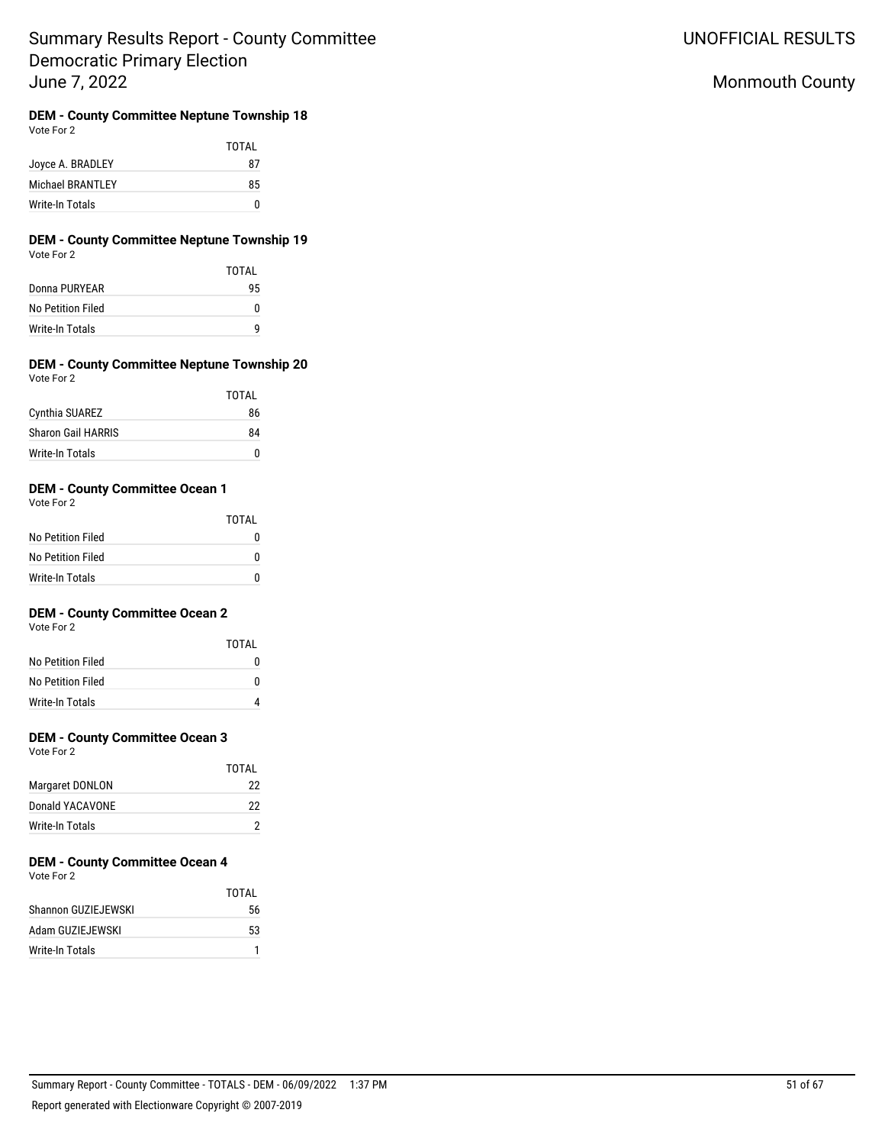UNOFFICIAL RESULTS

# Monmouth County

## **DEM - County Committee Neptune Township 18**

Vote For 2

|                  | TOTAL |
|------------------|-------|
| Joyce A. BRADLEY | 87    |
| Michael BRANTLEY | 85    |
| Write-In Totals  | n     |

### **DEM - County Committee Neptune Township 19** Vote For 2

|                   | TOTAI |
|-------------------|-------|
| Donna PURYEAR     | 95    |
| No Petition Filed | 0     |
| Write-In Totals   | q     |

#### **DEM - County Committee Neptune Township 20** Vote For 2

|                           | TOTAL |
|---------------------------|-------|
| Cynthia SUAREZ            | 86    |
| <b>Sharon Gail HARRIS</b> | 84    |
| Write-In Totals           |       |

## **DEM - County Committee Ocean 1**

Vote For 2

|                   | TOTAL |
|-------------------|-------|
| No Petition Filed | O     |
| No Petition Filed | 0     |
| Write-In Totals   | n     |

## **DEM - County Committee Ocean 2**

Vote For 2

|                   | TOTAI |
|-------------------|-------|
| No Petition Filed |       |
| No Petition Filed | O     |
| Write-In Totals   |       |

## **DEM - County Committee Ocean 3**

Vote For 2

|                 | TOTAI |
|-----------------|-------|
| Margaret DONLON | 22    |
| Donald YACAVONE | 22    |
| Write-In Totals |       |

# **DEM - County Committee Ocean 4**

Vote For 2

|                     | TOTAI |
|---------------------|-------|
| Shannon GUZIEJEWSKI | 56    |
| Adam GUZIEJEWSKI    | 53    |
| Write-In Totals     |       |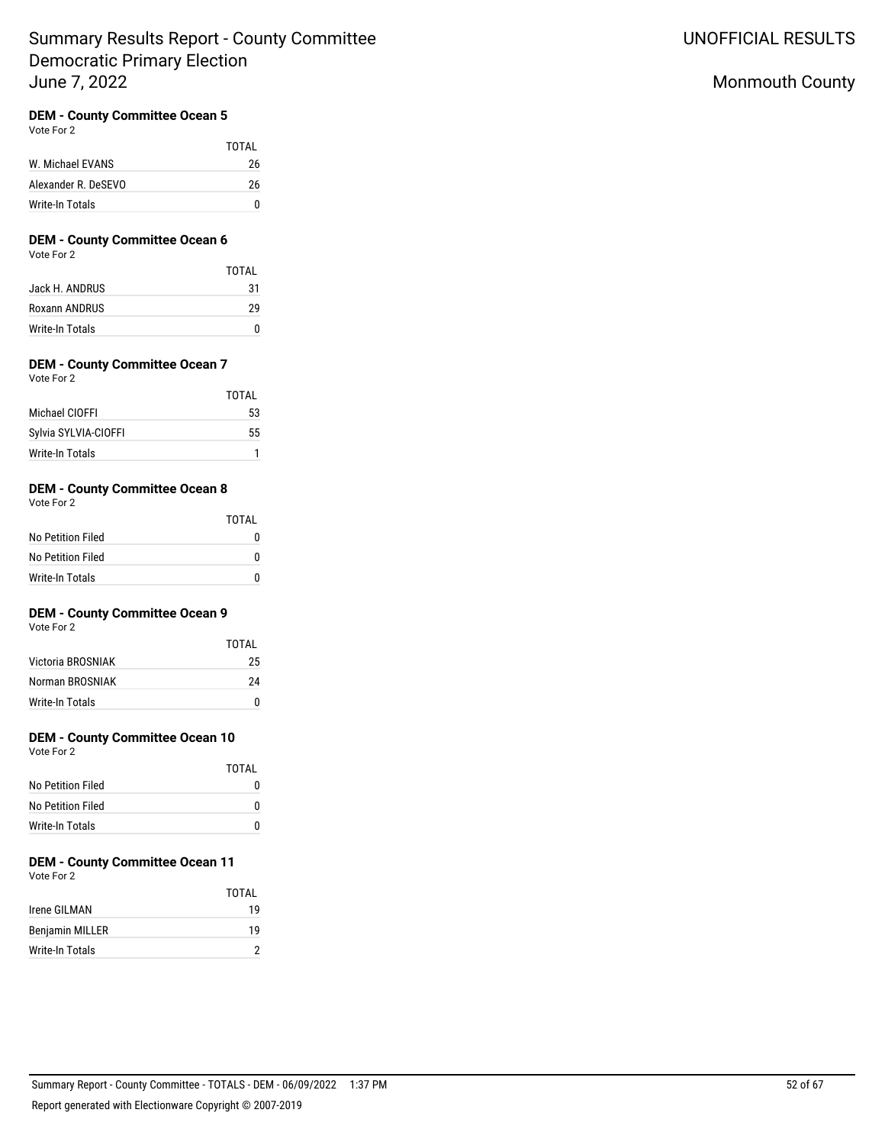## **DEM - County Committee Ocean 5**

Vote For 2

|                     | TOTAI |
|---------------------|-------|
| W. Michael EVANS    | 26    |
| Alexander R. DeSEVO | 26    |
| Write-In Totals     | n     |

## **DEM - County Committee Ocean 6**

Vote For 2

| TOTAI |
|-------|
| 31    |
| 29    |
|       |
|       |

## **DEM - County Committee Ocean 7**

Vote For 2

|                      | TOTAI |
|----------------------|-------|
| Michael CIOFFI       | 53    |
| Sylvia SYLVIA-CIOFFI | 55    |
| Write-In Totals      |       |

## **DEM - County Committee Ocean 8**

Vote For 2

|                   | TOTAI |
|-------------------|-------|
| No Petition Filed | O     |
| No Petition Filed | 0     |
| Write-In Totals   | n     |

## **DEM - County Committee Ocean 9**

Vote For 2

|                   | TOTAI |
|-------------------|-------|
| Victoria BROSNIAK | 25    |
| Norman BROSNIAK   | 24    |
| Write-In Totals   | n     |

## **DEM - County Committee Ocean 10**

Vote For 2

|                   | TOTAL |
|-------------------|-------|
| No Petition Filed |       |
| No Petition Filed | n     |
| Write-In Totals   | O     |

# **DEM - County Committee Ocean 11**

Vote For 2

|                        | TOTAI |
|------------------------|-------|
| Irene GILMAN           | 19    |
| <b>Benjamin MILLER</b> | 19    |
| Write-In Totals        |       |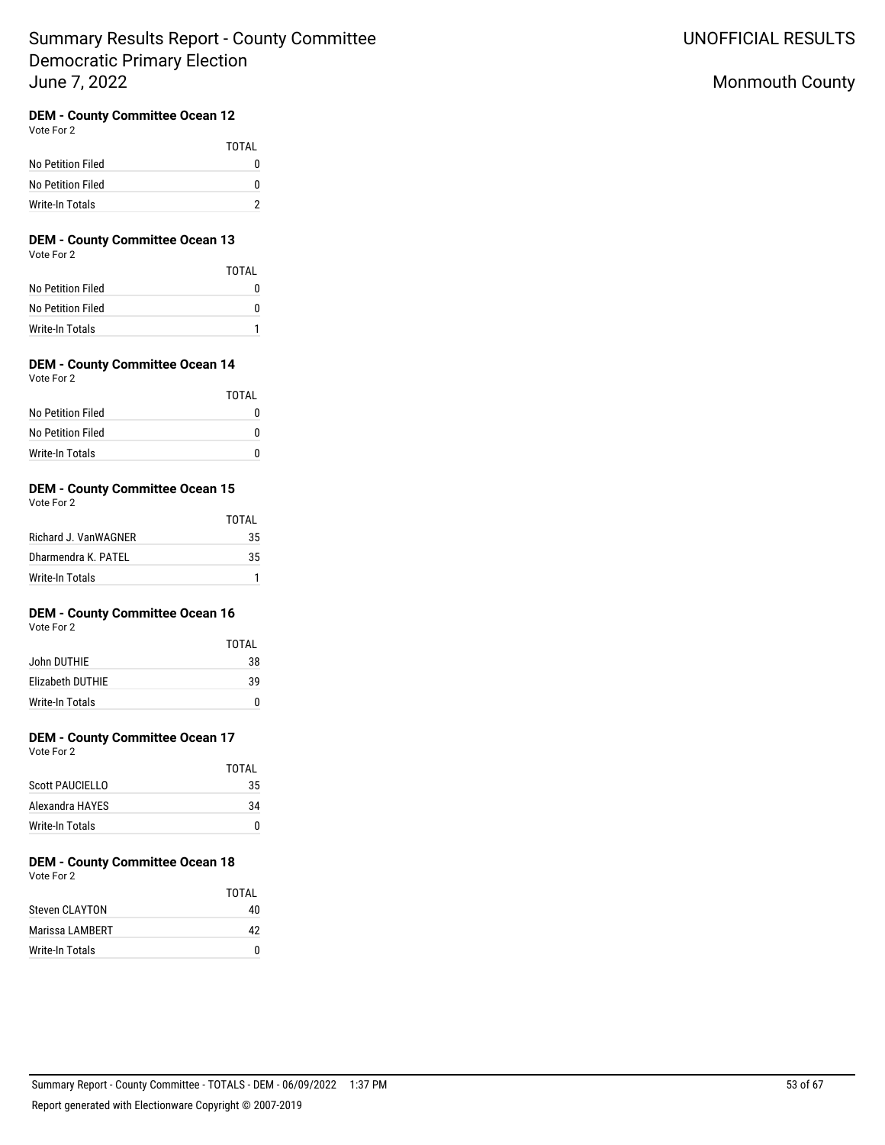## **DEM - County Committee Ocean 12**

Vote For 2

|                   | TOTAL |
|-------------------|-------|
| No Petition Filed | O     |
| No Petition Filed | O     |
| Write-In Totals   |       |

# **DEM - County Committee Ocean 13**

Vote For 2

|                   | TOTAI |
|-------------------|-------|
| No Petition Filed |       |
| No Petition Filed | n     |
| Write-In Totals   |       |

#### **DEM - County Committee Ocean 14** Vote For 2

| $\cdots$          |       |
|-------------------|-------|
|                   | TOTAL |
| No Petition Filed | n     |
| No Petition Filed | n     |
| Write-In Totals   | n     |

## **DEM - County Committee Ocean 15**

Vote For 2

|                      | TOTAI |
|----------------------|-------|
| Richard J. VanWAGNER | 35    |
| Dharmendra K. PATEL  | 35    |
| Write-In Totals      |       |

## **DEM - County Committee Ocean 16**

Vote For 2

|                  | TOTAI |
|------------------|-------|
| John DUTHIE      | 38    |
| Elizabeth DUTHIE | 39    |
| Write-In Totals  | n     |

## **DEM - County Committee Ocean 17**

Vote For 2

|                 | TOTAI |
|-----------------|-------|
| Scott PAUCIFLLO | 35    |
| Alexandra HAYES | 34    |
| Write-In Totals |       |

#### **DEM - County Committee Ocean 18** Vote For 2

|                       | TOTAL |
|-----------------------|-------|
| <b>Steven CLAYTON</b> | 40    |
| Marissa LAMBERT       | 42    |
| Write-In Totals       |       |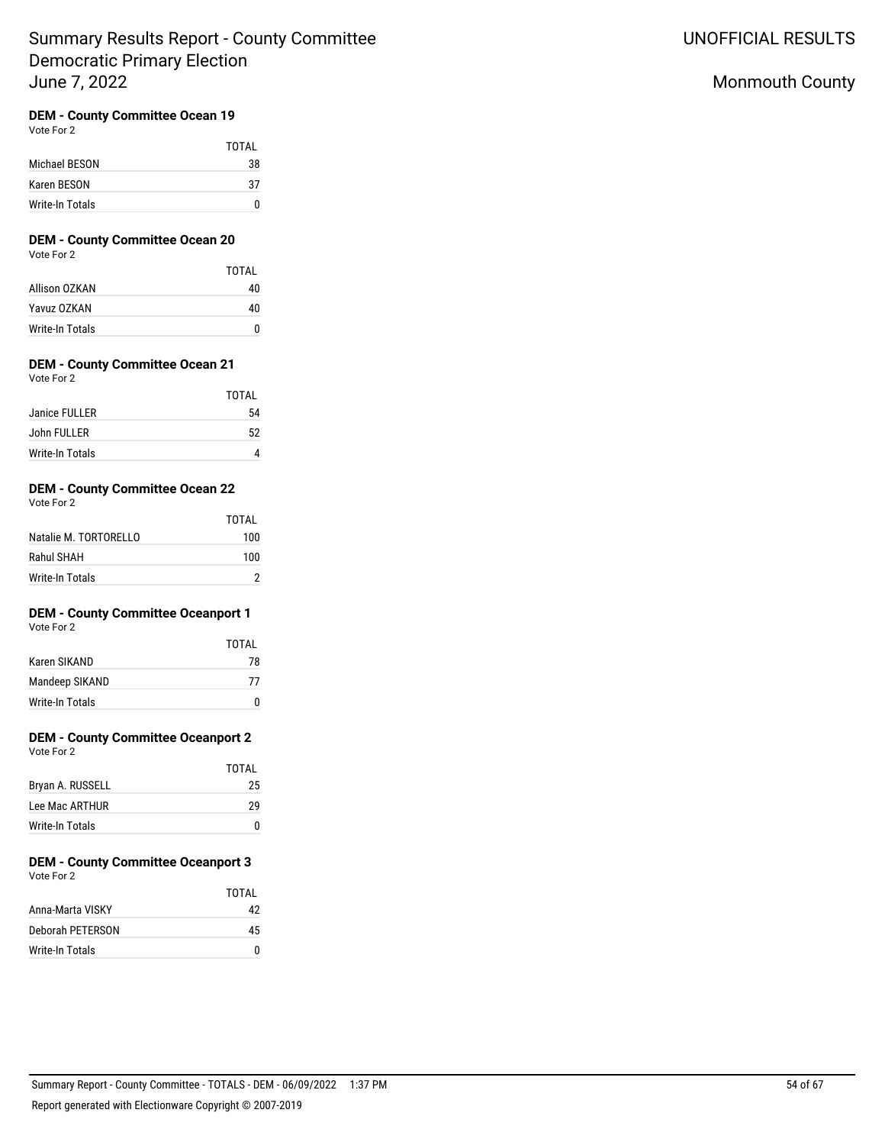## **DEM - County Committee Ocean 19**

Vote For 2

|                 | TOTAI |
|-----------------|-------|
| Michael BESON   | 38    |
| Karen BESON     | 37    |
| Write-In Totals | n     |

## **DEM - County Committee Ocean 20**

Vote For 2

|                 | TOTAI |
|-----------------|-------|
| Allison OZKAN   | 40    |
| Yavuz OZKAN     | 40    |
| Write-In Totals | n     |

## **DEM - County Committee Ocean 21**

Vote For 2

|                 | TOTAI |
|-----------------|-------|
| Janice FULLER   | 54    |
| John FULLER     | 52    |
| Write-In Totals |       |

## **DEM - County Committee Ocean 22**

Vote For 2

|                       | TOTAL |
|-----------------------|-------|
| Natalie M. TORTORELLO | 100   |
| Rahul SHAH            | 100   |
| Write-In Totals       |       |

## **DEM - County Committee Oceanport 1**

Vote For 2

|                 | TOTAI       |
|-----------------|-------------|
| Karen SIKAND    | 78          |
| Mandeep SIKAND  | 77          |
| Write-In Totals | $^{\prime}$ |

## **DEM - County Committee Oceanport 2**

Vote For 2

|                  | TOTAL |
|------------------|-------|
| Bryan A. RUSSELL | 25    |
| Lee Mac ARTHUR   | 29    |
| Write-In Totals  | O     |

#### **DEM - County Committee Oceanport 3** Vote For 2

|                  | TOTAI |
|------------------|-------|
| Anna-Marta VISKY | 42    |
| Deborah PETERSON | 45    |
| Write-In Totals  |       |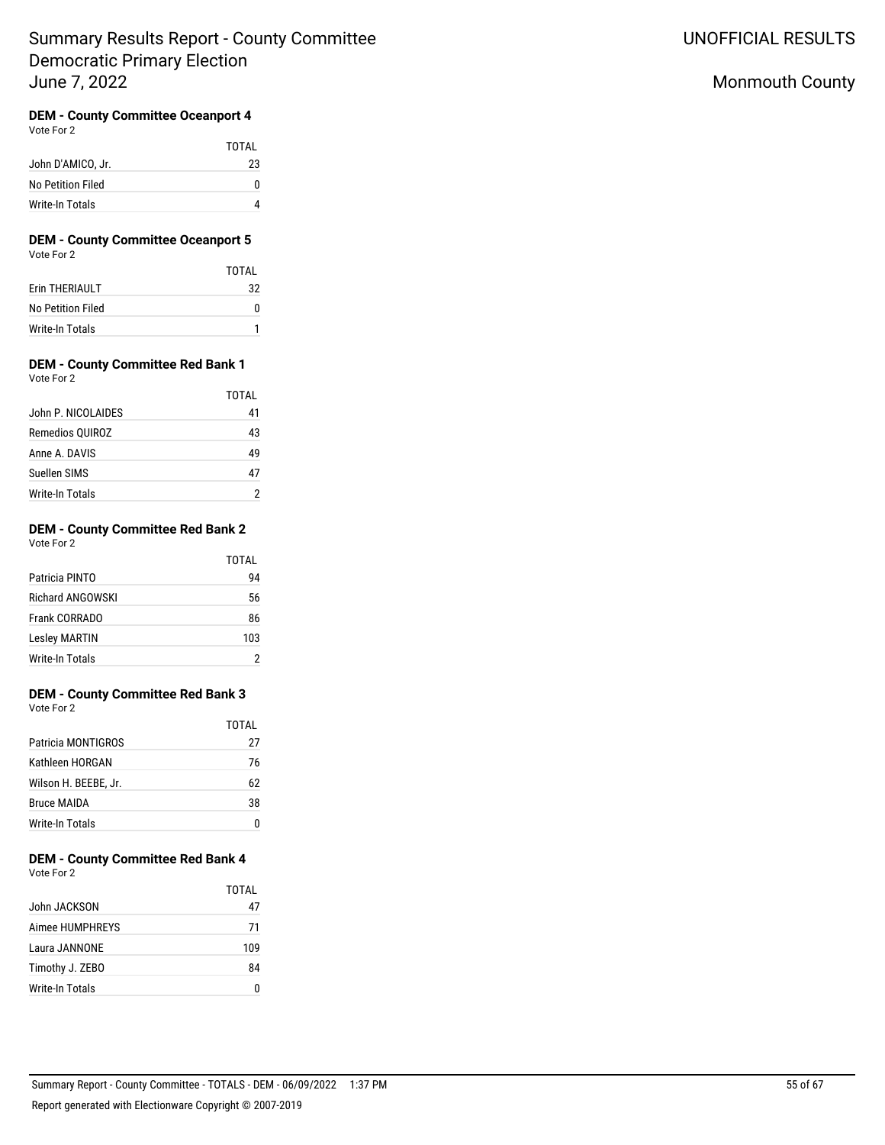# Monmouth County

#### **DEM - County Committee Oceanport 4** Vote For 2

|                   | TOTAL |
|-------------------|-------|
| John D'AMICO, Jr. | 23    |
| No Petition Filed |       |
| Write-In Totals   |       |

### **DEM - County Committee Oceanport 5** Vote For 2

|                   | TOTAI |
|-------------------|-------|
| Erin THERIAULT    | 32    |
| No Petition Filed |       |
| Write-In Totals   |       |

### **DEM - County Committee Red Bank 1** Vote For 2

|                    | TOTAI |
|--------------------|-------|
| John P. NICOLAIDES | 41    |
| Remedios QUIROZ    | 43    |
| Anne A. DAVIS      | 49    |
| Suellen SIMS       | 47    |
| Write-In Totals    |       |

#### **DEM - County Committee Red Bank 2** Vote For 2

|                         | TOTAL |
|-------------------------|-------|
| Patricia PINTO          | 94    |
| <b>Richard ANGOWSKI</b> | 56    |
| Frank CORRADO           | 86    |
| <b>Lesley MARTIN</b>    | 103   |
| Write-In Totals         |       |

### **DEM - County Committee Red Bank 3** Vote For 2

|                      | TOTAI |
|----------------------|-------|
| Patricia MONTIGROS   | 27    |
| Kathleen HORGAN      | 76    |
| Wilson H. BEEBE, Jr. | 62    |
| <b>Bruce MAIDA</b>   | 38    |
| Write-In Totals      |       |

## **DEM - County Committee Red Bank 4** Vote For 2

|                 | TOTAI |
|-----------------|-------|
| John JACKSON    | 47    |
| Aimee HUMPHRFYS | 71    |
| Laura JANNONF   | 109   |
| Timothy J. ZEBO | 84    |
| Write-In Totals |       |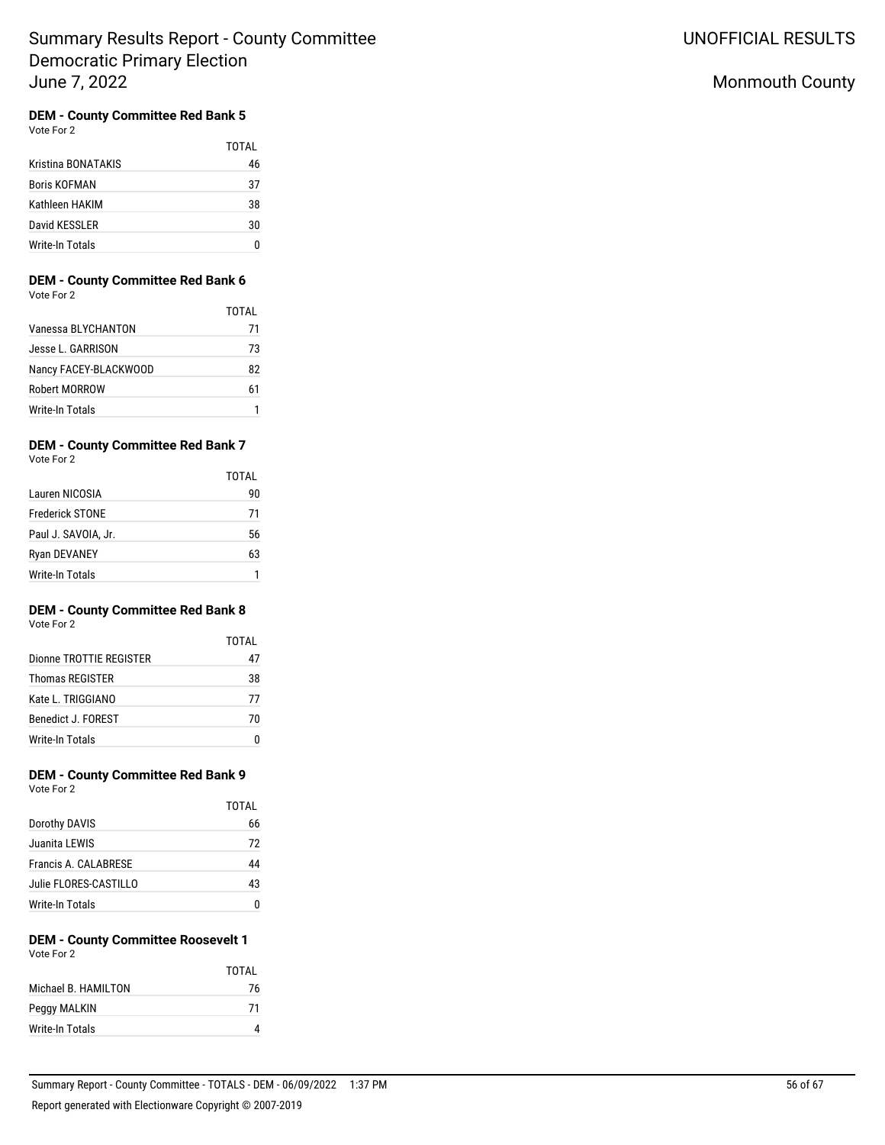# Monmouth County

# **DEM - County Committee Red Bank 5**<br>Vote For 2

|                     | TOTAI |
|---------------------|-------|
| Kristina BONATAKIS  | 46    |
| <b>Boris KOFMAN</b> | 37    |
| Kathleen HAKIM      | 38    |
| David KESSLER       | 30    |
| Write-In Totals     |       |

# **DEM - County Committee Red Bank 6**

| Vote For 2 |  |
|------------|--|
|            |  |

|                        | TOTAI |
|------------------------|-------|
| Vanessa BLYCHANTON     | 71    |
| Jesse L. GARRISON      | 73    |
| Nancy FACEY-BLACKWOOD  | 82    |
| Robert MORROW          | 61    |
| <b>Write-In Totals</b> |       |

# **DEM - County Committee Red Bank 7**<br>Vote For 2

| Vote For 2 |  |
|------------|--|
|            |  |

|                        | TOTAI |
|------------------------|-------|
| Lauren NICOSIA         | 90    |
| <b>Frederick STONE</b> | 71    |
| Paul J. SAVOIA, Jr.    | 56    |
| <b>Ryan DEVANEY</b>    | 63    |
| <b>Write-In Totals</b> |       |

## **DEM - County Committee Red Bank 8**

Vote For 2

|                         | TOTAI |
|-------------------------|-------|
| Dionne TROTTIE REGISTER | 47    |
| Thomas REGISTER         | 38    |
| Kate L. TRIGGIANO       | 77    |
| Benedict J. FOREST      | 70    |
| <b>Write-In Totals</b>  |       |

#### **DEM - County Committee Red Bank 9** Vote For 2

| <u>vuu vu a</u>       |       |
|-----------------------|-------|
|                       | TOTAL |
| Dorothy DAVIS         | 66    |
| Juanita LEWIS         | 72    |
| Francis A. CALABRESE  | 44    |
| Julie FLORES-CASTILLO | 43    |
| Write-In Totals       | n     |

### **DEM - County Committee Roosevelt 1** Vote For 2

|                      | TOTAI |
|----------------------|-------|
| Michael B. HAMII TON | 76    |
| Peggy MALKIN         | -71   |
| Write-In Totals      |       |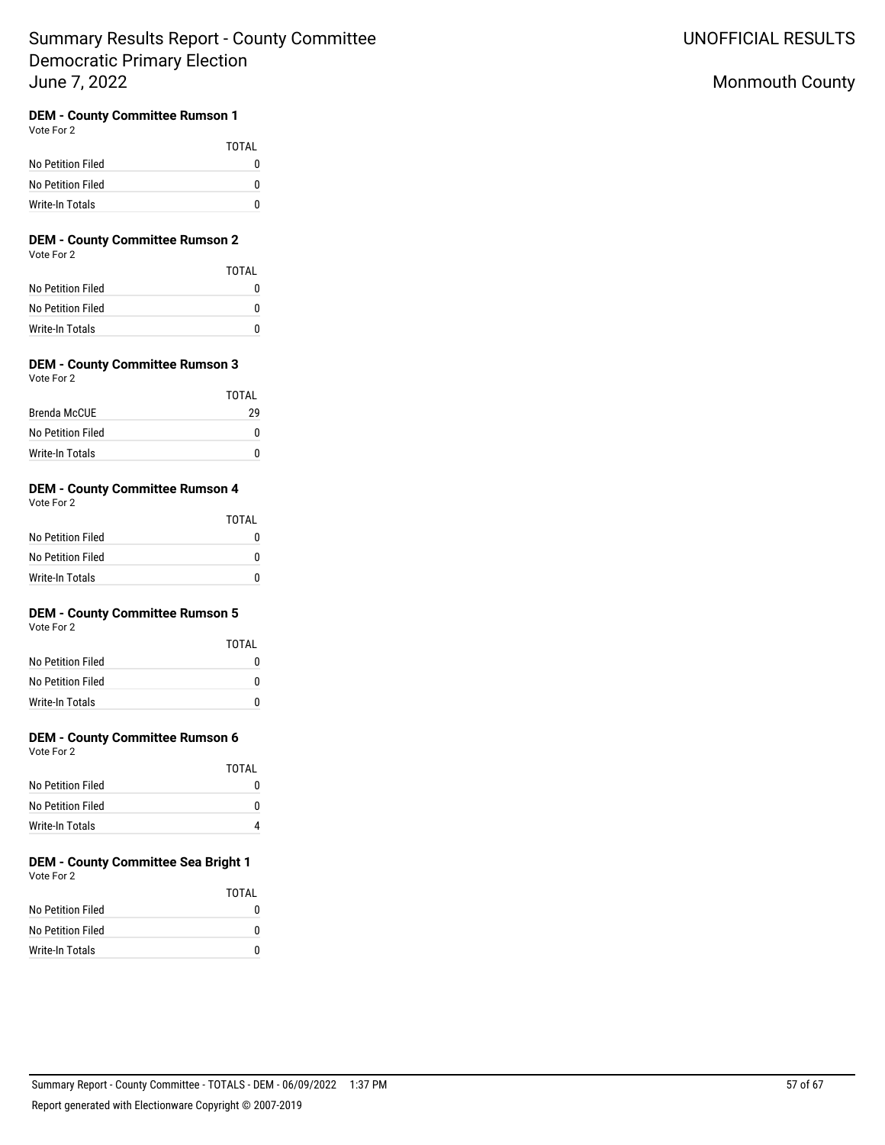# UNOFFICIAL RESULTS

# Monmouth County

## **DEM - County Committee Rumson 1**

Vote For 2

|                   | <b>TOTAL</b> |
|-------------------|--------------|
| No Petition Filed | o            |
| No Petition Filed | O            |
| Write-In Totals   | n            |

# **DEM - County Committee Rumson 2**

Vote For 2

|                   | TOTAL |
|-------------------|-------|
| No Petition Filed |       |
| No Petition Filed | n     |
| Write-In Totals   |       |

# **DEM - County Committee Rumson 3**

| Vote For 2 |  |
|------------|--|
|            |  |

|                   | TOTAL |
|-------------------|-------|
| Brenda McCUF      | 29    |
| No Petition Filed | n     |
| Write-In Totals   | n     |

## **DEM - County Committee Rumson 4**

Vote For 2

|                   | TOTAL |
|-------------------|-------|
| No Petition Filed |       |
| No Petition Filed |       |
| Write-In Totals   |       |

## **DEM - County Committee Rumson 5**

Vote For 2

|                   | TOTAI |
|-------------------|-------|
| No Petition Filed | n     |
| No Petition Filed | n     |
| Write-In Totals   | n     |

# **DEM - County Committee Rumson 6**

Vote For 2

|                   | TOTAL |
|-------------------|-------|
| No Petition Filed |       |
| No Petition Filed |       |
| Write-In Totals   |       |

#### **DEM - County Committee Sea Bright 1** Vote For 2

|                   | TOTAI |
|-------------------|-------|
| No Petition Filed | n     |
| No Petition Filed | n     |
| Write-In Totals   | n     |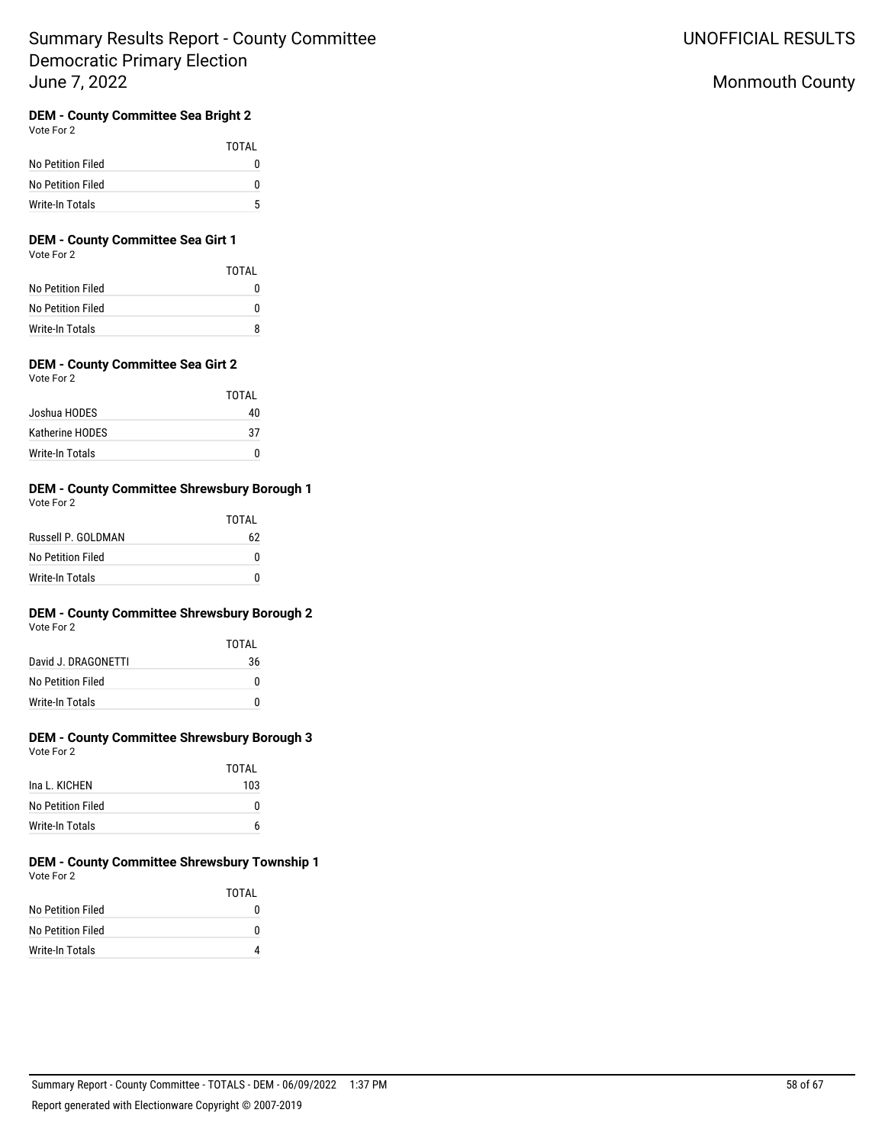# Monmouth County

# **DEM - County Committee Sea Bright 2**

Vote For 2

|                   | TOTAI    |
|-------------------|----------|
| No Petition Filed | $^{(1)}$ |
| No Petition Filed | o        |
| Write-In Totals   | 5        |

# **DEM - County Committee Sea Girt 1**

Vote For 2

|                   | TOTAL |
|-------------------|-------|
| No Petition Filed |       |
| No Petition Filed | n     |
| Write-In Totals   |       |

## **DEM - County Committee Sea Girt 2**

|                 | TOTAI |
|-----------------|-------|
| Joshua HODES    | 40    |
| Katherine HODES | 37    |
| Write-In Totals | n     |

#### **DEM - County Committee Shrewsbury Borough 1** Vote For 2

| VOLE FOI Z         | TOTAI |
|--------------------|-------|
| Russell P. GOLDMAN | 62    |
| No Petition Filed  | n     |
| Write-In Totals    | n     |

# **DEM - County Committee Shrewsbury Borough 2**

Vote For 2

|                     | TOTAI |
|---------------------|-------|
| David J. DRAGONETTI | 36    |
| No Petition Filed   | n     |
| Write-In Totals     | U     |

## **DEM - County Committee Shrewsbury Borough 3** Vote For 2

|                   | TOTAI |
|-------------------|-------|
| Ina L. KICHEN     | 103   |
| No Petition Filed | n     |
| Write-In Totals   | 6     |

#### **DEM - County Committee Shrewsbury Township 1** Vote For 2

|                   | TOTAI |
|-------------------|-------|
| No Petition Filed | 0     |
| No Petition Filed | 0     |
| Write-In Totals   |       |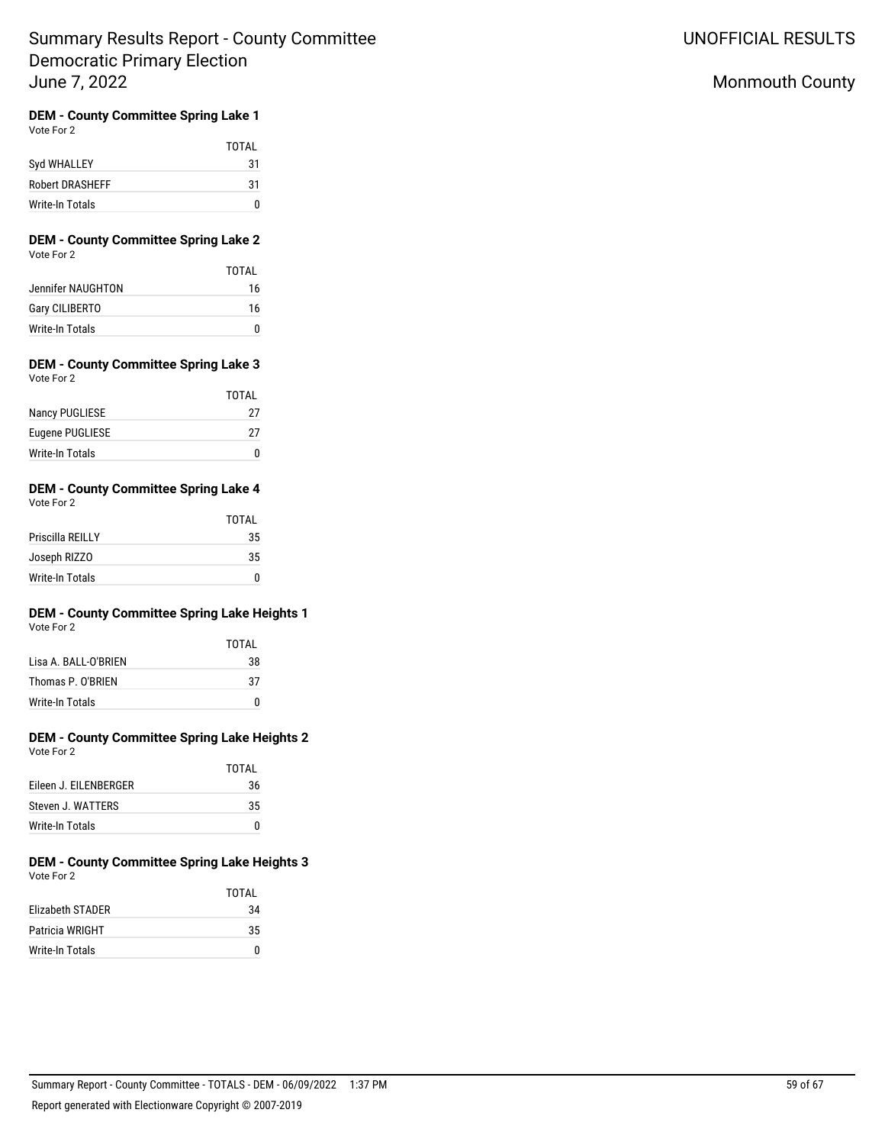UNOFFICIAL RESULTS

# Monmouth County

#### **DEM - County Committee Spring Lake 1** Vote For 2

|                        | TOTAL |
|------------------------|-------|
| Syd WHALLEY            | 31    |
| <b>Robert DRASHEFF</b> | 31    |
| Write-In Totals        |       |

### **DEM - County Committee Spring Lake 2** Vote For 2

|                       | TOTAI |
|-----------------------|-------|
| Jennifer NAUGHTON     | 16    |
| <b>Gary CILIBERTO</b> | 16    |
| Write-In Totals       | O     |

### **DEM - County Committee Spring Lake 3** Vote For 2

|                       | TOTAL |
|-----------------------|-------|
| <b>Nancy PUGLIESE</b> | 27    |
| Eugene PUGLIESE       | 27    |
| Write-In Totals       |       |

#### **DEM - County Committee Spring Lake 4** Vote For 2

| $\cdots$         | <b>TOTAL</b> |
|------------------|--------------|
| Priscilla REILLY | 35           |
| Joseph RIZZO     | 35           |
| Write-In Totals  |              |

# **DEM - County Committee Spring Lake Heights 1**

 $T^{\sim}$ 

| Vote For 2 |  |
|------------|--|
|            |  |

| IUIAL |
|-------|
| 38    |
| 37    |
| n     |
|       |

#### **DEM - County Committee Spring Lake Heights 2** Vote For 2

|                       | TOTAI |
|-----------------------|-------|
| Eileen J. EILENBERGER | 36    |
| Steven J. WATTERS     | 35    |
| Write-In Totals       |       |

#### **DEM - County Committee Spring Lake Heights 3** Vote For 2

|                         | <b>TOTAL</b> |
|-------------------------|--------------|
| <b>Elizabeth STADER</b> | 34           |
| <b>Patricia WRIGHT</b>  | 35           |
| Write-In Totals         | n            |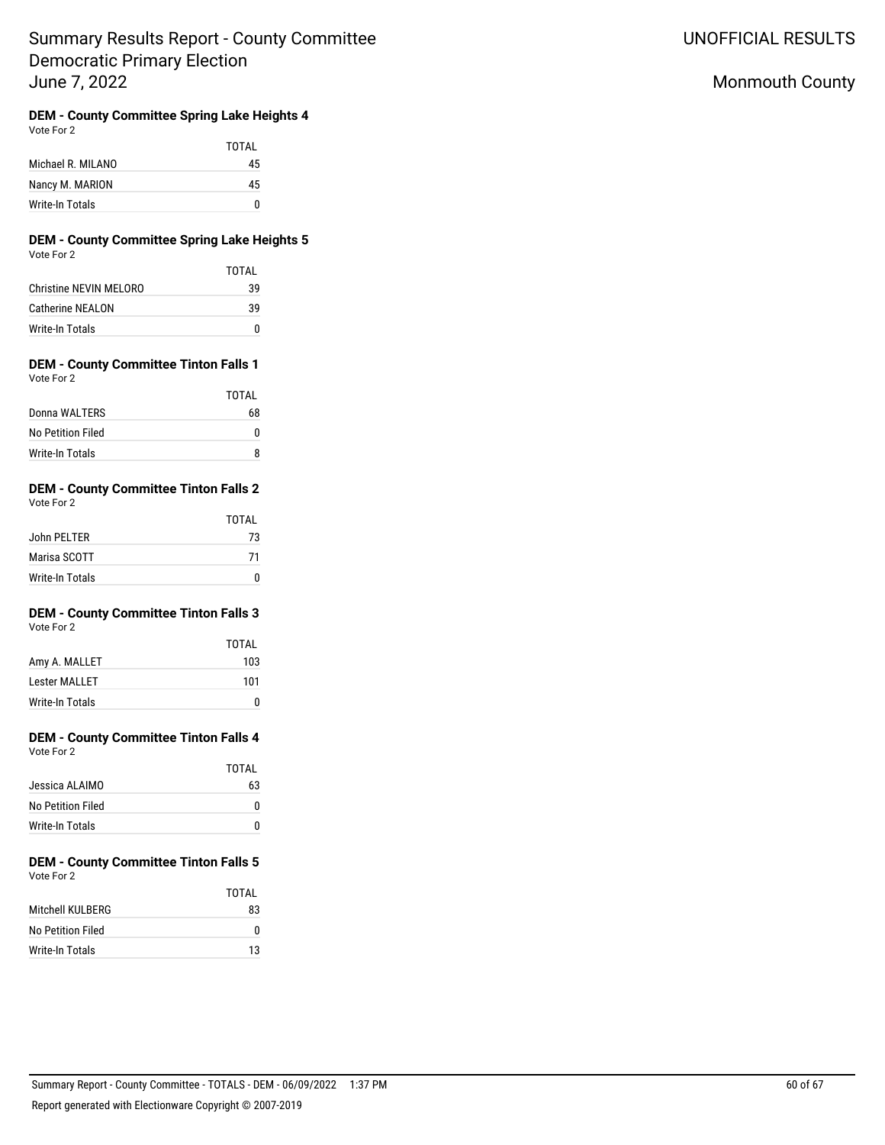UNOFFICIAL RESULTS

# Monmouth County

**DEM - County Committee Spring Lake Heights 4** Vote For 2

|                   | TOTAL |
|-------------------|-------|
| Michael R. MILANO | 45    |
| Nancy M. MARION   | 45    |
| Write-In Totals   | n     |

## **DEM - County Committee Spring Lake Heights 5** Vote For 2

|                         | TOTAI |
|-------------------------|-------|
| Christine NFVIN MFI ORO | 39    |
| Catherine NFAI ON       | 39    |
| Write-In Totals         | U     |

### **DEM - County Committee Tinton Falls 1** Vote For 2

|                   | TOTAL |
|-------------------|-------|
| Donna WALTERS     | 68    |
| No Petition Filed | n     |
| Write-In Totals   |       |

#### **DEM - County Committee Tinton Falls 2** Vote For 2

|                 | <b>TOTAL</b> |
|-----------------|--------------|
| John PELTER     | 73           |
| Marisa SCOTT    | 71           |
| Write-In Totals |              |

#### **DEM - County Committee Tinton Falls 3** Vote For 2

|                      | TOTAI |
|----------------------|-------|
| Amy A. MALLET        | 103   |
| <b>Lester MALLET</b> | 101   |
| Write-In Totals      | n     |

# **DEM - County Committee Tinton Falls 4**

| Vote For 2 |  |
|------------|--|
|            |  |

|                   | IUIAL |
|-------------------|-------|
| Jessica ALAIMO    | 63    |
| No Petition Filed | o     |
| Write-In Totals   | O     |

#### **DEM - County Committee Tinton Falls 5** Vote For 2

|                   | TOTAI |
|-------------------|-------|
| Mitchell KULBERG  | 83    |
| No Petition Filed | 0     |
| Write-In Totals   | 13    |

TOTAL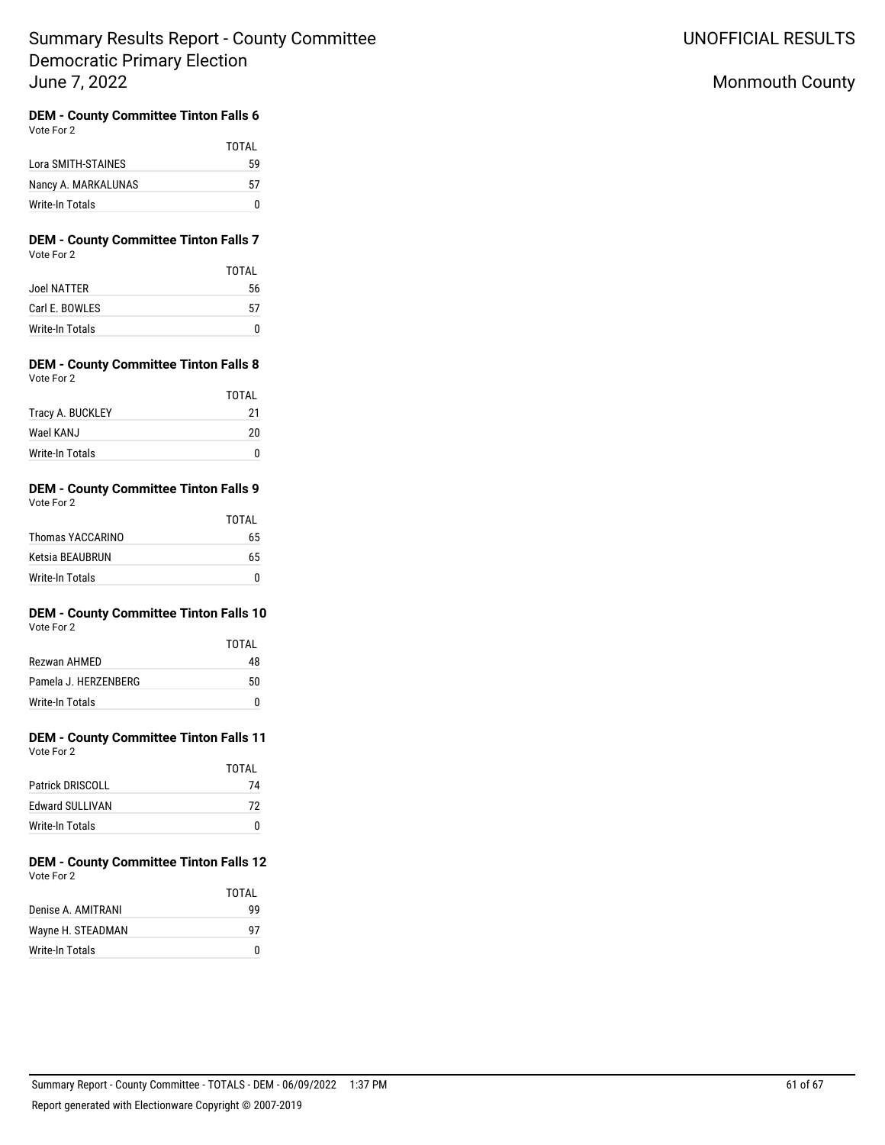# Monmouth County

#### **DEM - County Committee Tinton Falls 6** Vote For 2

|                     | TOTAI |
|---------------------|-------|
| Lora SMITH-STAINES  | 59    |
| Nancy A. MARKALUNAS | 57    |
| Write-In Totals     | n     |

### **DEM - County Committee Tinton Falls 7** Vote For 2

|                 | <b>TOTAL</b> |
|-----------------|--------------|
| Joel NATTER     | 56           |
| Carl E. BOWLES  | 57           |
| Write-In Totals |              |

### **DEM - County Committee Tinton Falls 8** Vote For 2

|                  | TOTAI |
|------------------|-------|
| Tracy A. BUCKLEY | 21    |
| Wael KAN.J       | 20    |
| Write-In Totals  |       |

## **DEM - County Committee Tinton Falls 9** Vote For 2

|                  | TOTAL |
|------------------|-------|
| Thomas YACCARINO | 65    |
| Ketsia BEAUBRUN  | 65    |
| Write-In Totals  | n     |

#### **DEM - County Committee Tinton Falls 10** Vote For 2

| $\cdots$             |       |
|----------------------|-------|
|                      | TOTAI |
| Rezwan AHMED         | 48    |
| Pamela J. HERZENBERG | 50    |
| Write-In Totals      |       |

# **DEM - County Committee Tinton Falls 11**

| Vote For 2 |  |
|------------|--|
|            |  |

|                         | TOTAI |
|-------------------------|-------|
| <b>Patrick DRISCOLL</b> | 74    |
| <b>Fdward SULLIVAN</b>  | 72    |
| Write-In Totals         |       |

## **DEM - County Committee Tinton Falls 12** Vote For 2

|                   | TOTAI |
|-------------------|-------|
| Denise A AMITRANI | 99    |
| Wayne H. STEADMAN | 97    |
| Write-In Totals   |       |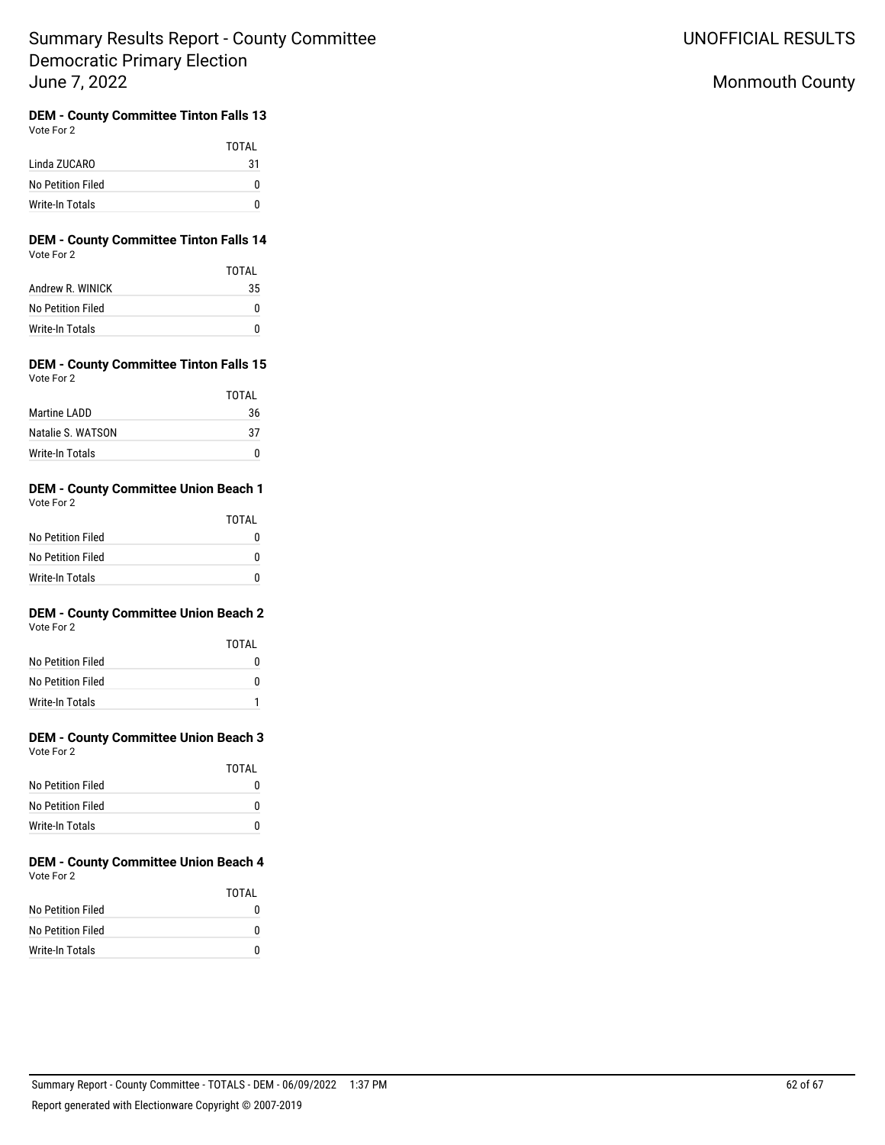UNOFFICIAL RESULTS

# Monmouth County

#### **DEM - County Committee Tinton Falls 13** Vote For 2

|                   | TOTAI |
|-------------------|-------|
| Linda ZUCARO      | 31    |
| No Petition Filed | o     |
| Write-In Totals   | n     |

## **DEM - County Committee Tinton Falls 14** Vote For 2

|                   | TOTAI |
|-------------------|-------|
| Andrew R. WINICK  | 35    |
| No Petition Filed | o     |
| Write-In Totals   | n     |

### **DEM - County Committee Tinton Falls 15** Vote For 2

|                   | TOTAI |
|-------------------|-------|
| Martine LADD      | 36    |
| Natalie S. WATSON | 37    |
| Write-In Totals   | n     |

#### **DEM - County Committee Union Beach 1** Vote For 2

|                   | <b>TOTAL</b> |
|-------------------|--------------|
| No Petition Filed |              |
| No Petition Filed |              |
| Write-In Totals   |              |

#### **DEM - County Committee Union Beach 2** Vote For 2

| VULTE FUILL       |       |
|-------------------|-------|
|                   | TOTAI |
| No Petition Filed | N     |
| No Petition Filed | N     |
| Write-In Totals   |       |

# **DEM - County Committee Union Beach 3**

| Vote For 2 |  |
|------------|--|
|            |  |

|                   | TOTAI |
|-------------------|-------|
| No Petition Filed | O     |
| No Petition Filed | o     |
| Write-In Totals   | O     |

#### **DEM - County Committee Union Beach 4** Vote For 2

|                   | TOTAI |
|-------------------|-------|
| No Petition Filed | n     |
| No Petition Filed | o     |
| Write-In Totals   | n     |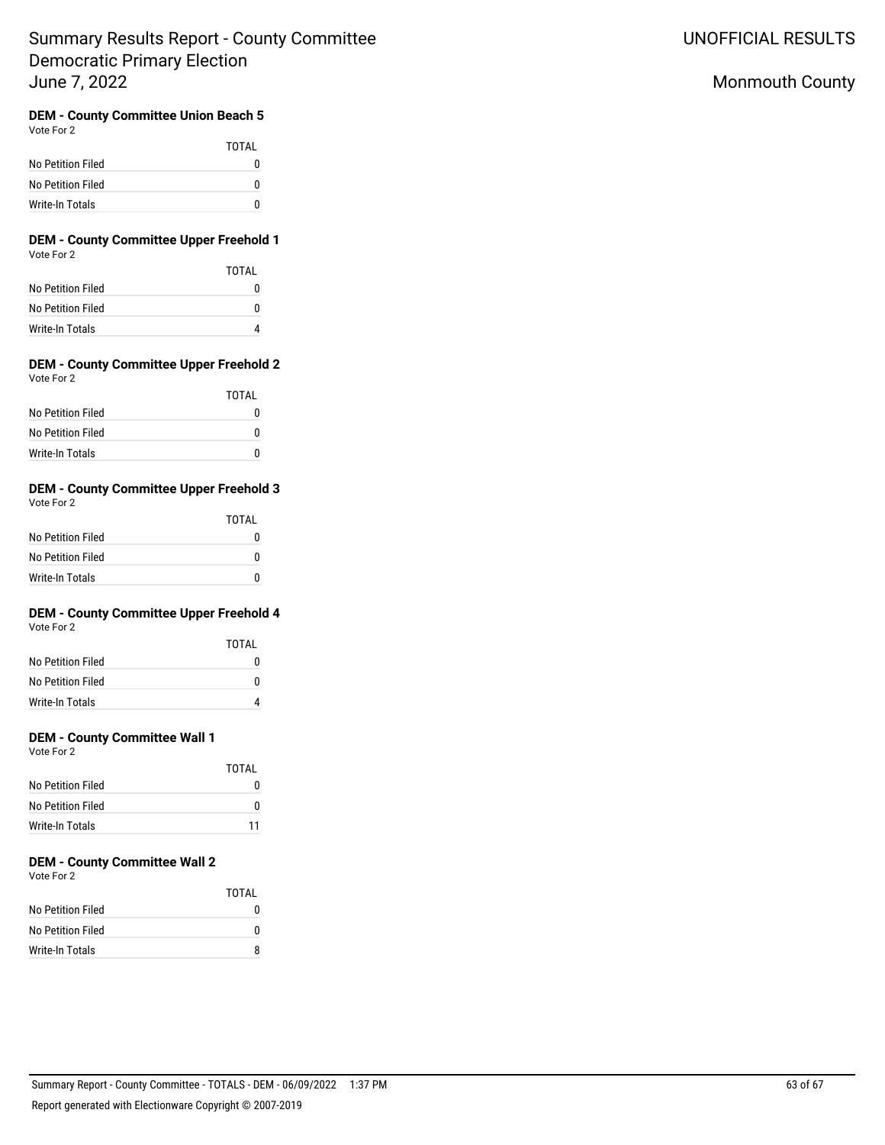# Monmouth County

#### **DEM - County Committee Union Beach 5** Vote For 2

|                   | <b>TOTAL</b> |
|-------------------|--------------|
| No Petition Filed |              |
| No Petition Filed |              |
| Write-In Totals   |              |

### **DEM - County Committee Upper Freehold 1** Vote For 2

|                   | TOTAI |
|-------------------|-------|
| No Petition Filed |       |
| No Petition Filed | n     |
| Write-In Totals   |       |

### **DEM - County Committee Upper Freehold 2** Vote For 2

|                   | TOTAI |
|-------------------|-------|
| No Petition Filed |       |
| No Petition Filed | n     |
| Write-In Totals   |       |

# **DEM - County Committee Upper Freehold 3**

|                   | TOTAI |
|-------------------|-------|
| No Petition Filed |       |
| No Petition Filed |       |
| Write-In Totals   |       |

# **DEM - County Committee Upper Freehold 4**

Vote For 2

|                   | TOTAI |
|-------------------|-------|
| No Petition Filed | n     |
| No Petition Filed | n     |
| Write-In Totals   |       |

## **DEM - County Committee Wall 1**

Vote For 2

|                   | TOTAI |
|-------------------|-------|
| No Petition Filed |       |
| No Petition Filed | n     |
| Write-In Totals   | 11    |

# **DEM - County Committee Wall 2**

Vote For 2

|                   | TOTAL |
|-------------------|-------|
| No Petition Filed |       |
| No Petition Filed | n     |
| Write-In Totals   |       |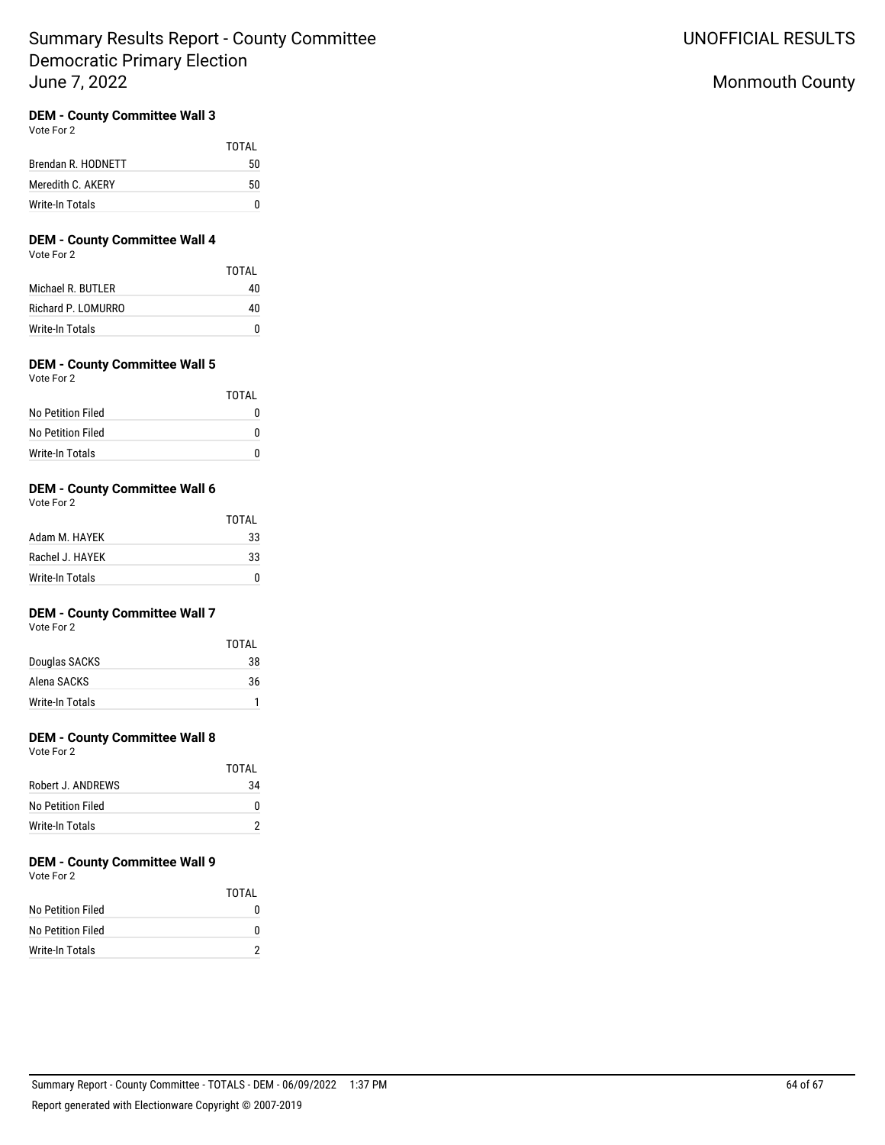## **DEM - County Committee Wall 3**

Vote For 2

|                    | TOTAI |
|--------------------|-------|
| Brendan R. HODNETT | 50    |
| Meredith C. AKERY  | 50    |
| Write-In Totals    | n     |

## **DEM - County Committee Wall 4**

Vote For 2

|                    | TOTAI |
|--------------------|-------|
| Michael R. BUTLER  | 40    |
| Richard P. LOMURRO | 40    |
| Write-In Totals    |       |

## **DEM - County Committee Wall 5**

| Vote For 2 |  |
|------------|--|
|            |  |

|                   | TOTAI |
|-------------------|-------|
| No Petition Filed |       |
| No Petition Filed |       |
| Write-In Totals   |       |

## **DEM - County Committee Wall 6**

Vote For 2

|                 | TOTAI |
|-----------------|-------|
| Adam M. HAYEK   | 33    |
| Rachel J. HAYFK | 33    |
| Write-In Totals |       |

## **DEM - County Committee Wall 7**

Vote For 2

|                 | TOTAI |
|-----------------|-------|
| Douglas SACKS   | 38    |
| Alena SACKS     | 36    |
| Write-In Totals |       |

## **DEM - County Committee Wall 8**

Vote For 2

|                   | TOTAI |
|-------------------|-------|
| Robert J. ANDREWS | 34    |
| No Petition Filed | n     |
| Write-In Totals   |       |

## **DEM - County Committee Wall 9**

Vote For 2

|                   | TOTAI |
|-------------------|-------|
| No Petition Filed | n     |
| No Petition Filed | n     |
| Write-In Totals   |       |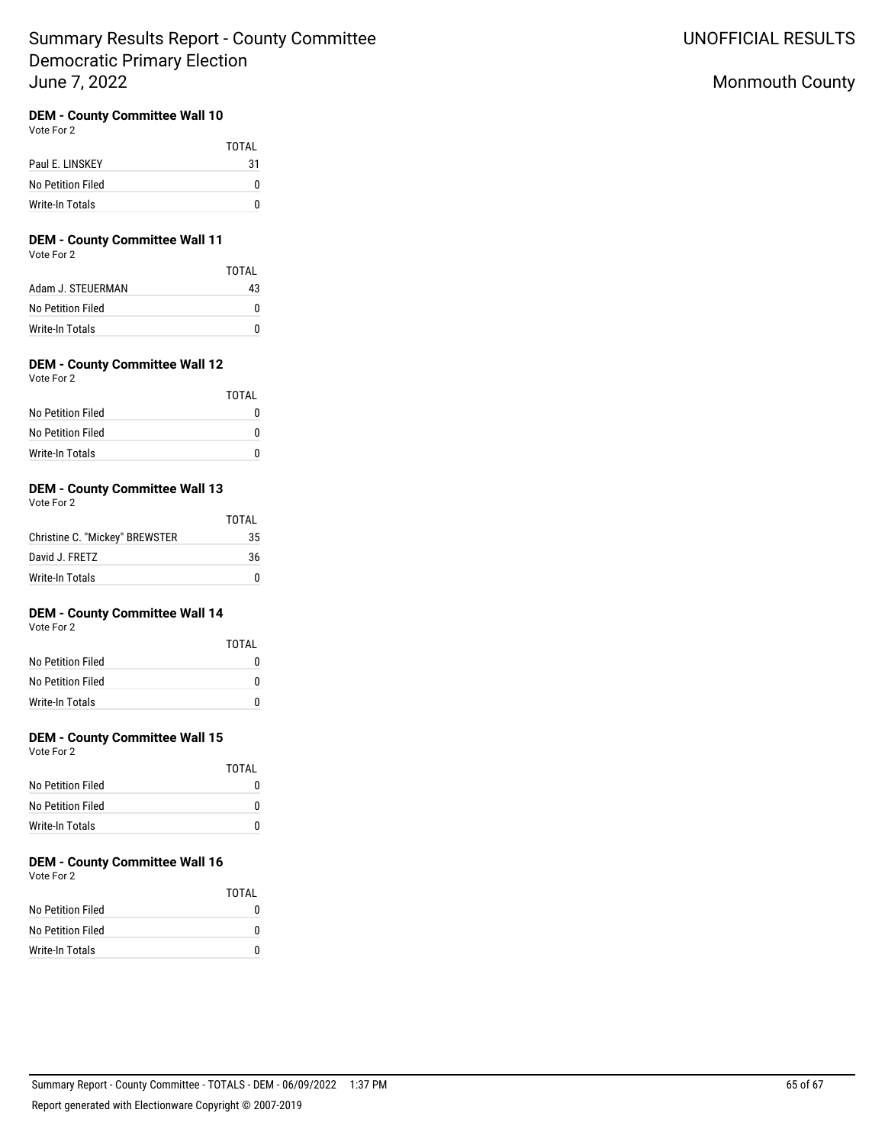## **DEM - County Committee Wall 10**

Vote For 2

|                   | TOTAI |
|-------------------|-------|
| Paul E. LINSKEY   | 31    |
| No Petition Filed | 0     |
| Write-In Totals   | n     |

# **DEM - County Committee Wall 11**

Vote For 2

|                   | TOTAI |
|-------------------|-------|
| Adam J. STEUERMAN | 43    |
| No Petition Filed | n     |
| Write-In Totals   | n     |

# **DEM - County Committee Wall 12**

| Vote For 2 |  |
|------------|--|
|            |  |

|                   | IUIAI |
|-------------------|-------|
| No Petition Filed | O     |
| No Petition Filed | O     |
| Write-In Totals   | O     |

TOTAL

#### **DEM - County Committee Wall 13** Vote For 2

| VULCIUI A                      | TOTAL |
|--------------------------------|-------|
| Christine C. "Mickey" BREWSTER | 35    |
| David J. FRETZ                 | 36    |
| Write-In Totals                |       |

## **DEM - County Committee Wall 14**

Vote For 2

|                   | TOTAI |
|-------------------|-------|
| No Petition Filed |       |
| No Petition Filed | 0     |
| Write-In Totals   | O     |

## **DEM - County Committee Wall 15**

Vote For 2

|                   | TOTAI |
|-------------------|-------|
| No Petition Filed |       |
| No Petition Filed |       |
| Write-In Totals   |       |

# **DEM - County Committee Wall 16**

Vote For 2

|                   | TOTAI |
|-------------------|-------|
| No Petition Filed |       |
| No Petition Filed |       |
| Write-In Totals   |       |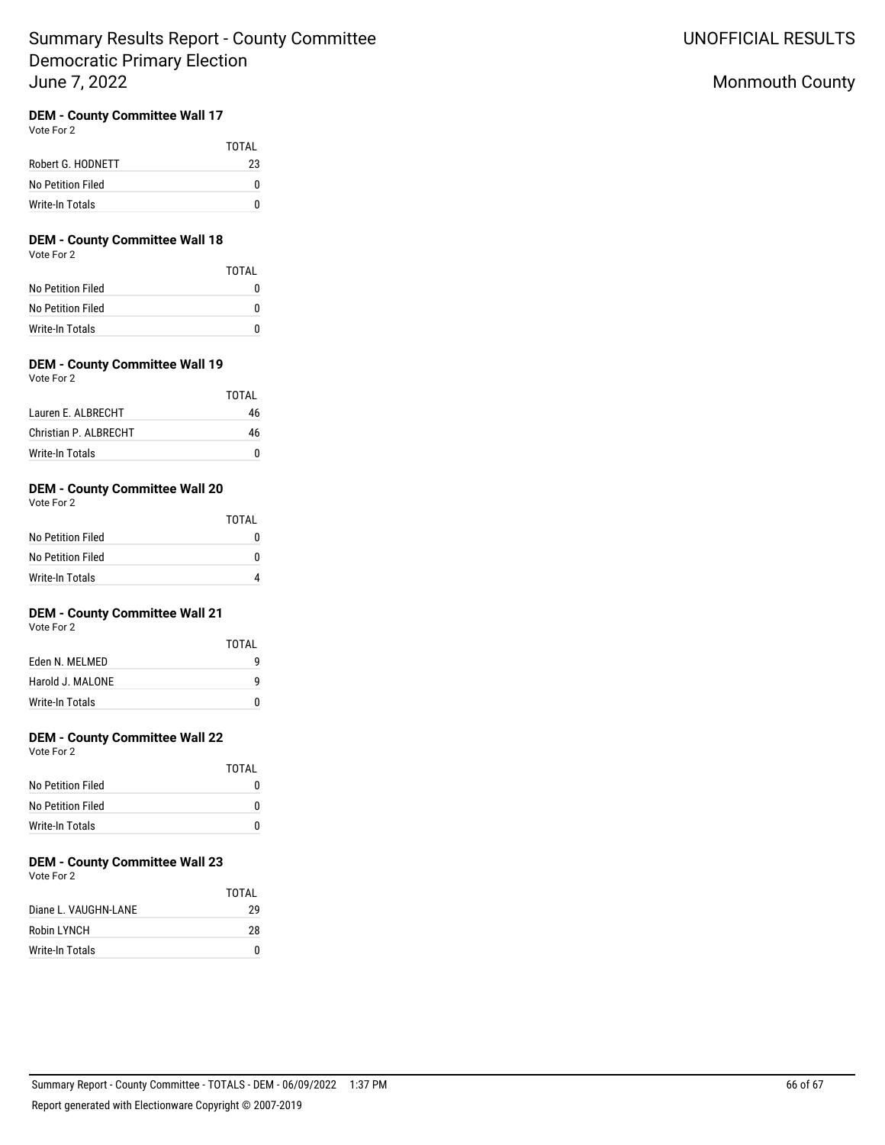## **DEM - County Committee Wall 17**

Vote For 2

|                   | TOTAI |
|-------------------|-------|
| Robert G. HODNETT | 23    |
| No Petition Filed | 0     |
| Write-In Totals   | n     |

# **DEM - County Committee Wall 18**

Vote For 2

|                   | TOTAL |
|-------------------|-------|
| No Petition Filed |       |
| No Petition Filed | n     |
| Write-In Totals   |       |

## **DEM - County Committee Wall 19**

| Vote For 2 |  |
|------------|--|
|            |  |

|                        | TOTAI |
|------------------------|-------|
| Lauren F. ALBRECHT     | 46    |
| Christian P. AI BRECHT | 46    |
| Write-In Totals        |       |

## **DEM - County Committee Wall 20**

Vote For 2

|                   | TOTAI |
|-------------------|-------|
| No Petition Filed |       |
| No Petition Filed |       |
| Write-In Totals   |       |

## **DEM - County Committee Wall 21**

Vote For 2

|                  | TOTAI |
|------------------|-------|
| Eden N. MELMED   | q     |
| Harold J. MALONE | q     |
| Write-In Totals  | U     |

## **DEM - County Committee Wall 22**

Vote For 2

|                   | TOTAI |
|-------------------|-------|
| No Petition Filed |       |
| No Petition Filed | n     |
| Write-In Totals   |       |

#### **DEM - County Committee Wall 23** Vote For 2

|                      | TOTAI |
|----------------------|-------|
| Diane L. VAUGHN-LANE | 29    |
| Robin LYNCH          | 28    |
| Write-In Totals      |       |